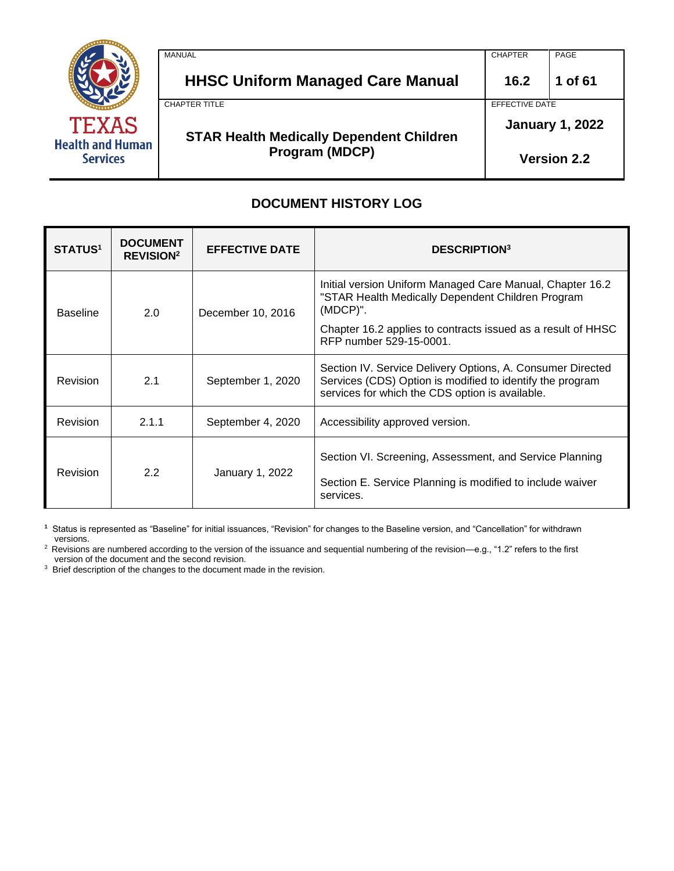

| <b>MANUAL</b>                                   | <b>CHAPTER</b>         | PAGE               |
|-------------------------------------------------|------------------------|--------------------|
| <b>HHSC Uniform Managed Care Manual</b>         | 16.2                   | 1 of 61            |
| <b>CHAPTER TITLE</b>                            | EFFECTIVE DATE         |                    |
| <b>STAR Health Medically Dependent Children</b> | <b>January 1, 2022</b> |                    |
| <b>Program (MDCP)</b>                           |                        | <b>Version 2.2</b> |

# **DOCUMENT HISTORY LOG**

| <b>STATUS<sup>1</sup></b>                     | <b>DOCUMENT</b><br><b>REVISION</b> <sup>2</sup> | <b>EFFECTIVE DATE</b> | <b>DESCRIPTION</b> <sup>3</sup>                                                                                                                                                                                          |
|-----------------------------------------------|-------------------------------------------------|-----------------------|--------------------------------------------------------------------------------------------------------------------------------------------------------------------------------------------------------------------------|
| <b>Baseline</b>                               | 2.0                                             | December 10, 2016     | Initial version Uniform Managed Care Manual, Chapter 16.2<br>"STAR Health Medically Dependent Children Program<br>$(MDCP)$ ".<br>Chapter 16.2 applies to contracts issued as a result of HHSC<br>RFP number 529-15-0001. |
| <b>Revision</b>                               | 2.1<br>September 1, 2020                        |                       | Section IV. Service Delivery Options, A. Consumer Directed<br>Services (CDS) Option is modified to identify the program<br>services for which the CDS option is available.                                               |
| 2.1.1<br><b>Revision</b><br>September 4, 2020 |                                                 |                       | Accessibility approved version.                                                                                                                                                                                          |
| 2.2<br><b>Revision</b><br>January 1, 2022     |                                                 |                       | Section VI. Screening, Assessment, and Service Planning<br>Section E. Service Planning is modified to include waiver<br>services.                                                                                        |

**1** Status is represented as "Baseline" for initial issuances, "Revision" for changes to the Baseline version, and "Cancellation" for withdrawn versions.

<sup>2</sup> Revisions are numbered according to the version of the issuance and sequential numbering of the revision—e.g., "1.2" refers to the first version of the document and the second revision.

<sup>3</sup> Brief description of the changes to the document made in the revision.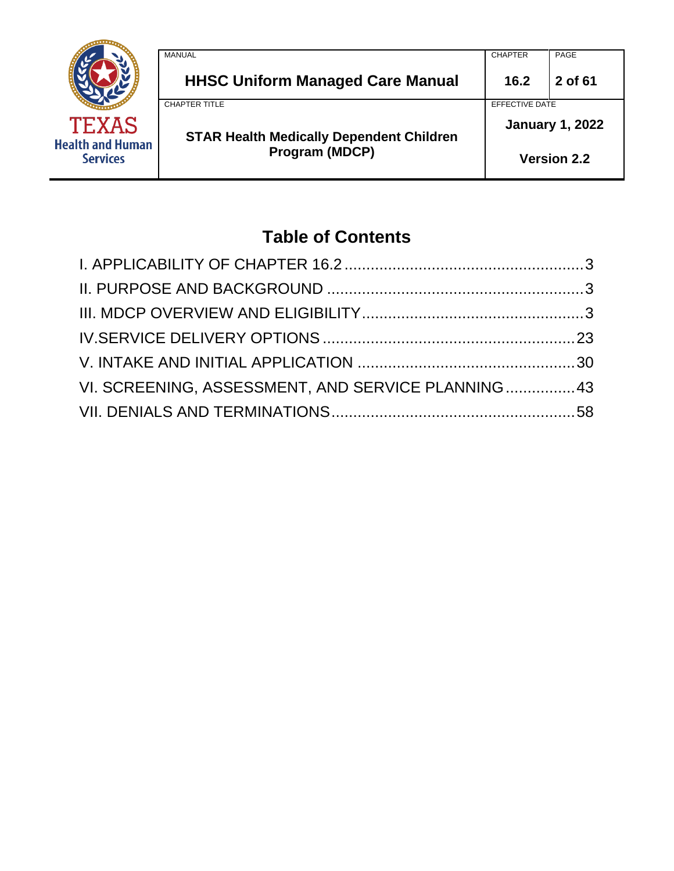

# **Table of Contents**

| VI. SCREENING, ASSESSMENT, AND SERVICE PLANNING 43 |  |
|----------------------------------------------------|--|
|                                                    |  |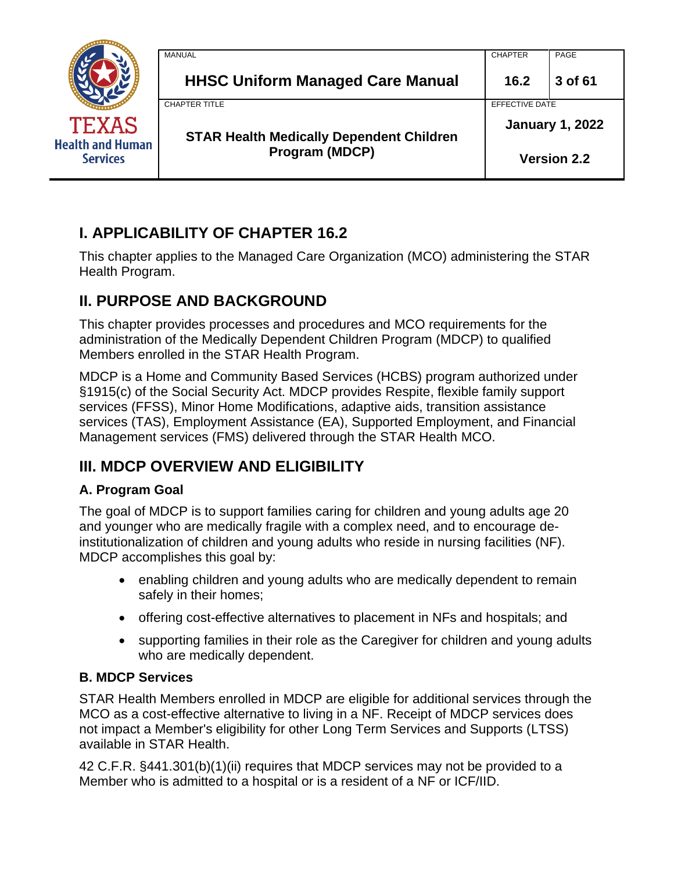|                                            | MANUAL                                          | <b>CHAPTER</b>         | PAGE               |
|--------------------------------------------|-------------------------------------------------|------------------------|--------------------|
|                                            | <b>HHSC Uniform Managed Care Manual</b>         | 16.2                   | 3 of 61            |
|                                            | <b>CHAPTER TITLE</b>                            | EFFECTIVE DATE         |                    |
| <b>TEXAS</b>                               | <b>STAR Health Medically Dependent Children</b> | <b>January 1, 2022</b> |                    |
| <b>Health and Human</b><br><b>Services</b> | Program (MDCP)                                  |                        | <b>Version 2.2</b> |

# <span id="page-2-0"></span>**I. APPLICABILITY OF CHAPTER 16.2**

This chapter applies to the Managed Care Organization (MCO) administering the STAR Health Program.

# <span id="page-2-1"></span>**II. PURPOSE AND BACKGROUND**

This chapter provides processes and procedures and MCO requirements for the administration of the Medically Dependent Children Program (MDCP) to qualified Members enrolled in the STAR Health Program.

MDCP is a Home and Community Based Services (HCBS) program authorized under §1915(c) of the Social Security Act. MDCP provides Respite, flexible family support services (FFSS), Minor Home Modifications, adaptive aids, transition assistance services (TAS), Employment Assistance (EA), Supported Employment, and Financial Management services (FMS) delivered through the STAR Health MCO.

# <span id="page-2-2"></span>**III. MDCP OVERVIEW AND ELIGIBILITY**

# **A. Program Goal**

The goal of MDCP is to support families caring for children and young adults age 20 and younger who are medically fragile with a complex need, and to encourage deinstitutionalization of children and young adults who reside in nursing facilities (NF). MDCP accomplishes this goal by:

- enabling children and young adults who are medically dependent to remain safely in their homes;
- offering cost-effective alternatives to placement in NFs and hospitals; and
- supporting families in their role as the Caregiver for children and young adults who are medically dependent.

# **B. MDCP Services**

STAR Health Members enrolled in MDCP are eligible for additional services through the MCO as a cost-effective alternative to living in a NF. Receipt of MDCP services does not impact a Member's eligibility for other Long Term Services and Supports (LTSS) available in STAR Health.

42 C.F.R. §441.301(b)(1)(ii) requires that MDCP services may not be provided to a Member who is admitted to a hospital or is a resident of a NF or ICF/IID.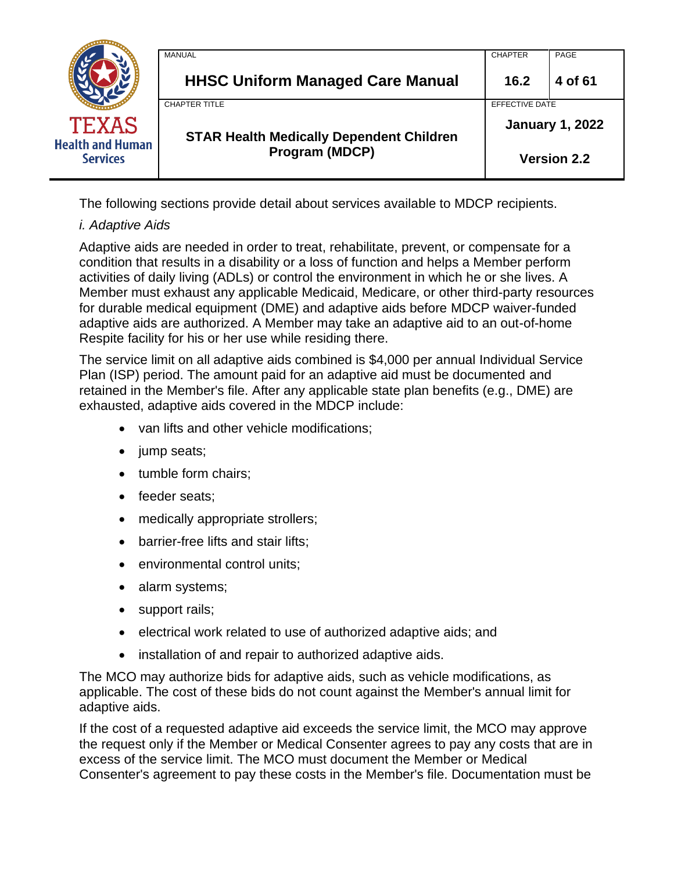|                                            | MANUAL                                          | <b>CHAPTER</b>         | PAGE    |
|--------------------------------------------|-------------------------------------------------|------------------------|---------|
|                                            | <b>HHSC Uniform Managed Care Manual</b>         | 16.2                   | 4 of 61 |
|                                            | <b>CHAPTER TITLE</b>                            | EFFECTIVE DATE         |         |
| <b>TEXAS</b>                               | <b>STAR Health Medically Dependent Children</b> | <b>January 1, 2022</b> |         |
| <b>Health and Human</b><br><b>Services</b> | Program (MDCP)                                  | <b>Version 2.2</b>     |         |

The following sections provide detail about services available to MDCP recipients.

# *i. Adaptive Aids*

Adaptive aids are needed in order to treat, rehabilitate, prevent, or compensate for a condition that results in a disability or a loss of function and helps a Member perform activities of daily living (ADLs) or control the environment in which he or she lives. A Member must exhaust any applicable Medicaid, Medicare, or other third-party resources for durable medical equipment (DME) and adaptive aids before MDCP waiver-funded adaptive aids are authorized. A Member may take an adaptive aid to an out-of-home Respite facility for his or her use while residing there.

The service limit on all adaptive aids combined is \$4,000 per annual Individual Service Plan (ISP) period. The amount paid for an adaptive aid must be documented and retained in the Member's file. After any applicable state plan benefits (e.g., DME) are exhausted, adaptive aids covered in the MDCP include:

- van lifts and other vehicle modifications;
- jump seats;
- tumble form chairs;
- feeder seats;
- medically appropriate strollers;
- barrier-free lifts and stair lifts;
- environmental control units;
- alarm systems;
- support rails;
- electrical work related to use of authorized adaptive aids; and
- installation of and repair to authorized adaptive aids.

The MCO may authorize bids for adaptive aids, such as vehicle modifications, as applicable. The cost of these bids do not count against the Member's annual limit for adaptive aids.

If the cost of a requested adaptive aid exceeds the service limit, the MCO may approve the request only if the Member or Medical Consenter agrees to pay any costs that are in excess of the service limit. The MCO must document the Member or Medical Consenter's agreement to pay these costs in the Member's file. Documentation must be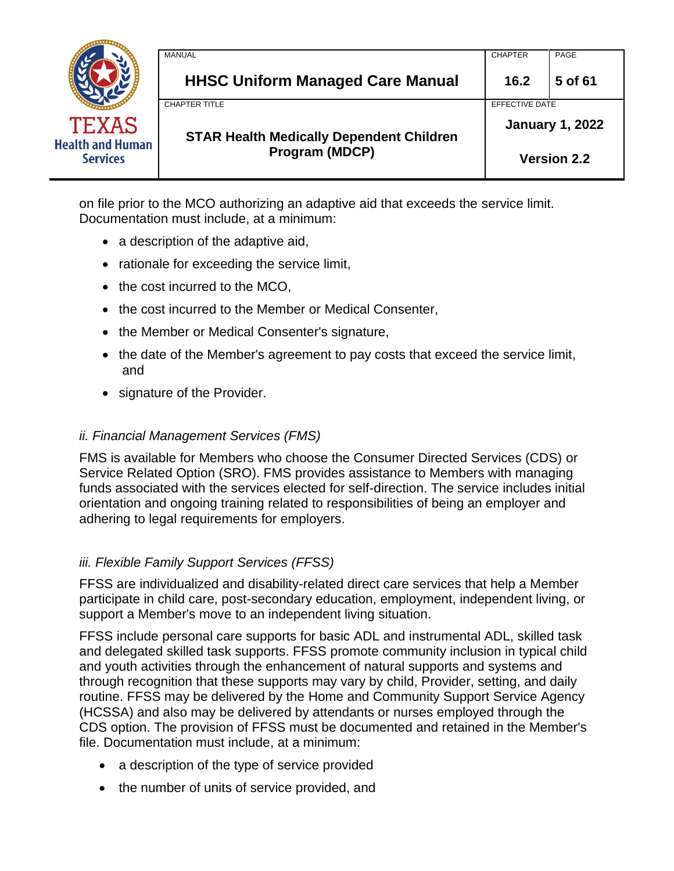|                                            | MANUAL                                          | <b>CHAPTER</b>         | PAGE               |
|--------------------------------------------|-------------------------------------------------|------------------------|--------------------|
|                                            | <b>HHSC Uniform Managed Care Manual</b>         | 16.2                   | 5 of 61            |
|                                            | <b>CHAPTER TITLE</b>                            | EFFECTIVE DATE         |                    |
| <b>TEXAS</b>                               | <b>STAR Health Medically Dependent Children</b> | <b>January 1, 2022</b> |                    |
| <b>Health and Human</b><br><b>Services</b> | Program (MDCP)                                  |                        | <b>Version 2.2</b> |

on file prior to the MCO authorizing an adaptive aid that exceeds the service limit. Documentation must include, at a minimum:

- a description of the adaptive aid,
- rationale for exceeding the service limit,
- the cost incurred to the MCO,
- the cost incurred to the Member or Medical Consenter,
- the Member or Medical Consenter's signature,
- the date of the Member's agreement to pay costs that exceed the service limit, and
- signature of the Provider.

### *ii. Financial Management Services (FMS)*

FMS is available for Members who choose the Consumer Directed Services (CDS) or Service Related Option (SRO). FMS provides assistance to Members with managing funds associated with the services elected for self-direction. The service includes initial orientation and ongoing training related to responsibilities of being an employer and adhering to legal requirements for employers.

### *iii. Flexible Family Support Services (FFSS)*

FFSS are individualized and disability-related direct care services that help a Member participate in child care, post-secondary education, employment, independent living, or support a Member's move to an independent living situation.

FFSS include personal care supports for basic ADL and instrumental ADL, skilled task and delegated skilled task supports. FFSS promote community inclusion in typical child and youth activities through the enhancement of natural supports and systems and through recognition that these supports may vary by child, Provider, setting, and daily routine. FFSS may be delivered by the Home and Community Support Service Agency (HCSSA) and also may be delivered by attendants or nurses employed through the CDS option. The provision of FFSS must be documented and retained in the Member's file. Documentation must include, at a minimum:

- a description of the type of service provided
- the number of units of service provided, and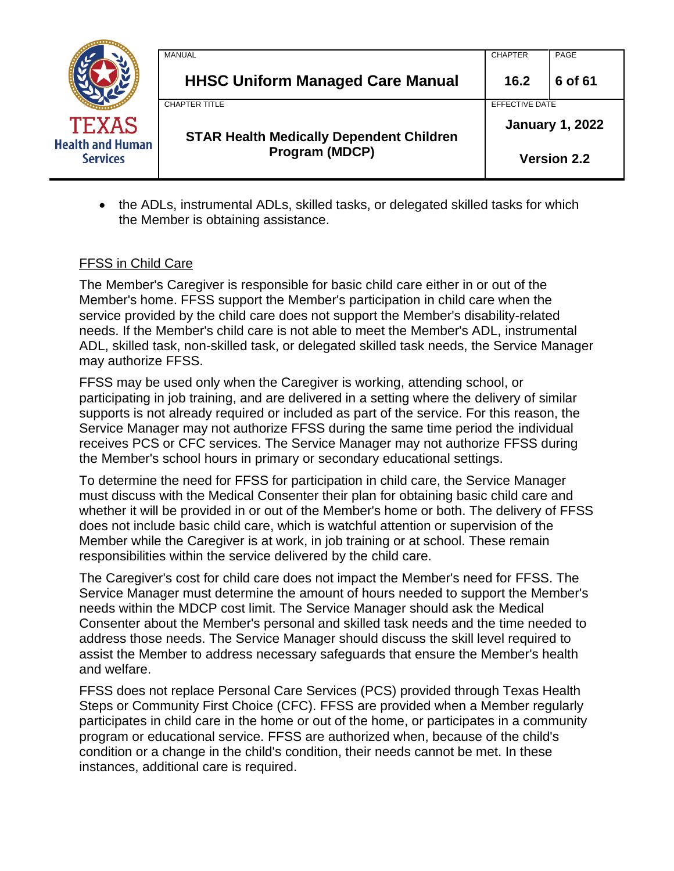|                                            | MANUAL                                          | <b>CHAPTER</b>         | PAGE    |
|--------------------------------------------|-------------------------------------------------|------------------------|---------|
|                                            | <b>HHSC Uniform Managed Care Manual</b>         | 16.2                   | 6 of 61 |
|                                            | <b>CHAPTER TITLE</b>                            | EFFECTIVE DATE         |         |
| <b>TEXAS</b>                               | <b>STAR Health Medically Dependent Children</b> | <b>January 1, 2022</b> |         |
| <b>Health and Human</b><br><b>Services</b> | Program (MDCP)                                  | <b>Version 2.2</b>     |         |

• the ADLs, instrumental ADLs, skilled tasks, or delegated skilled tasks for which the Member is obtaining assistance.

### FFSS in Child Care

The Member's Caregiver is responsible for basic child care either in or out of the Member's home. FFSS support the Member's participation in child care when the service provided by the child care does not support the Member's disability-related needs. If the Member's child care is not able to meet the Member's ADL, instrumental ADL, skilled task, non-skilled task, or delegated skilled task needs, the Service Manager may authorize FFSS.

FFSS may be used only when the Caregiver is working, attending school, or participating in job training, and are delivered in a setting where the delivery of similar supports is not already required or included as part of the service. For this reason, the Service Manager may not authorize FFSS during the same time period the individual receives PCS or CFC services. The Service Manager may not authorize FFSS during the Member's school hours in primary or secondary educational settings.

To determine the need for FFSS for participation in child care, the Service Manager must discuss with the Medical Consenter their plan for obtaining basic child care and whether it will be provided in or out of the Member's home or both. The delivery of FFSS does not include basic child care, which is watchful attention or supervision of the Member while the Caregiver is at work, in job training or at school. These remain responsibilities within the service delivered by the child care.

The Caregiver's cost for child care does not impact the Member's need for FFSS. The Service Manager must determine the amount of hours needed to support the Member's needs within the MDCP cost limit. The Service Manager should ask the Medical Consenter about the Member's personal and skilled task needs and the time needed to address those needs. The Service Manager should discuss the skill level required to assist the Member to address necessary safeguards that ensure the Member's health and welfare.

FFSS does not replace Personal Care Services (PCS) provided through Texas Health Steps or Community First Choice (CFC). FFSS are provided when a Member regularly participates in child care in the home or out of the home, or participates in a community program or educational service. FFSS are authorized when, because of the child's condition or a change in the child's condition, their needs cannot be met. In these instances, additional care is required.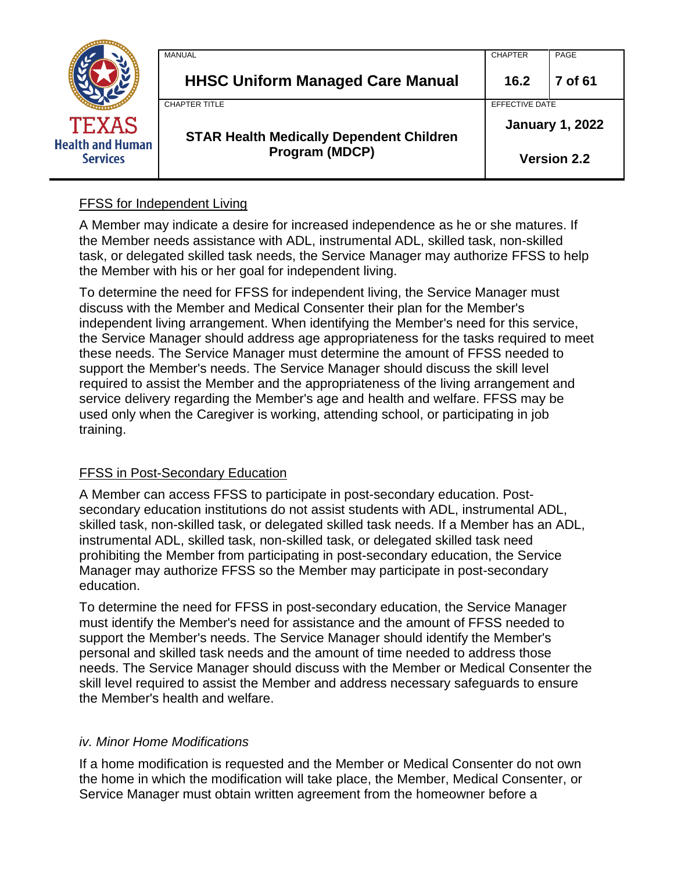|                                            | MANUAL                                          | <b>CHAPTER</b> | PAGE                   |
|--------------------------------------------|-------------------------------------------------|----------------|------------------------|
|                                            | <b>HHSC Uniform Managed Care Manual</b>         | 16.2           | 7 of 61                |
|                                            | <b>CHAPTER TITLE</b>                            | EFFECTIVE DATE |                        |
| <b>TEXAS</b>                               | <b>STAR Health Medically Dependent Children</b> |                | <b>January 1, 2022</b> |
| <b>Health and Human</b><br><b>Services</b> | <b>Program (MDCP)</b>                           |                | <b>Version 2.2</b>     |

## FFSS for Independent Living

A Member may indicate a desire for increased independence as he or she matures. If the Member needs assistance with ADL, instrumental ADL, skilled task, non-skilled task, or delegated skilled task needs, the Service Manager may authorize FFSS to help the Member with his or her goal for independent living.

To determine the need for FFSS for independent living, the Service Manager must discuss with the Member and Medical Consenter their plan for the Member's independent living arrangement. When identifying the Member's need for this service, the Service Manager should address age appropriateness for the tasks required to meet these needs. The Service Manager must determine the amount of FFSS needed to support the Member's needs. The Service Manager should discuss the skill level required to assist the Member and the appropriateness of the living arrangement and service delivery regarding the Member's age and health and welfare. FFSS may be used only when the Caregiver is working, attending school, or participating in job training.

### FFSS in Post-Secondary Education

A Member can access FFSS to participate in post-secondary education. Postsecondary education institutions do not assist students with ADL, instrumental ADL, skilled task, non-skilled task, or delegated skilled task needs. If a Member has an ADL, instrumental ADL, skilled task, non-skilled task, or delegated skilled task need prohibiting the Member from participating in post-secondary education, the Service Manager may authorize FFSS so the Member may participate in post-secondary education.

To determine the need for FFSS in post-secondary education, the Service Manager must identify the Member's need for assistance and the amount of FFSS needed to support the Member's needs. The Service Manager should identify the Member's personal and skilled task needs and the amount of time needed to address those needs. The Service Manager should discuss with the Member or Medical Consenter the skill level required to assist the Member and address necessary safeguards to ensure the Member's health and welfare.

### *iv. Minor Home Modifications*

If a home modification is requested and the Member or Medical Consenter do not own the home in which the modification will take place, the Member, Medical Consenter, or Service Manager must obtain written agreement from the homeowner before a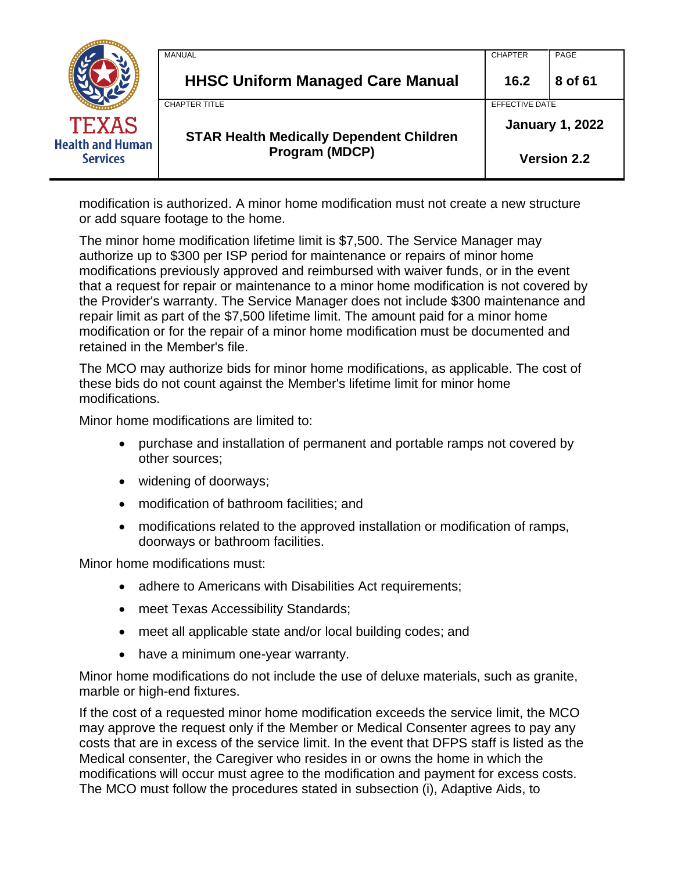|                                            | MANUAL                                          | <b>CHAPTER</b>     | PAGE                   |
|--------------------------------------------|-------------------------------------------------|--------------------|------------------------|
|                                            | <b>HHSC Uniform Managed Care Manual</b>         | 16.2               | 8 of 61                |
|                                            | <b>CHAPTER TITLE</b>                            | EFFECTIVE DATE     |                        |
| <b>TEXAS</b>                               | <b>STAR Health Medically Dependent Children</b> |                    | <b>January 1, 2022</b> |
| <b>Health and Human</b><br><b>Services</b> | Program (MDCP)                                  | <b>Version 2.2</b> |                        |

modification is authorized. A minor home modification must not create a new structure or add square footage to the home.

The minor home modification lifetime limit is \$7,500. The Service Manager may authorize up to \$300 per ISP period for maintenance or repairs of minor home modifications previously approved and reimbursed with waiver funds, or in the event that a request for repair or maintenance to a minor home modification is not covered by the Provider's warranty. The Service Manager does not include \$300 maintenance and repair limit as part of the \$7,500 lifetime limit. The amount paid for a minor home modification or for the repair of a minor home modification must be documented and retained in the Member's file.

The MCO may authorize bids for minor home modifications, as applicable. The cost of these bids do not count against the Member's lifetime limit for minor home modifications.

Minor home modifications are limited to:

- purchase and installation of permanent and portable ramps not covered by other sources;
- widening of doorways;
- modification of bathroom facilities; and
- modifications related to the approved installation or modification of ramps, doorways or bathroom facilities.

Minor home modifications must:

- adhere to Americans with Disabilities Act requirements;
- meet Texas Accessibility Standards;
- meet all applicable state and/or local building codes; and
- have a minimum one-year warranty.

Minor home modifications do not include the use of deluxe materials, such as granite, marble or high-end fixtures.

If the cost of a requested minor home modification exceeds the service limit, the MCO may approve the request only if the Member or Medical Consenter agrees to pay any costs that are in excess of the service limit. In the event that DFPS staff is listed as the Medical consenter, the Caregiver who resides in or owns the home in which the modifications will occur must agree to the modification and payment for excess costs. The MCO must follow the procedures stated in subsection (i), Adaptive Aids, to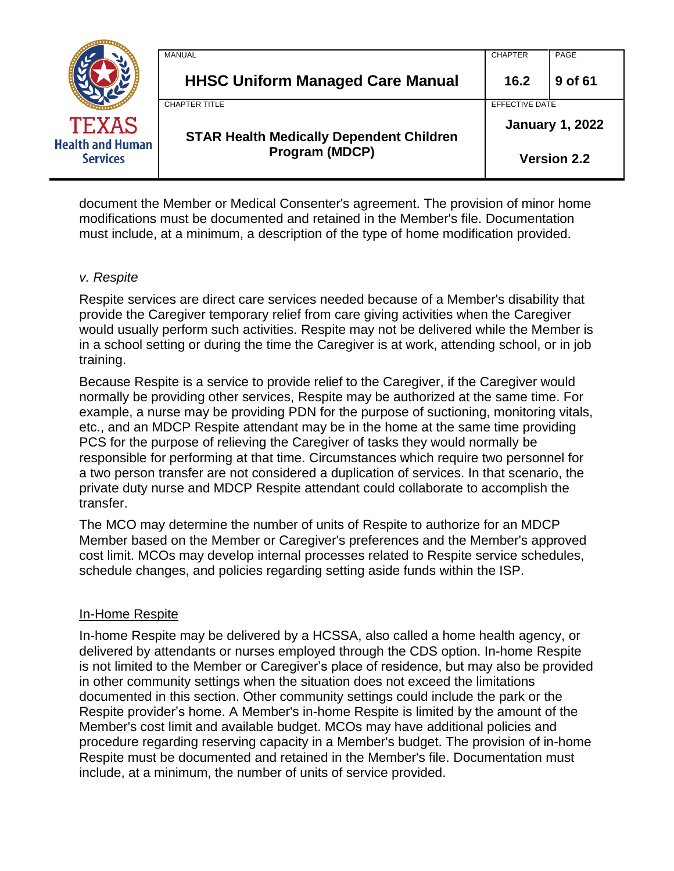|                                            | MANUAL                                          | <b>CHAPTER</b>         | PAGE    |
|--------------------------------------------|-------------------------------------------------|------------------------|---------|
|                                            | <b>HHSC Uniform Managed Care Manual</b>         | 16.2                   | 9 of 61 |
|                                            | <b>CHAPTER TITLE</b>                            | EFFECTIVE DATE         |         |
| <b>TEXAS</b>                               | <b>STAR Health Medically Dependent Children</b> | <b>January 1, 2022</b> |         |
| <b>Health and Human</b><br><b>Services</b> | <b>Program (MDCP)</b>                           | <b>Version 2.2</b>     |         |

document the Member or Medical Consenter's agreement. The provision of minor home modifications must be documented and retained in the Member's file. Documentation must include, at a minimum, a description of the type of home modification provided.

### *v. Respite*

Respite services are direct care services needed because of a Member's disability that provide the Caregiver temporary relief from care giving activities when the Caregiver would usually perform such activities. Respite may not be delivered while the Member is in a school setting or during the time the Caregiver is at work, attending school, or in job training.

Because Respite is a service to provide relief to the Caregiver, if the Caregiver would normally be providing other services, Respite may be authorized at the same time. For example, a nurse may be providing PDN for the purpose of suctioning, monitoring vitals, etc., and an MDCP Respite attendant may be in the home at the same time providing PCS for the purpose of relieving the Caregiver of tasks they would normally be responsible for performing at that time. Circumstances which require two personnel for a two person transfer are not considered a duplication of services. In that scenario, the private duty nurse and MDCP Respite attendant could collaborate to accomplish the transfer.

The MCO may determine the number of units of Respite to authorize for an MDCP Member based on the Member or Caregiver's preferences and the Member's approved cost limit. MCOs may develop internal processes related to Respite service schedules, schedule changes, and policies regarding setting aside funds within the ISP.

### In-Home Respite

In-home Respite may be delivered by a HCSSA, also called a home health agency, or delivered by attendants or nurses employed through the CDS option. In-home Respite is not limited to the Member or Caregiver's place of residence, but may also be provided in other community settings when the situation does not exceed the limitations documented in this section. Other community settings could include the park or the Respite provider's home. A Member's in-home Respite is limited by the amount of the Member's cost limit and available budget. MCOs may have additional policies and procedure regarding reserving capacity in a Member's budget. The provision of in-home Respite must be documented and retained in the Member's file. Documentation must include, at a minimum, the number of units of service provided.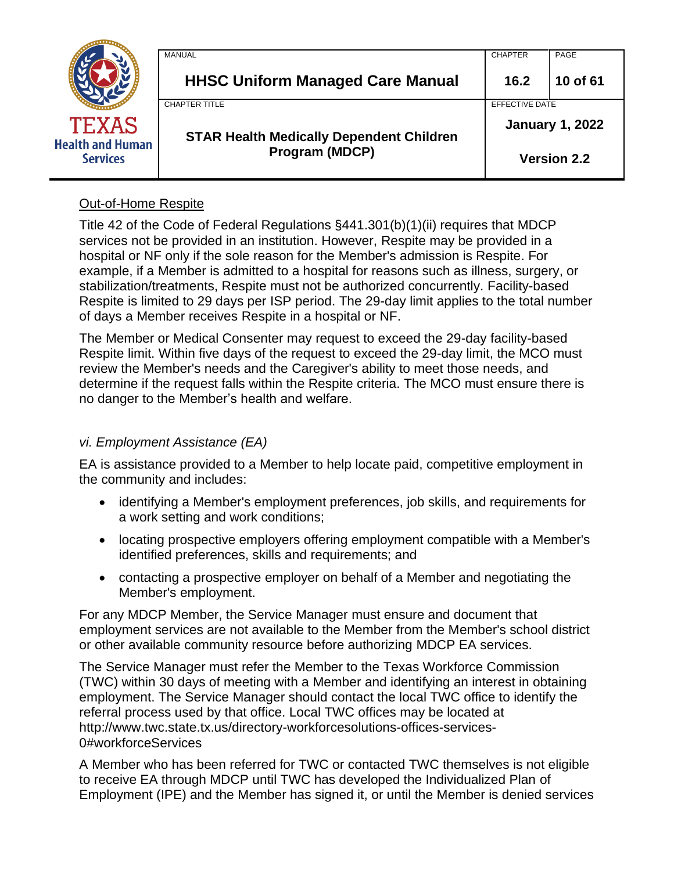|                                            | MANUAL                                                            | <b>CHAPTER</b>         | PAGE               |
|--------------------------------------------|-------------------------------------------------------------------|------------------------|--------------------|
|                                            | <b>HHSC Uniform Managed Care Manual</b>                           | 16.2                   | 10 of 61           |
|                                            | <b>CHAPTER TITLE</b>                                              | EFFECTIVE DATE         |                    |
| TEXAS                                      | <b>STAR Health Medically Dependent Children</b><br>Program (MDCP) | <b>January 1, 2022</b> |                    |
| <b>Health and Human</b><br><b>Services</b> |                                                                   |                        | <b>Version 2.2</b> |

## Out-of-Home Respite

Title 42 of the Code of Federal Regulations §441.301(b)(1)(ii) requires that MDCP services not be provided in an institution. However, Respite may be provided in a hospital or NF only if the sole reason for the Member's admission is Respite. For example, if a Member is admitted to a hospital for reasons such as illness, surgery, or stabilization/treatments, Respite must not be authorized concurrently. Facility-based Respite is limited to 29 days per ISP period. The 29-day limit applies to the total number of days a Member receives Respite in a hospital or NF.

The Member or Medical Consenter may request to exceed the 29-day facility-based Respite limit. Within five days of the request to exceed the 29-day limit, the MCO must review the Member's needs and the Caregiver's ability to meet those needs, and determine if the request falls within the Respite criteria. The MCO must ensure there is no danger to the Member's health and welfare.

### *vi. Employment Assistance (EA)*

EA is assistance provided to a Member to help locate paid, competitive employment in the community and includes:

- identifying a Member's employment preferences, job skills, and requirements for a work setting and work conditions;
- locating prospective employers offering employment compatible with a Member's identified preferences, skills and requirements; and
- contacting a prospective employer on behalf of a Member and negotiating the Member's employment.

For any MDCP Member, the Service Manager must ensure and document that employment services are not available to the Member from the Member's school district or other available community resource before authorizing MDCP EA services.

The Service Manager must refer the Member to the Texas Workforce Commission (TWC) within 30 days of meeting with a Member and identifying an interest in obtaining employment. The Service Manager should contact the local TWC office to identify the referral process used by that office. Local TWC offices may be located at http://www.twc.state.tx.us/directory-workforcesolutions-offices-services-0#workforceServices

A Member who has been referred for TWC or contacted TWC themselves is not eligible to receive EA through MDCP until TWC has developed the Individualized Plan of Employment (IPE) and the Member has signed it, or until the Member is denied services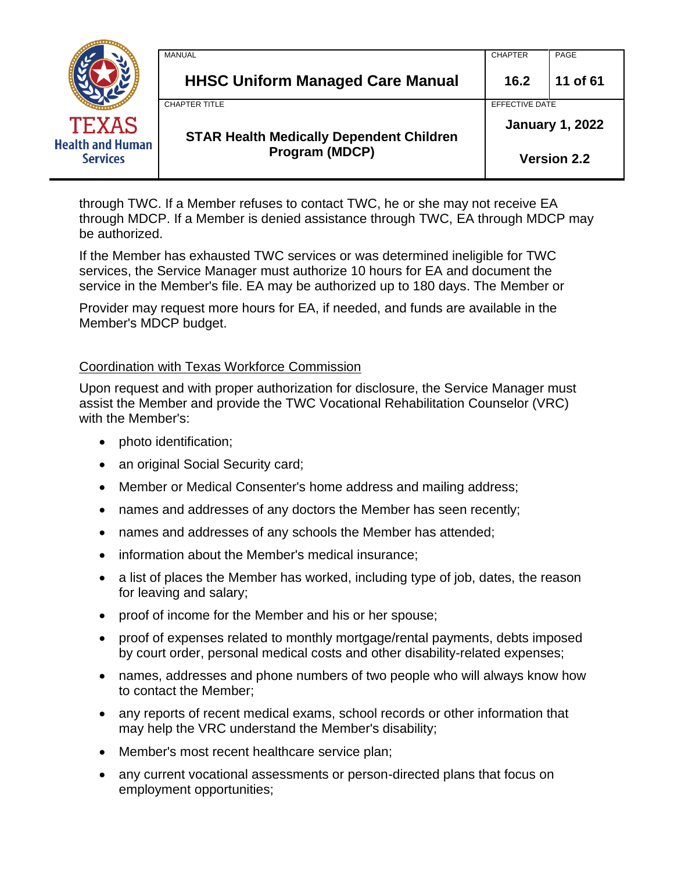|                                            | <b>MANUAL</b>                                   | <b>CHAPTER</b>         | PAGE               |
|--------------------------------------------|-------------------------------------------------|------------------------|--------------------|
|                                            | <b>HHSC Uniform Managed Care Manual</b>         | 16.2                   | 11 of 61           |
|                                            | <b>CHAPTER TITLE</b>                            | EFFECTIVE DATE         |                    |
| <b>TEXAS</b>                               | <b>STAR Health Medically Dependent Children</b> | <b>January 1, 2022</b> |                    |
| <b>Health and Human</b><br><b>Services</b> | Program (MDCP)                                  |                        | <b>Version 2.2</b> |

through TWC. If a Member refuses to contact TWC, he or she may not receive EA through MDCP. If a Member is denied assistance through TWC, EA through MDCP may be authorized.

If the Member has exhausted TWC services or was determined ineligible for TWC services, the Service Manager must authorize 10 hours for EA and document the service in the Member's file. EA may be authorized up to 180 days. The Member or

Provider may request more hours for EA, if needed, and funds are available in the Member's MDCP budget.

### Coordination with Texas Workforce Commission

Upon request and with proper authorization for disclosure, the Service Manager must assist the Member and provide the TWC Vocational Rehabilitation Counselor (VRC) with the Member's:

- photo identification;
- an original Social Security card;
- Member or Medical Consenter's home address and mailing address;
- names and addresses of any doctors the Member has seen recently;
- names and addresses of any schools the Member has attended;
- information about the Member's medical insurance;
- a list of places the Member has worked, including type of job, dates, the reason for leaving and salary;
- proof of income for the Member and his or her spouse;
- proof of expenses related to monthly mortgage/rental payments, debts imposed by court order, personal medical costs and other disability-related expenses;
- names, addresses and phone numbers of two people who will always know how to contact the Member;
- any reports of recent medical exams, school records or other information that may help the VRC understand the Member's disability;
- Member's most recent healthcare service plan;
- any current vocational assessments or person-directed plans that focus on employment opportunities;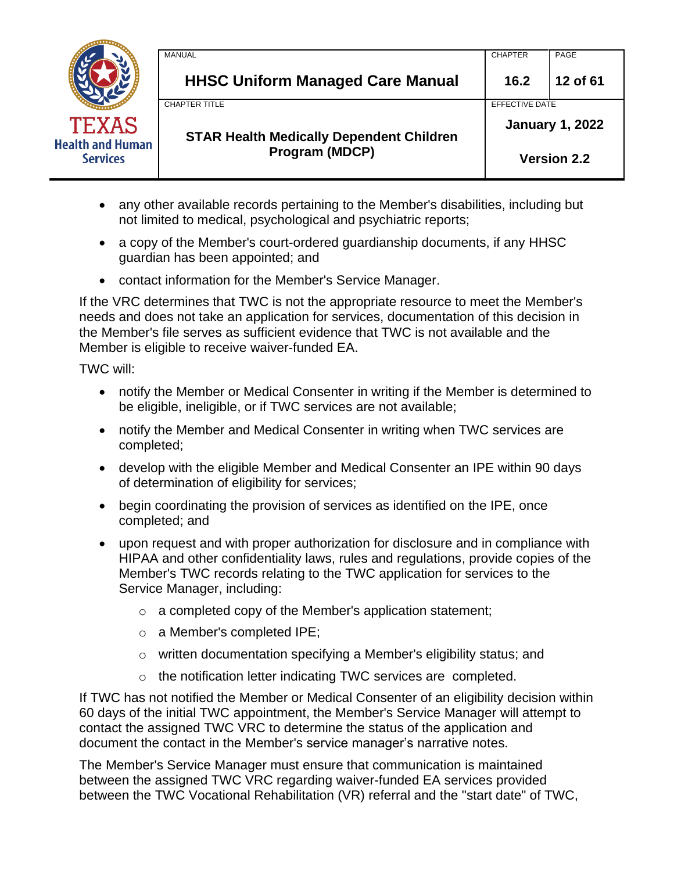|                                            | MANUAL                                          | <b>CHAPTER</b>         | PAGE     |
|--------------------------------------------|-------------------------------------------------|------------------------|----------|
|                                            | <b>HHSC Uniform Managed Care Manual</b>         | 16.2                   | 12 of 61 |
|                                            | <b>CHAPTER TITLE</b>                            | EFFECTIVE DATE         |          |
| <b>TEXAS</b>                               | <b>STAR Health Medically Dependent Children</b> | <b>January 1, 2022</b> |          |
| <b>Health and Human</b><br><b>Services</b> | Program (MDCP)                                  | <b>Version 2.2</b>     |          |

- any other available records pertaining to the Member's disabilities, including but not limited to medical, psychological and psychiatric reports;
- a copy of the Member's court-ordered quardianship documents, if any HHSC guardian has been appointed; and
- contact information for the Member's Service Manager.

If the VRC determines that TWC is not the appropriate resource to meet the Member's needs and does not take an application for services, documentation of this decision in the Member's file serves as sufficient evidence that TWC is not available and the Member is eligible to receive waiver-funded EA.

TWC will:

- notify the Member or Medical Consenter in writing if the Member is determined to be eligible, ineligible, or if TWC services are not available;
- notify the Member and Medical Consenter in writing when TWC services are completed;
- develop with the eligible Member and Medical Consenter an IPE within 90 days of determination of eligibility for services;
- begin coordinating the provision of services as identified on the IPE, once completed; and
- upon request and with proper authorization for disclosure and in compliance with HIPAA and other confidentiality laws, rules and regulations, provide copies of the Member's TWC records relating to the TWC application for services to the Service Manager, including:
	- o a completed copy of the Member's application statement;
	- o a Member's completed IPE;
	- o written documentation specifying a Member's eligibility status; and
	- o the notification letter indicating TWC services are completed.

If TWC has not notified the Member or Medical Consenter of an eligibility decision within 60 days of the initial TWC appointment, the Member's Service Manager will attempt to contact the assigned TWC VRC to determine the status of the application and document the contact in the Member's service manager's narrative notes.

The Member's Service Manager must ensure that communication is maintained between the assigned TWC VRC regarding waiver-funded EA services provided between the TWC Vocational Rehabilitation (VR) referral and the "start date" of TWC,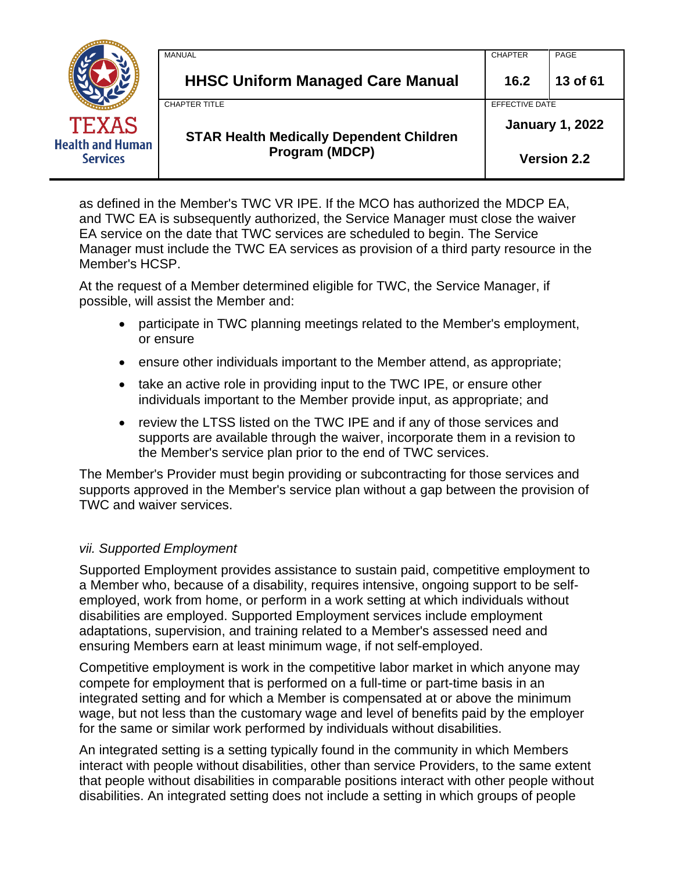|                                            | MANUAL                                          | <b>CHAPTER</b>         | PAGE     |
|--------------------------------------------|-------------------------------------------------|------------------------|----------|
|                                            | <b>HHSC Uniform Managed Care Manual</b>         | 16.2                   | 13 of 61 |
|                                            | <b>CHAPTER TITLE</b>                            | EFFECTIVE DATE         |          |
| <b>TEXAS</b>                               | <b>STAR Health Medically Dependent Children</b> | <b>January 1, 2022</b> |          |
| <b>Health and Human</b><br><b>Services</b> | <b>Program (MDCP)</b>                           | <b>Version 2.2</b>     |          |

as defined in the Member's TWC VR IPE. If the MCO has authorized the MDCP EA, and TWC EA is subsequently authorized, the Service Manager must close the waiver EA service on the date that TWC services are scheduled to begin. The Service Manager must include the TWC EA services as provision of a third party resource in the Member's HCSP.

At the request of a Member determined eligible for TWC, the Service Manager, if possible, will assist the Member and:

- participate in TWC planning meetings related to the Member's employment, or ensure
- ensure other individuals important to the Member attend, as appropriate;
- take an active role in providing input to the TWC IPE, or ensure other individuals important to the Member provide input, as appropriate; and
- review the LTSS listed on the TWC IPE and if any of those services and supports are available through the waiver, incorporate them in a revision to the Member's service plan prior to the end of TWC services.

The Member's Provider must begin providing or subcontracting for those services and supports approved in the Member's service plan without a gap between the provision of TWC and waiver services.

### *vii. Supported Employment*

Supported Employment provides assistance to sustain paid, competitive employment to a Member who, because of a disability, requires intensive, ongoing support to be selfemployed, work from home, or perform in a work setting at which individuals without disabilities are employed. Supported Employment services include employment adaptations, supervision, and training related to a Member's assessed need and ensuring Members earn at least minimum wage, if not self-employed.

Competitive employment is work in the competitive labor market in which anyone may compete for employment that is performed on a full-time or part-time basis in an integrated setting and for which a Member is compensated at or above the minimum wage, but not less than the customary wage and level of benefits paid by the employer for the same or similar work performed by individuals without disabilities.

An integrated setting is a setting typically found in the community in which Members interact with people without disabilities, other than service Providers, to the same extent that people without disabilities in comparable positions interact with other people without disabilities. An integrated setting does not include a setting in which groups of people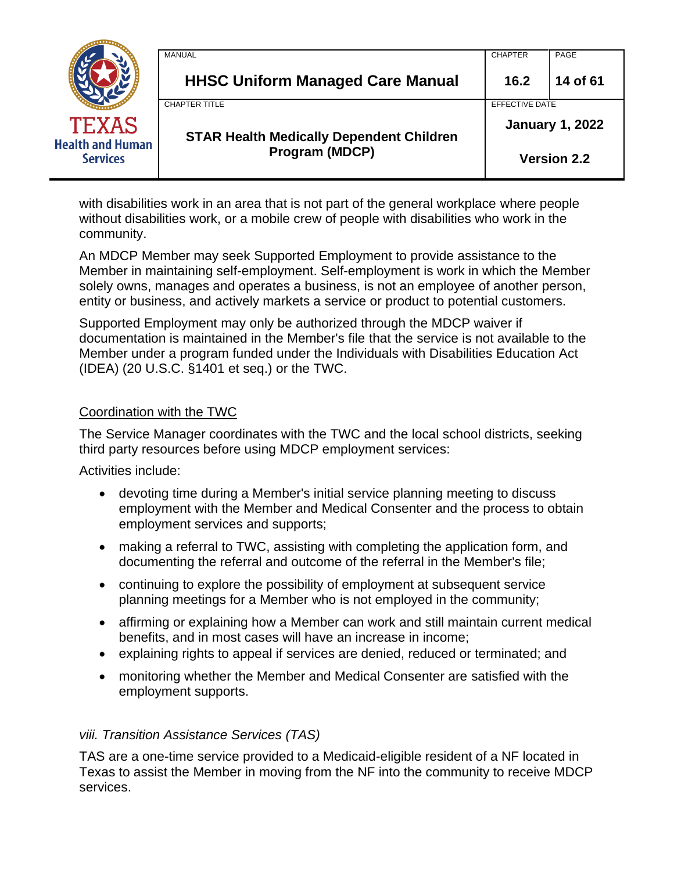|                                            | MANUAL                                          | <b>CHAPTER</b>         | PAGE     |
|--------------------------------------------|-------------------------------------------------|------------------------|----------|
|                                            | <b>HHSC Uniform Managed Care Manual</b>         | 16.2                   | 14 of 61 |
|                                            | <b>CHAPTER TITLE</b>                            | EFFECTIVE DATE         |          |
| <b>TEXAS</b>                               | <b>STAR Health Medically Dependent Children</b> | <b>January 1, 2022</b> |          |
| <b>Health and Human</b><br><b>Services</b> | Program (MDCP)                                  | <b>Version 2.2</b>     |          |

with disabilities work in an area that is not part of the general workplace where people without disabilities work, or a mobile crew of people with disabilities who work in the community.

An MDCP Member may seek Supported Employment to provide assistance to the Member in maintaining self-employment. Self-employment is work in which the Member solely owns, manages and operates a business, is not an employee of another person, entity or business, and actively markets a service or product to potential customers.

Supported Employment may only be authorized through the MDCP waiver if documentation is maintained in the Member's file that the service is not available to the Member under a program funded under the Individuals with Disabilities Education Act (IDEA) (20 U.S.C. §1401 et seq.) or the TWC.

### Coordination with the TWC

The Service Manager coordinates with the TWC and the local school districts, seeking third party resources before using MDCP employment services:

Activities include:

- devoting time during a Member's initial service planning meeting to discuss employment with the Member and Medical Consenter and the process to obtain employment services and supports;
- making a referral to TWC, assisting with completing the application form, and documenting the referral and outcome of the referral in the Member's file;
- continuing to explore the possibility of employment at subsequent service planning meetings for a Member who is not employed in the community;
- affirming or explaining how a Member can work and still maintain current medical benefits, and in most cases will have an increase in income;
- explaining rights to appeal if services are denied, reduced or terminated; and
- monitoring whether the Member and Medical Consenter are satisfied with the employment supports.

### *viii. Transition Assistance Services (TAS)*

TAS are a one-time service provided to a Medicaid-eligible resident of a NF located in Texas to assist the Member in moving from the NF into the community to receive MDCP services.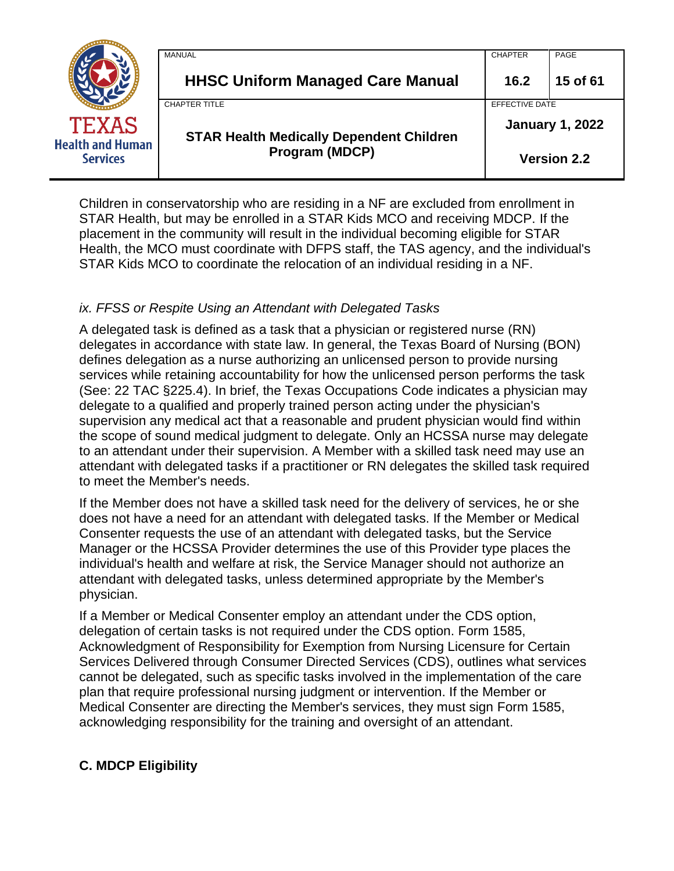|                                            | MANUAL                                          | <b>CHAPTER</b>         | PAGE               |
|--------------------------------------------|-------------------------------------------------|------------------------|--------------------|
|                                            | <b>HHSC Uniform Managed Care Manual</b>         | 16.2                   | 15 of 61           |
|                                            | CHAPTER TITLE                                   | EFFECTIVE DATE         |                    |
| <b>TEXAS</b>                               | <b>STAR Health Medically Dependent Children</b> | <b>January 1, 2022</b> |                    |
| <b>Health and Human</b><br><b>Services</b> | <b>Program (MDCP)</b>                           |                        | <b>Version 2.2</b> |

Children in conservatorship who are residing in a NF are excluded from enrollment in STAR Health, but may be enrolled in a STAR Kids MCO and receiving MDCP. If the placement in the community will result in the individual becoming eligible for STAR Health, the MCO must coordinate with DFPS staff, the TAS agency, and the individual's STAR Kids MCO to coordinate the relocation of an individual residing in a NF.

## *ix. FFSS or Respite Using an Attendant with Delegated Tasks*

A delegated task is defined as a task that a physician or registered nurse (RN) delegates in accordance with state law. In general, the Texas Board of Nursing (BON) defines delegation as a nurse authorizing an unlicensed person to provide nursing services while retaining accountability for how the unlicensed person performs the task (See: 22 TAC §225.4). In brief, the Texas Occupations Code indicates a physician may delegate to a qualified and properly trained person acting under the physician's supervision any medical act that a reasonable and prudent physician would find within the scope of sound medical judgment to delegate. Only an HCSSA nurse may delegate to an attendant under their supervision. A Member with a skilled task need may use an attendant with delegated tasks if a practitioner or RN delegates the skilled task required to meet the Member's needs.

If the Member does not have a skilled task need for the delivery of services, he or she does not have a need for an attendant with delegated tasks. If the Member or Medical Consenter requests the use of an attendant with delegated tasks, but the Service Manager or the HCSSA Provider determines the use of this Provider type places the individual's health and welfare at risk, the Service Manager should not authorize an attendant with delegated tasks, unless determined appropriate by the Member's physician.

If a Member or Medical Consenter employ an attendant under the CDS option, delegation of certain tasks is not required under the CDS option. Form 1585, Acknowledgment of Responsibility for Exemption from Nursing Licensure for Certain Services Delivered through Consumer Directed Services (CDS), outlines what services cannot be delegated, such as specific tasks involved in the implementation of the care plan that require professional nursing judgment or intervention. If the Member or Medical Consenter are directing the Member's services, they must sign Form 1585, acknowledging responsibility for the training and oversight of an attendant.

### **C. MDCP Eligibility**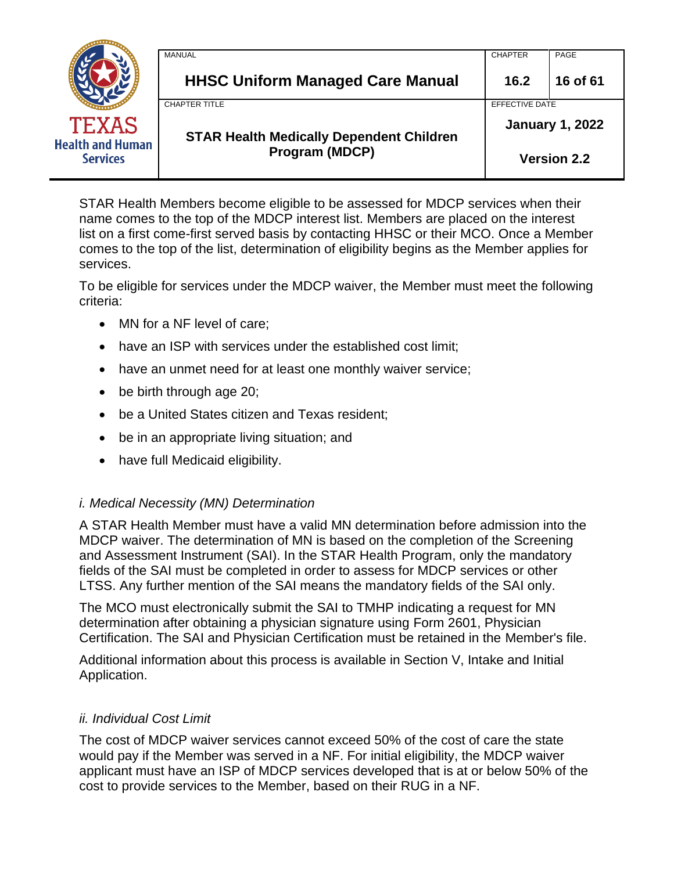|                                            | MANUAL                                          | <b>CHAPTER</b>         | PAGE     |
|--------------------------------------------|-------------------------------------------------|------------------------|----------|
|                                            | <b>HHSC Uniform Managed Care Manual</b>         | 16.2                   | 16 of 61 |
|                                            | CHAPTER TITLE                                   | EFFECTIVE DATE         |          |
| <b>TEXAS</b>                               | <b>STAR Health Medically Dependent Children</b> | <b>January 1, 2022</b> |          |
| <b>Health and Human</b><br><b>Services</b> | Program (MDCP)                                  | <b>Version 2.2</b>     |          |

STAR Health Members become eligible to be assessed for MDCP services when their name comes to the top of the MDCP interest list. Members are placed on the interest list on a first come-first served basis by contacting HHSC or their MCO. Once a Member comes to the top of the list, determination of eligibility begins as the Member applies for services.

To be eligible for services under the MDCP waiver, the Member must meet the following criteria:

- MN for a NF level of care;
- have an ISP with services under the established cost limit;
- have an unmet need for at least one monthly waiver service;
- be birth through age 20;
- be a United States citizen and Texas resident;
- be in an appropriate living situation; and
- have full Medicaid eligibility.

### *i. Medical Necessity (MN) Determination*

A STAR Health Member must have a valid MN determination before admission into the MDCP waiver. The determination of MN is based on the completion of the Screening and Assessment Instrument (SAI). In the STAR Health Program, only the mandatory fields of the SAI must be completed in order to assess for MDCP services or other LTSS. Any further mention of the SAI means the mandatory fields of the SAI only.

The MCO must electronically submit the SAI to TMHP indicating a request for MN determination after obtaining a physician signature using Form 2601, Physician Certification. The SAI and Physician Certification must be retained in the Member's file.

Additional information about this process is available in Section V, Intake and Initial Application.

### *ii. Individual Cost Limit*

The cost of MDCP waiver services cannot exceed 50% of the cost of care the state would pay if the Member was served in a NF. For initial eligibility, the MDCP waiver applicant must have an ISP of MDCP services developed that is at or below 50% of the cost to provide services to the Member, based on their RUG in a NF.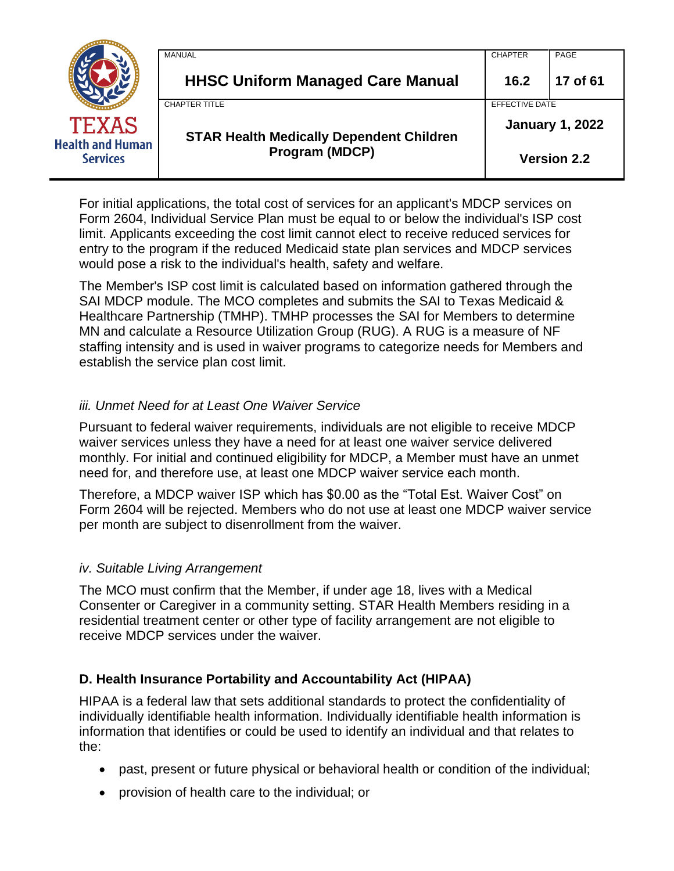|                                            | MANUAL                                          | <b>CHAPTER</b>         | PAGE               |
|--------------------------------------------|-------------------------------------------------|------------------------|--------------------|
|                                            | <b>HHSC Uniform Managed Care Manual</b>         | 16.2                   | 17 of 61           |
|                                            | <b>CHAPTER TITLE</b>                            | EFFECTIVE DATE         |                    |
| <b>TEXAS</b>                               | <b>STAR Health Medically Dependent Children</b> | <b>January 1, 2022</b> |                    |
| <b>Health and Human</b><br><b>Services</b> | Program (MDCP)                                  |                        | <b>Version 2.2</b> |

For initial applications, the total cost of services for an applicant's MDCP services on Form 2604, Individual Service Plan must be equal to or below the individual's ISP cost limit. Applicants exceeding the cost limit cannot elect to receive reduced services for entry to the program if the reduced Medicaid state plan services and MDCP services would pose a risk to the individual's health, safety and welfare.

The Member's ISP cost limit is calculated based on information gathered through the SAI MDCP module. The MCO completes and submits the SAI to Texas Medicaid & Healthcare Partnership (TMHP). TMHP processes the SAI for Members to determine MN and calculate a Resource Utilization Group (RUG). A RUG is a measure of NF staffing intensity and is used in waiver programs to categorize needs for Members and establish the service plan cost limit.

### *iii. Unmet Need for at Least One Waiver Service*

Pursuant to federal waiver requirements, individuals are not eligible to receive MDCP waiver services unless they have a need for at least one waiver service delivered monthly. For initial and continued eligibility for MDCP, a Member must have an unmet need for, and therefore use, at least one MDCP waiver service each month.

Therefore, a MDCP waiver ISP which has \$0.00 as the "Total Est. Waiver Cost" on Form 2604 will be rejected. Members who do not use at least one MDCP waiver service per month are subject to disenrollment from the waiver.

### *iv. Suitable Living Arrangement*

The MCO must confirm that the Member, if under age 18, lives with a Medical Consenter or Caregiver in a community setting. STAR Health Members residing in a residential treatment center or other type of facility arrangement are not eligible to receive MDCP services under the waiver.

# **D. Health Insurance Portability and Accountability Act (HIPAA)**

HIPAA is a federal law that sets additional standards to protect the confidentiality of individually identifiable health information. Individually identifiable health information is information that identifies or could be used to identify an individual and that relates to the:

- past, present or future physical or behavioral health or condition of the individual;
- provision of health care to the individual; or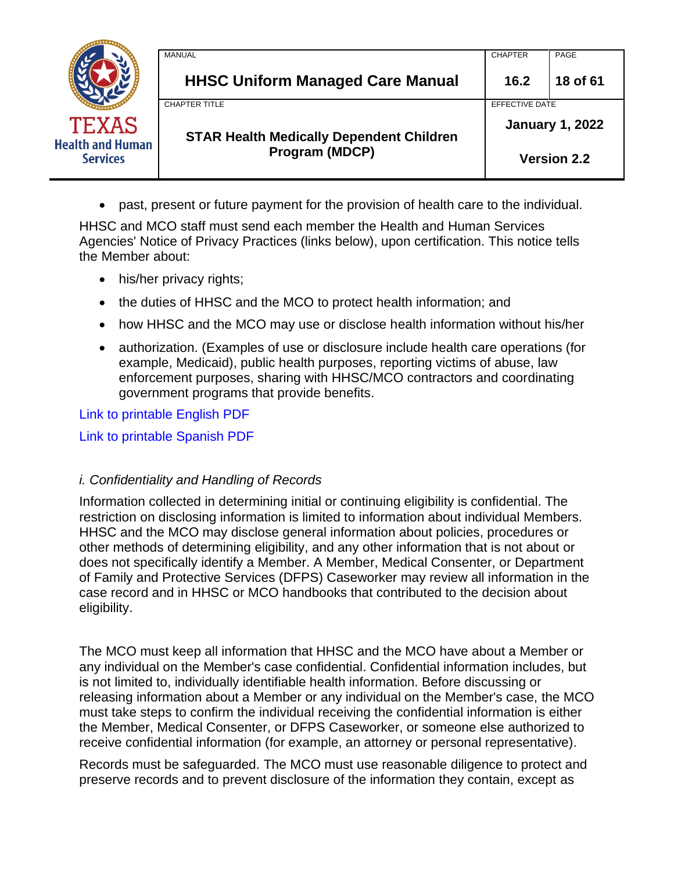|                                            | MANUAL                                          | <b>CHAPTER</b>         | PAGE     |
|--------------------------------------------|-------------------------------------------------|------------------------|----------|
|                                            | <b>HHSC Uniform Managed Care Manual</b>         | 16.2                   | 18 of 61 |
|                                            | <b>CHAPTER TITLE</b>                            | EFFECTIVE DATE         |          |
| <b>TEXAS</b>                               | <b>STAR Health Medically Dependent Children</b> | <b>January 1, 2022</b> |          |
| <b>Health and Human</b><br><b>Services</b> | <b>Program (MDCP)</b>                           | <b>Version 2.2</b>     |          |

• past, present or future payment for the provision of health care to the individual.

HHSC and MCO staff must send each member the Health and Human Services Agencies' Notice of Privacy Practices (links below), upon certification. This notice tells the Member about:

- his/her privacy rights;
- the duties of HHSC and the MCO to protect health information; and
- how HHSC and the MCO may use or disclose health information without his/her
- authorization. (Examples of use or disclosure include health care operations (for example, Medicaid), public health purposes, reporting victims of abuse, law enforcement purposes, sharing with HHSC/MCO contractors and coordinating government programs that provide benefits.

Link to printable English PDF

Link to printable Spanish PDF

### *i. Confidentiality and Handling of Records*

Information collected in determining initial or continuing eligibility is confidential. The restriction on disclosing information is limited to information about individual Members. HHSC and the MCO may disclose general information about policies, procedures or other methods of determining eligibility, and any other information that is not about or does not specifically identify a Member. A Member, Medical Consenter, or Department of Family and Protective Services (DFPS) Caseworker may review all information in the case record and in HHSC or MCO handbooks that contributed to the decision about eligibility.

The MCO must keep all information that HHSC and the MCO have about a Member or any individual on the Member's case confidential. Confidential information includes, but is not limited to, individually identifiable health information. Before discussing or releasing information about a Member or any individual on the Member's case, the MCO must take steps to confirm the individual receiving the confidential information is either the Member, Medical Consenter, or DFPS Caseworker, or someone else authorized to receive confidential information (for example, an attorney or personal representative).

Records must be safeguarded. The MCO must use reasonable diligence to protect and preserve records and to prevent disclosure of the information they contain, except as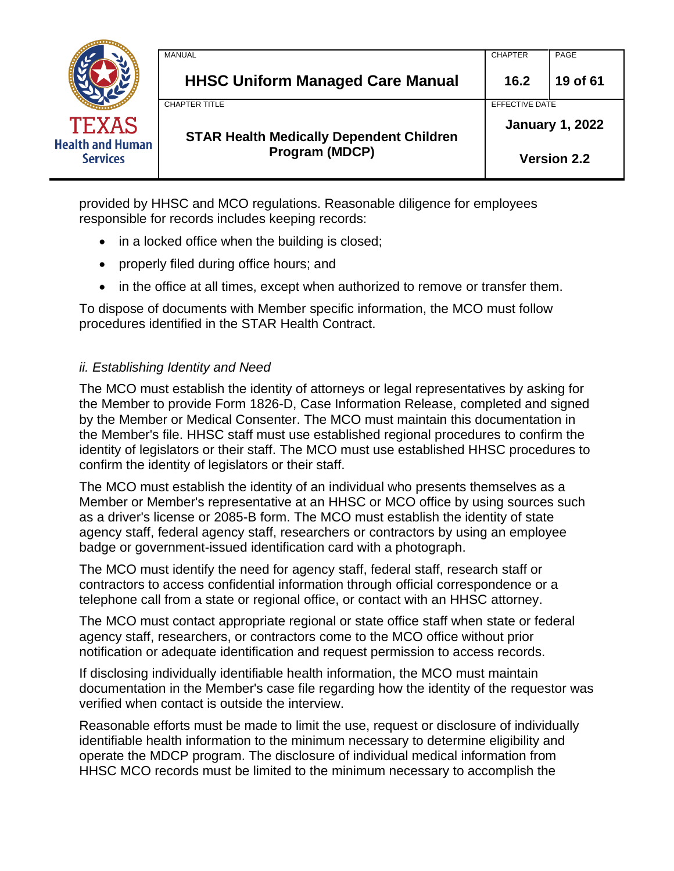|                                            | <b>MANUAL</b>                                   | <b>CHAPTER</b>         | PAGE               |
|--------------------------------------------|-------------------------------------------------|------------------------|--------------------|
|                                            | <b>HHSC Uniform Managed Care Manual</b>         | 16.2                   | 19 of 61           |
|                                            | <b>CHAPTER TITLE</b>                            | EFFECTIVE DATE         |                    |
| <b>TEXAS</b>                               | <b>STAR Health Medically Dependent Children</b> | <b>January 1, 2022</b> |                    |
| <b>Health and Human</b><br><b>Services</b> | <b>Program (MDCP)</b>                           |                        | <b>Version 2.2</b> |

provided by HHSC and MCO regulations. Reasonable diligence for employees responsible for records includes keeping records:

- in a locked office when the building is closed;
- properly filed during office hours; and
- in the office at all times, except when authorized to remove or transfer them.

To dispose of documents with Member specific information, the MCO must follow procedures identified in the STAR Health Contract.

### *ii. Establishing Identity and Need*

The MCO must establish the identity of attorneys or legal representatives by asking for the Member to provide Form 1826-D, Case Information Release, completed and signed by the Member or Medical Consenter. The MCO must maintain this documentation in the Member's file. HHSC staff must use established regional procedures to confirm the identity of legislators or their staff. The MCO must use established HHSC procedures to confirm the identity of legislators or their staff.

The MCO must establish the identity of an individual who presents themselves as a Member or Member's representative at an HHSC or MCO office by using sources such as a driver's license or 2085-B form. The MCO must establish the identity of state agency staff, federal agency staff, researchers or contractors by using an employee badge or government-issued identification card with a photograph.

The MCO must identify the need for agency staff, federal staff, research staff or contractors to access confidential information through official correspondence or a telephone call from a state or regional office, or contact with an HHSC attorney.

The MCO must contact appropriate regional or state office staff when state or federal agency staff, researchers, or contractors come to the MCO office without prior notification or adequate identification and request permission to access records.

If disclosing individually identifiable health information, the MCO must maintain documentation in the Member's case file regarding how the identity of the requestor was verified when contact is outside the interview.

Reasonable efforts must be made to limit the use, request or disclosure of individually identifiable health information to the minimum necessary to determine eligibility and operate the MDCP program. The disclosure of individual medical information from HHSC MCO records must be limited to the minimum necessary to accomplish the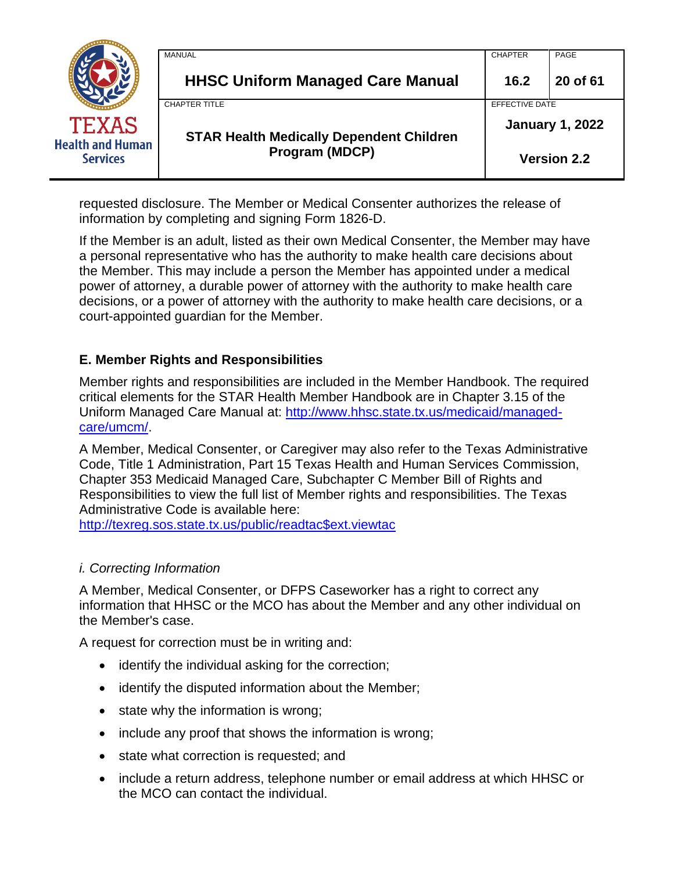|                                            | MANUAL                                          | <b>CHAPTER</b>         | PAGE     |
|--------------------------------------------|-------------------------------------------------|------------------------|----------|
|                                            | <b>HHSC Uniform Managed Care Manual</b>         | 16.2                   | 20 of 61 |
|                                            | <b>CHAPTER TITLE</b>                            | EFFECTIVE DATE         |          |
| <b>TEXAS</b>                               | <b>STAR Health Medically Dependent Children</b> | <b>January 1, 2022</b> |          |
| <b>Health and Human</b><br><b>Services</b> | Program (MDCP)                                  | <b>Version 2.2</b>     |          |

requested disclosure. The Member or Medical Consenter authorizes the release of information by completing and signing Form 1826-D.

If the Member is an adult, listed as their own Medical Consenter, the Member may have a personal representative who has the authority to make health care decisions about the Member. This may include a person the Member has appointed under a medical power of attorney, a durable power of attorney with the authority to make health care decisions, or a power of attorney with the authority to make health care decisions, or a court-appointed guardian for the Member.

### **E. Member Rights and Responsibilities**

Member rights and responsibilities are included in the Member Handbook. The required critical elements for the STAR Health Member Handbook are in Chapter 3.15 of the Uniform Managed Care Manual at: [http://www.hhsc.state.tx.us/medicaid/managed](http://www.hhsc.state.tx.us/medicaid/managed-care/umcm/)[care/umcm/.](http://www.hhsc.state.tx.us/medicaid/managed-care/umcm/)

A Member, Medical Consenter, or Caregiver may also refer to the Texas Administrative Code, Title 1 Administration, Part 15 Texas Health and Human Services Commission, Chapter 353 Medicaid Managed Care, Subchapter C Member Bill of Rights and Responsibilities to view the full list of Member rights and responsibilities. The Texas Administrative Code is available here:

[http://texreg.sos.state.tx.us/public/readtac\\$ext.viewtac](http://texreg.sos.state.tx.us/public/readtac$ext.viewtac)

### *i. Correcting Information*

A Member, Medical Consenter, or DFPS Caseworker has a right to correct any information that HHSC or the MCO has about the Member and any other individual on the Member's case.

A request for correction must be in writing and:

- identify the individual asking for the correction;
- identify the disputed information about the Member;
- state why the information is wrong;
- include any proof that shows the information is wrong;
- state what correction is requested; and
- include a return address, telephone number or email address at which HHSC or the MCO can contact the individual.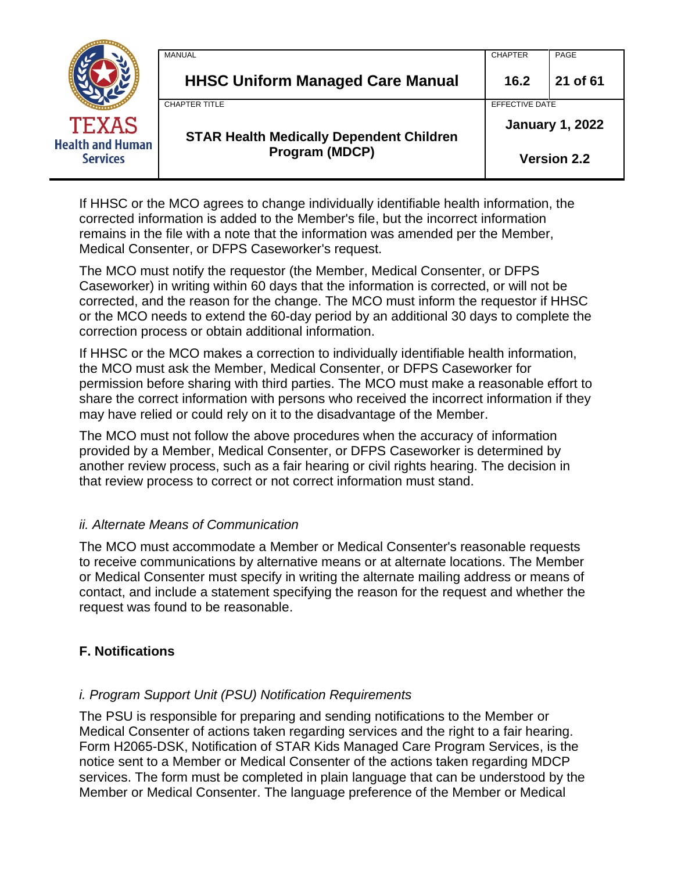|                                            | MANUAL                                          | <b>CHAPTER</b>         | PAGE               |
|--------------------------------------------|-------------------------------------------------|------------------------|--------------------|
|                                            | <b>HHSC Uniform Managed Care Manual</b>         | 16.2                   | 21 of 61           |
|                                            | <b>CHAPTER TITLE</b>                            | EFFECTIVE DATE         |                    |
| <b>TEXAS</b>                               | <b>STAR Health Medically Dependent Children</b> | <b>January 1, 2022</b> |                    |
| <b>Health and Human</b><br><b>Services</b> | <b>Program (MDCP)</b>                           |                        | <b>Version 2.2</b> |

If HHSC or the MCO agrees to change individually identifiable health information, the corrected information is added to the Member's file, but the incorrect information remains in the file with a note that the information was amended per the Member, Medical Consenter, or DFPS Caseworker's request.

The MCO must notify the requestor (the Member, Medical Consenter, or DFPS Caseworker) in writing within 60 days that the information is corrected, or will not be corrected, and the reason for the change. The MCO must inform the requestor if HHSC or the MCO needs to extend the 60-day period by an additional 30 days to complete the correction process or obtain additional information.

If HHSC or the MCO makes a correction to individually identifiable health information, the MCO must ask the Member, Medical Consenter, or DFPS Caseworker for permission before sharing with third parties. The MCO must make a reasonable effort to share the correct information with persons who received the incorrect information if they may have relied or could rely on it to the disadvantage of the Member.

The MCO must not follow the above procedures when the accuracy of information provided by a Member, Medical Consenter, or DFPS Caseworker is determined by another review process, such as a fair hearing or civil rights hearing. The decision in that review process to correct or not correct information must stand.

### *ii. Alternate Means of Communication*

The MCO must accommodate a Member or Medical Consenter's reasonable requests to receive communications by alternative means or at alternate locations. The Member or Medical Consenter must specify in writing the alternate mailing address or means of contact, and include a statement specifying the reason for the request and whether the request was found to be reasonable.

### **F. Notifications**

### *i. Program Support Unit (PSU) Notification Requirements*

The PSU is responsible for preparing and sending notifications to the Member or Medical Consenter of actions taken regarding services and the right to a fair hearing. Form H2065-DSK, Notification of STAR Kids Managed Care Program Services, is the notice sent to a Member or Medical Consenter of the actions taken regarding MDCP services. The form must be completed in plain language that can be understood by the Member or Medical Consenter. The language preference of the Member or Medical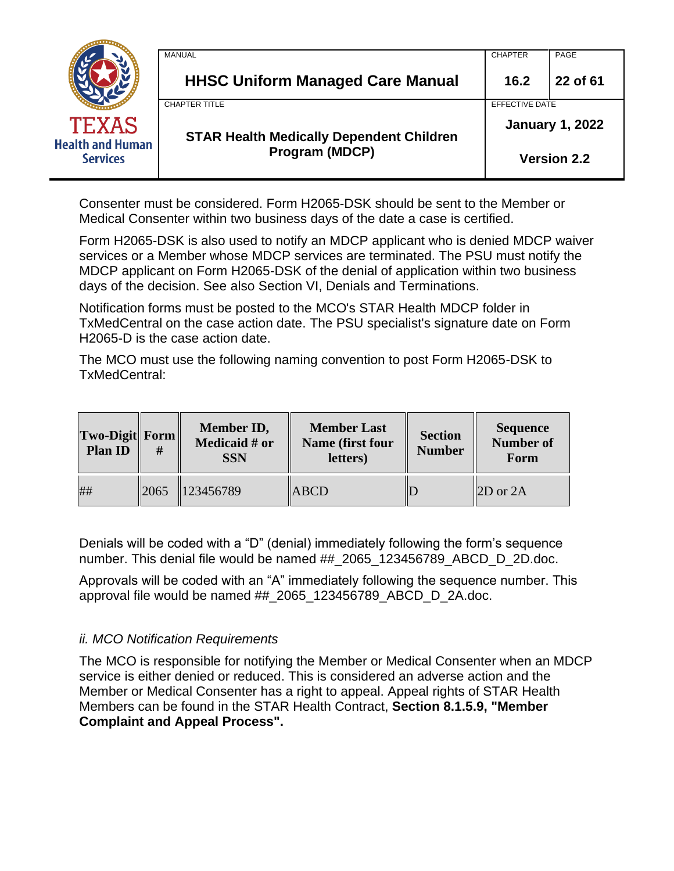|                                            | MANUAL                                          | <b>CHAPTER</b>         | PAGE     |
|--------------------------------------------|-------------------------------------------------|------------------------|----------|
|                                            | <b>HHSC Uniform Managed Care Manual</b>         | 16.2                   | 22 of 61 |
|                                            | <b>CHAPTER TITLE</b>                            | EFFECTIVE DATE         |          |
| <b>TEXAS</b>                               | <b>STAR Health Medically Dependent Children</b> | <b>January 1, 2022</b> |          |
| <b>Health and Human</b><br><b>Services</b> | <b>Program (MDCP)</b>                           | <b>Version 2.2</b>     |          |

Consenter must be considered. Form H2065-DSK should be sent to the Member or Medical Consenter within two business days of the date a case is certified.

Form H2065-DSK is also used to notify an MDCP applicant who is denied MDCP waiver services or a Member whose MDCP services are terminated. The PSU must notify the MDCP applicant on Form H2065-DSK of the denial of application within two business days of the decision. See also Section VI, Denials and Terminations.

Notification forms must be posted to the MCO's STAR Health MDCP folder in TxMedCentral on the case action date. The PSU specialist's signature date on Form H2065-D is the case action date.

The MCO must use the following naming convention to post Form H2065-DSK to TxMedCentral:

| $\ Two\$<br><b>Plan ID</b> | #    | Member ID,<br>Medicaid # or<br><b>SSN</b> | <b>Member Last</b><br>Name (first four<br>letters) | <b>Section</b><br><b>Number</b> | <b>Sequence</b><br><b>Number of</b><br>Form |
|----------------------------|------|-------------------------------------------|----------------------------------------------------|---------------------------------|---------------------------------------------|
| ##                         | 2065 | 123456789                                 | <b>ABCD</b>                                        |                                 | $2D$ or $2A$                                |

Denials will be coded with a "D" (denial) immediately following the form's sequence number. This denial file would be named ## 2065 123456789 ABCD D 2D.doc.

Approvals will be coded with an "A" immediately following the sequence number. This approval file would be named ## 2065 123456789 ABCD D 2A.doc.

### *ii. MCO Notification Requirements*

The MCO is responsible for notifying the Member or Medical Consenter when an MDCP service is either denied or reduced. This is considered an adverse action and the Member or Medical Consenter has a right to appeal. Appeal rights of STAR Health Members can be found in the STAR Health Contract, **Section 8.1.5.9, "Member Complaint and Appeal Process".**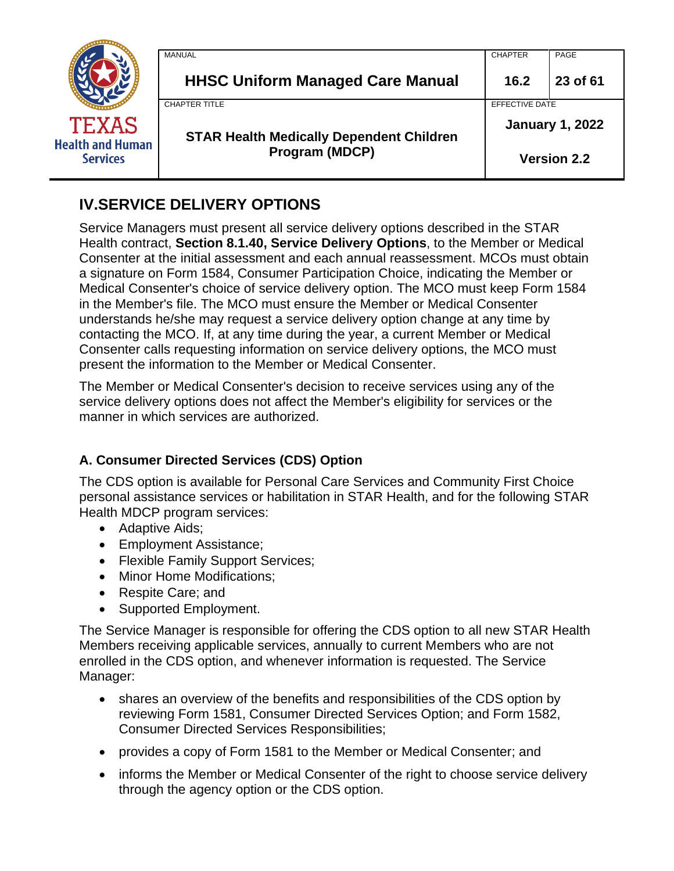|                                            | <b>MANUAL</b>                                   | <b>CHAPTER</b>         | PAGE     |
|--------------------------------------------|-------------------------------------------------|------------------------|----------|
|                                            | <b>HHSC Uniform Managed Care Manual</b>         | 16.2                   | 23 of 61 |
|                                            | <b>CHAPTER TITLE</b>                            | <b>EFFECTIVE DATE</b>  |          |
| <b>TEXAS</b>                               | <b>STAR Health Medically Dependent Children</b> | <b>January 1, 2022</b> |          |
| <b>Health and Human</b><br><b>Services</b> | Program (MDCP)                                  | <b>Version 2.2</b>     |          |

# <span id="page-22-0"></span>**IV.SERVICE DELIVERY OPTIONS**

Service Managers must present all service delivery options described in the STAR Health contract, **Section 8.1.40, Service Delivery Options**, to the Member or Medical Consenter at the initial assessment and each annual reassessment. MCOs must obtain a signature on Form 1584, Consumer Participation Choice, indicating the Member or Medical Consenter's choice of service delivery option. The MCO must keep Form 1584 in the Member's file. The MCO must ensure the Member or Medical Consenter understands he/she may request a service delivery option change at any time by contacting the MCO. If, at any time during the year, a current Member or Medical Consenter calls requesting information on service delivery options, the MCO must present the information to the Member or Medical Consenter.

The Member or Medical Consenter's decision to receive services using any of the service delivery options does not affect the Member's eligibility for services or the manner in which services are authorized.

# **A. Consumer Directed Services (CDS) Option**

The CDS option is available for Personal Care Services and Community First Choice personal assistance services or habilitation in STAR Health, and for the following STAR Health MDCP program services:

- Adaptive Aids;
- Employment Assistance;
- Flexible Family Support Services;
- Minor Home Modifications;
- Respite Care; and
- Supported Employment.

The Service Manager is responsible for offering the CDS option to all new STAR Health Members receiving applicable services, annually to current Members who are not enrolled in the CDS option, and whenever information is requested. The Service Manager:

- shares an overview of the benefits and responsibilities of the CDS option by reviewing Form 1581, Consumer Directed Services Option; and Form 1582, Consumer Directed Services Responsibilities;
- provides a copy of Form 1581 to the Member or Medical Consenter; and
- informs the Member or Medical Consenter of the right to choose service delivery through the agency option or the CDS option.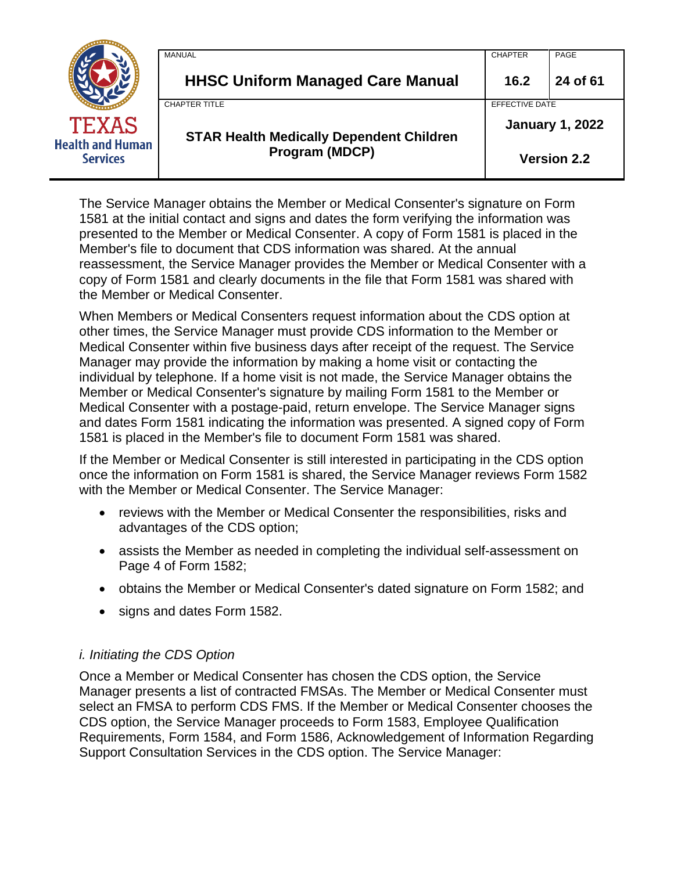|                                            | MANUAL                                                            | <b>CHAPTER</b>         | PAGE     |
|--------------------------------------------|-------------------------------------------------------------------|------------------------|----------|
|                                            | <b>HHSC Uniform Managed Care Manual</b>                           | 16.2                   | 24 of 61 |
|                                            | <b>CHAPTER TITLE</b>                                              | EFFECTIVE DATE         |          |
| <b>TEXAS</b>                               | <b>STAR Health Medically Dependent Children</b><br>Program (MDCP) | <b>January 1, 2022</b> |          |
| <b>Health and Human</b><br><b>Services</b> |                                                                   | <b>Version 2.2</b>     |          |

The Service Manager obtains the Member or Medical Consenter's signature on Form 1581 at the initial contact and signs and dates the form verifying the information was presented to the Member or Medical Consenter. A copy of Form 1581 is placed in the Member's file to document that CDS information was shared. At the annual reassessment, the Service Manager provides the Member or Medical Consenter with a copy of Form 1581 and clearly documents in the file that Form 1581 was shared with the Member or Medical Consenter.

When Members or Medical Consenters request information about the CDS option at other times, the Service Manager must provide CDS information to the Member or Medical Consenter within five business days after receipt of the request. The Service Manager may provide the information by making a home visit or contacting the individual by telephone. If a home visit is not made, the Service Manager obtains the Member or Medical Consenter's signature by mailing Form 1581 to the Member or Medical Consenter with a postage-paid, return envelope. The Service Manager signs and dates Form 1581 indicating the information was presented. A signed copy of Form 1581 is placed in the Member's file to document Form 1581 was shared.

If the Member or Medical Consenter is still interested in participating in the CDS option once the information on Form 1581 is shared, the Service Manager reviews Form 1582 with the Member or Medical Consenter. The Service Manager:

- reviews with the Member or Medical Consenter the responsibilities, risks and advantages of the CDS option;
- assists the Member as needed in completing the individual self-assessment on Page 4 of Form 1582;
- obtains the Member or Medical Consenter's dated signature on Form 1582; and
- signs and dates Form 1582.

### *i. Initiating the CDS Option*

Once a Member or Medical Consenter has chosen the CDS option, the Service Manager presents a list of contracted FMSAs. The Member or Medical Consenter must select an FMSA to perform CDS FMS. If the Member or Medical Consenter chooses the CDS option, the Service Manager proceeds to Form 1583, Employee Qualification Requirements, Form 1584, and Form 1586, Acknowledgement of Information Regarding Support Consultation Services in the CDS option. The Service Manager: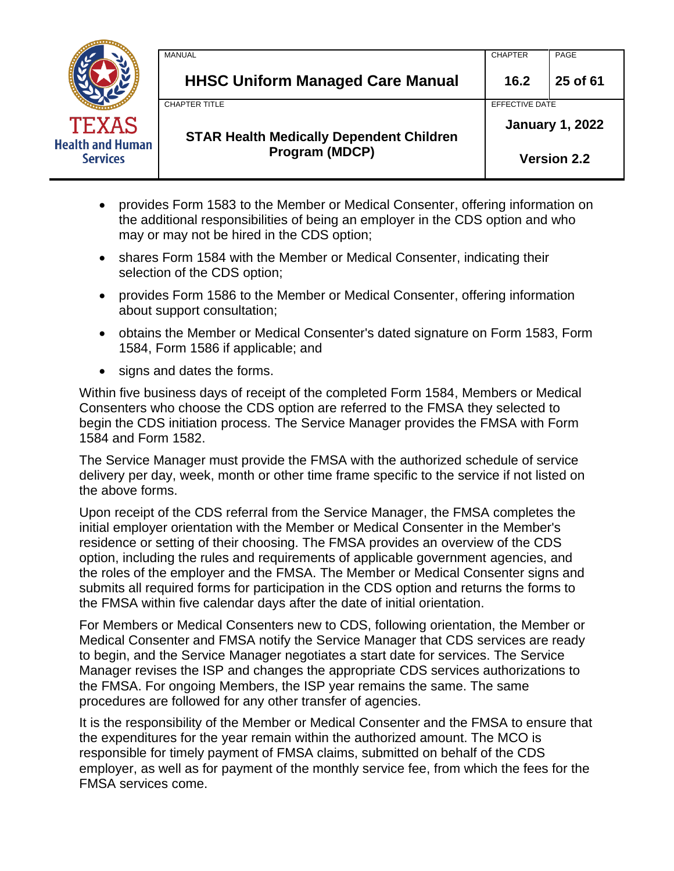|                                            | MANUAL                                          | <b>CHAPTER</b>         | PAGE     |
|--------------------------------------------|-------------------------------------------------|------------------------|----------|
|                                            | <b>HHSC Uniform Managed Care Manual</b>         | 16.2                   | 25 of 61 |
|                                            | CHAPTER TITLE                                   | EFFECTIVE DATE         |          |
| <b>TEXAS</b>                               | <b>STAR Health Medically Dependent Children</b> | <b>January 1, 2022</b> |          |
| <b>Health and Human</b><br><b>Services</b> | Program (MDCP)                                  | <b>Version 2.2</b>     |          |

- provides Form 1583 to the Member or Medical Consenter, offering information on the additional responsibilities of being an employer in the CDS option and who may or may not be hired in the CDS option;
- shares Form 1584 with the Member or Medical Consenter, indicating their selection of the CDS option;
- provides Form 1586 to the Member or Medical Consenter, offering information about support consultation;
- obtains the Member or Medical Consenter's dated signature on Form 1583, Form 1584, Form 1586 if applicable; and
- signs and dates the forms.

Within five business days of receipt of the completed Form 1584, Members or Medical Consenters who choose the CDS option are referred to the FMSA they selected to begin the CDS initiation process. The Service Manager provides the FMSA with Form 1584 and Form 1582.

The Service Manager must provide the FMSA with the authorized schedule of service delivery per day, week, month or other time frame specific to the service if not listed on the above forms.

Upon receipt of the CDS referral from the Service Manager, the FMSA completes the initial employer orientation with the Member or Medical Consenter in the Member's residence or setting of their choosing. The FMSA provides an overview of the CDS option, including the rules and requirements of applicable government agencies, and the roles of the employer and the FMSA. The Member or Medical Consenter signs and submits all required forms for participation in the CDS option and returns the forms to the FMSA within five calendar days after the date of initial orientation.

For Members or Medical Consenters new to CDS, following orientation, the Member or Medical Consenter and FMSA notify the Service Manager that CDS services are ready to begin, and the Service Manager negotiates a start date for services. The Service Manager revises the ISP and changes the appropriate CDS services authorizations to the FMSA. For ongoing Members, the ISP year remains the same. The same procedures are followed for any other transfer of agencies.

It is the responsibility of the Member or Medical Consenter and the FMSA to ensure that the expenditures for the year remain within the authorized amount. The MCO is responsible for timely payment of FMSA claims, submitted on behalf of the CDS employer, as well as for payment of the monthly service fee, from which the fees for the FMSA services come.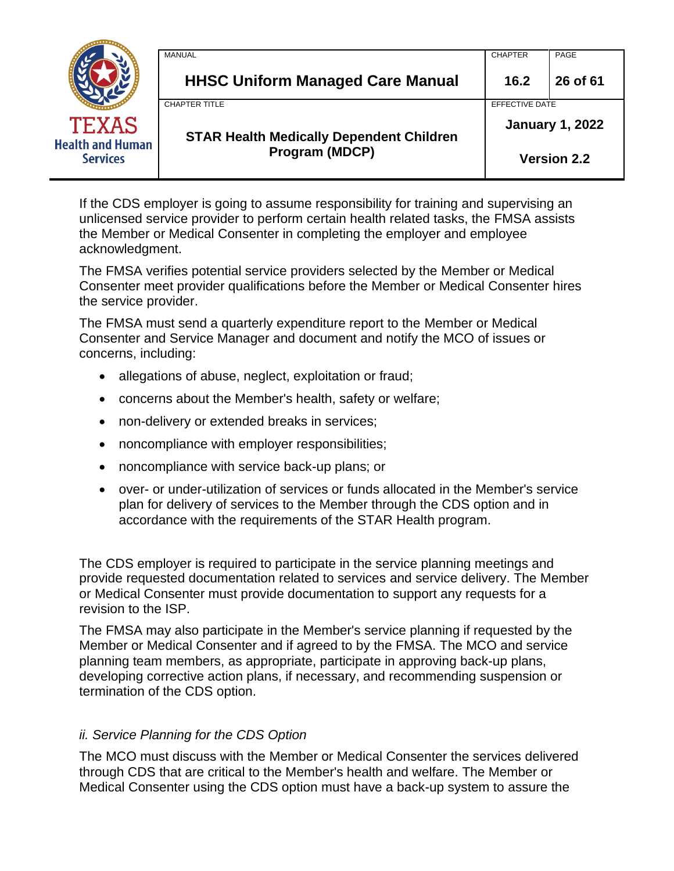|                                            | MANUAL                                                                   | <b>CHAPTER</b>         | PAGE     |
|--------------------------------------------|--------------------------------------------------------------------------|------------------------|----------|
|                                            | <b>HHSC Uniform Managed Care Manual</b>                                  | 16.2                   | 26 of 61 |
|                                            | <b>CHAPTER TITLE</b>                                                     | EFFECTIVE DATE         |          |
| <b>TEXAS</b>                               | <b>STAR Health Medically Dependent Children</b><br><b>Program (MDCP)</b> | <b>January 1, 2022</b> |          |
| <b>Health and Human</b><br><b>Services</b> |                                                                          | <b>Version 2.2</b>     |          |

If the CDS employer is going to assume responsibility for training and supervising an unlicensed service provider to perform certain health related tasks, the FMSA assists the Member or Medical Consenter in completing the employer and employee acknowledgment.

The FMSA verifies potential service providers selected by the Member or Medical Consenter meet provider qualifications before the Member or Medical Consenter hires the service provider.

The FMSA must send a quarterly expenditure report to the Member or Medical Consenter and Service Manager and document and notify the MCO of issues or concerns, including:

- allegations of abuse, neglect, exploitation or fraud;
- concerns about the Member's health, safety or welfare;
- non-delivery or extended breaks in services;
- noncompliance with employer responsibilities;
- noncompliance with service back-up plans; or
- over- or under-utilization of services or funds allocated in the Member's service plan for delivery of services to the Member through the CDS option and in accordance with the requirements of the STAR Health program.

The CDS employer is required to participate in the service planning meetings and provide requested documentation related to services and service delivery. The Member or Medical Consenter must provide documentation to support any requests for a revision to the ISP.

The FMSA may also participate in the Member's service planning if requested by the Member or Medical Consenter and if agreed to by the FMSA. The MCO and service planning team members, as appropriate, participate in approving back-up plans, developing corrective action plans, if necessary, and recommending suspension or termination of the CDS option.

### *ii. Service Planning for the CDS Option*

The MCO must discuss with the Member or Medical Consenter the services delivered through CDS that are critical to the Member's health and welfare. The Member or Medical Consenter using the CDS option must have a back-up system to assure the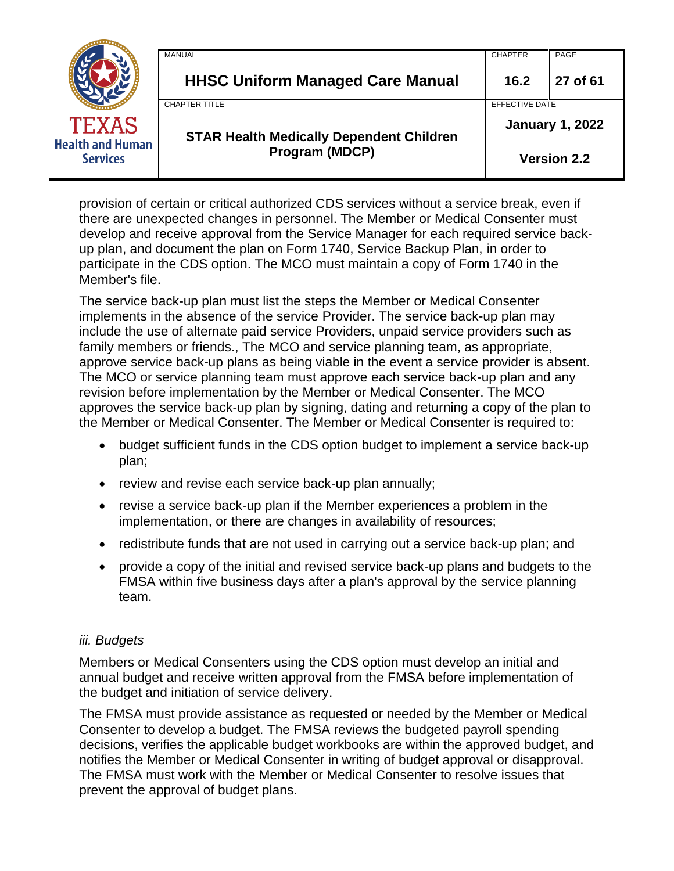|                                            | MANUAL                                          | <b>CHAPTER</b>         | PAGE     |
|--------------------------------------------|-------------------------------------------------|------------------------|----------|
|                                            | <b>HHSC Uniform Managed Care Manual</b>         | 16.2                   | 27 of 61 |
|                                            | <b>CHAPTER TITLE</b>                            | EFFECTIVE DATE         |          |
| <b>TEXAS</b>                               | <b>STAR Health Medically Dependent Children</b> | <b>January 1, 2022</b> |          |
| <b>Health and Human</b><br><b>Services</b> | Program (MDCP)                                  | <b>Version 2.2</b>     |          |

provision of certain or critical authorized CDS services without a service break, even if there are unexpected changes in personnel. The Member or Medical Consenter must develop and receive approval from the Service Manager for each required service backup plan, and document the plan on Form 1740, Service Backup Plan, in order to participate in the CDS option. The MCO must maintain a copy of Form 1740 in the Member's file.

The service back-up plan must list the steps the Member or Medical Consenter implements in the absence of the service Provider. The service back-up plan may include the use of alternate paid service Providers, unpaid service providers such as family members or friends., The MCO and service planning team, as appropriate, approve service back-up plans as being viable in the event a service provider is absent. The MCO or service planning team must approve each service back-up plan and any revision before implementation by the Member or Medical Consenter. The MCO approves the service back-up plan by signing, dating and returning a copy of the plan to the Member or Medical Consenter. The Member or Medical Consenter is required to:

- budget sufficient funds in the CDS option budget to implement a service back-up plan;
- review and revise each service back-up plan annually;
- revise a service back-up plan if the Member experiences a problem in the implementation, or there are changes in availability of resources;
- redistribute funds that are not used in carrying out a service back-up plan; and
- provide a copy of the initial and revised service back-up plans and budgets to the FMSA within five business days after a plan's approval by the service planning team.

### *iii. Budgets*

Members or Medical Consenters using the CDS option must develop an initial and annual budget and receive written approval from the FMSA before implementation of the budget and initiation of service delivery.

The FMSA must provide assistance as requested or needed by the Member or Medical Consenter to develop a budget. The FMSA reviews the budgeted payroll spending decisions, verifies the applicable budget workbooks are within the approved budget, and notifies the Member or Medical Consenter in writing of budget approval or disapproval. The FMSA must work with the Member or Medical Consenter to resolve issues that prevent the approval of budget plans.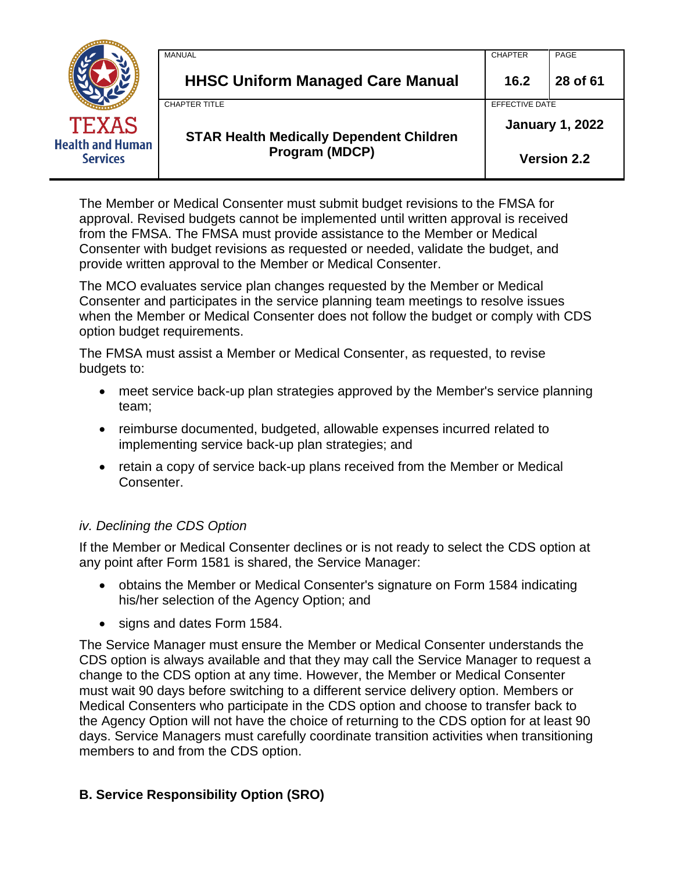|                                            | MANUAL                                          | <b>CHAPTER</b>         | PAGE     |
|--------------------------------------------|-------------------------------------------------|------------------------|----------|
|                                            | <b>HHSC Uniform Managed Care Manual</b>         | 16.2                   | 28 of 61 |
|                                            | <b>CHAPTER TITLE</b>                            | EFFECTIVE DATE         |          |
| <b>TEXAS</b>                               | <b>STAR Health Medically Dependent Children</b> | <b>January 1, 2022</b> |          |
| <b>Health and Human</b><br><b>Services</b> | Program (MDCP)                                  | <b>Version 2.2</b>     |          |

The Member or Medical Consenter must submit budget revisions to the FMSA for approval. Revised budgets cannot be implemented until written approval is received from the FMSA. The FMSA must provide assistance to the Member or Medical Consenter with budget revisions as requested or needed, validate the budget, and provide written approval to the Member or Medical Consenter.

The MCO evaluates service plan changes requested by the Member or Medical Consenter and participates in the service planning team meetings to resolve issues when the Member or Medical Consenter does not follow the budget or comply with CDS option budget requirements.

The FMSA must assist a Member or Medical Consenter, as requested, to revise budgets to:

- meet service back-up plan strategies approved by the Member's service planning team;
- reimburse documented, budgeted, allowable expenses incurred related to implementing service back-up plan strategies; and
- retain a copy of service back-up plans received from the Member or Medical Consenter.

# *iv. Declining the CDS Option*

If the Member or Medical Consenter declines or is not ready to select the CDS option at any point after Form 1581 is shared, the Service Manager:

- obtains the Member or Medical Consenter's signature on Form 1584 indicating his/her selection of the Agency Option; and
- signs and dates Form 1584.

The Service Manager must ensure the Member or Medical Consenter understands the CDS option is always available and that they may call the Service Manager to request a change to the CDS option at any time. However, the Member or Medical Consenter must wait 90 days before switching to a different service delivery option. Members or Medical Consenters who participate in the CDS option and choose to transfer back to the Agency Option will not have the choice of returning to the CDS option for at least 90 days. Service Managers must carefully coordinate transition activities when transitioning members to and from the CDS option.

# **B. Service Responsibility Option (SRO)**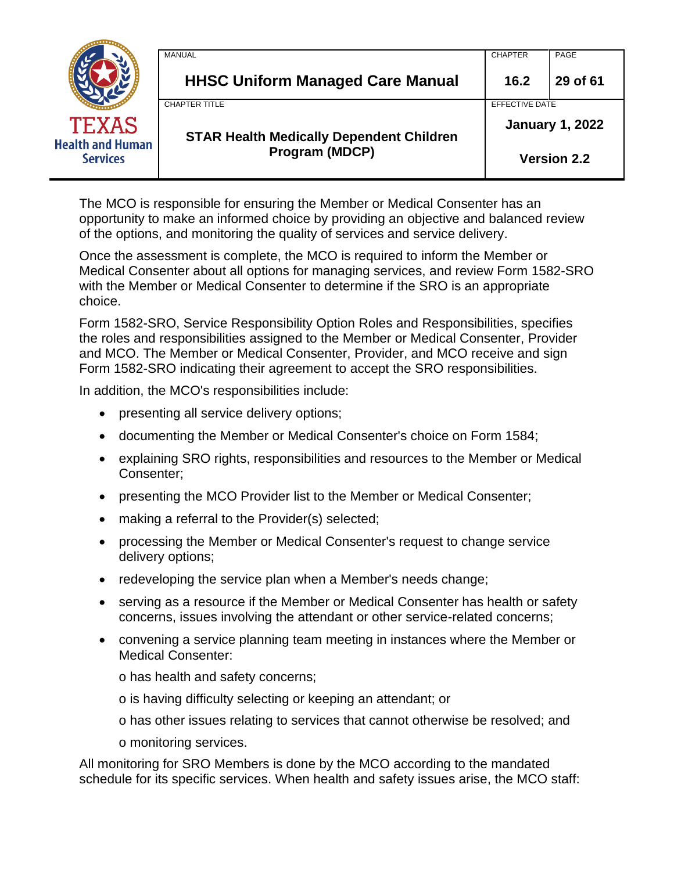|                                            | MANUAL                                                            | <b>CHAPTER</b>         | PAGE     |
|--------------------------------------------|-------------------------------------------------------------------|------------------------|----------|
|                                            | <b>HHSC Uniform Managed Care Manual</b>                           | 16.2                   | 29 of 61 |
|                                            | <b>CHAPTER TITLE</b>                                              | EFFECTIVE DATE         |          |
| TEXAS                                      | <b>STAR Health Medically Dependent Children</b><br>Program (MDCP) | <b>January 1, 2022</b> |          |
| <b>Health and Human</b><br><b>Services</b> |                                                                   | <b>Version 2.2</b>     |          |

The MCO is responsible for ensuring the Member or Medical Consenter has an opportunity to make an informed choice by providing an objective and balanced review of the options, and monitoring the quality of services and service delivery.

Once the assessment is complete, the MCO is required to inform the Member or Medical Consenter about all options for managing services, and review Form 1582-SRO with the Member or Medical Consenter to determine if the SRO is an appropriate choice.

Form 1582-SRO, Service Responsibility Option Roles and Responsibilities, specifies the roles and responsibilities assigned to the Member or Medical Consenter, Provider and MCO. The Member or Medical Consenter, Provider, and MCO receive and sign Form 1582-SRO indicating their agreement to accept the SRO responsibilities.

In addition, the MCO's responsibilities include:

- presenting all service delivery options;
- documenting the Member or Medical Consenter's choice on Form 1584;
- explaining SRO rights, responsibilities and resources to the Member or Medical Consenter;
- presenting the MCO Provider list to the Member or Medical Consenter;
- making a referral to the Provider(s) selected;
- processing the Member or Medical Consenter's request to change service delivery options;
- redeveloping the service plan when a Member's needs change;
- serving as a resource if the Member or Medical Consenter has health or safety concerns, issues involving the attendant or other service-related concerns;
- convening a service planning team meeting in instances where the Member or Medical Consenter:

o has health and safety concerns;

o is having difficulty selecting or keeping an attendant; or

o has other issues relating to services that cannot otherwise be resolved; and

o monitoring services.

All monitoring for SRO Members is done by the MCO according to the mandated schedule for its specific services. When health and safety issues arise, the MCO staff: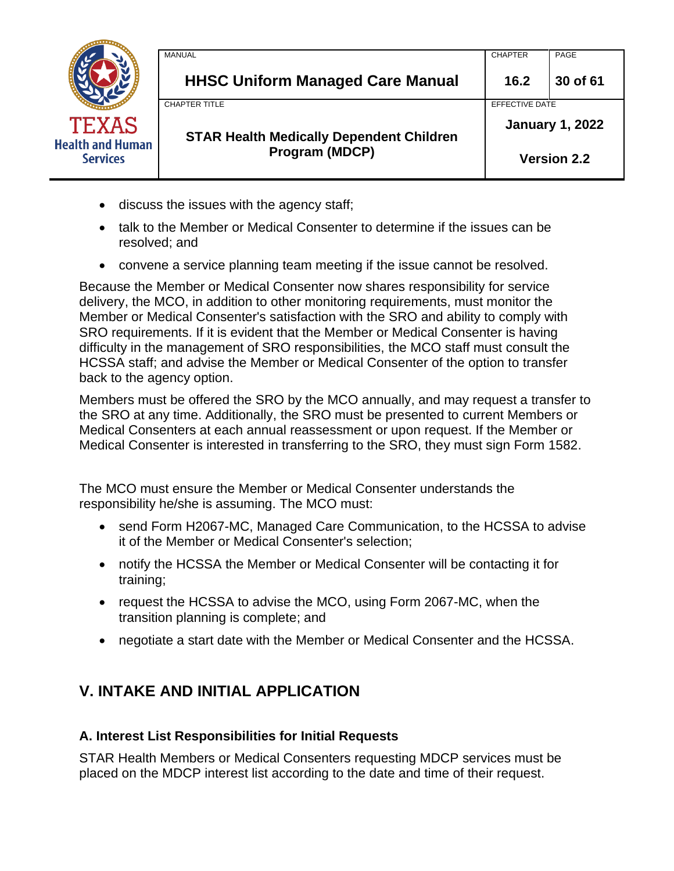|                                            | <b>MANUAL</b>                                   | <b>CHAPTER</b>         | PAGE     |
|--------------------------------------------|-------------------------------------------------|------------------------|----------|
|                                            | <b>HHSC Uniform Managed Care Manual</b>         | 16.2                   | 30 of 61 |
|                                            | <b>CHAPTER TITLE</b>                            | EFFECTIVE DATE         |          |
| <b>TEXAS</b>                               | <b>STAR Health Medically Dependent Children</b> | <b>January 1, 2022</b> |          |
| <b>Health and Human</b><br><b>Services</b> | Program (MDCP)                                  | <b>Version 2.2</b>     |          |

- discuss the issues with the agency staff;
- talk to the Member or Medical Consenter to determine if the issues can be resolved; and
- convene a service planning team meeting if the issue cannot be resolved.

Because the Member or Medical Consenter now shares responsibility for service delivery, the MCO, in addition to other monitoring requirements, must monitor the Member or Medical Consenter's satisfaction with the SRO and ability to comply with SRO requirements. If it is evident that the Member or Medical Consenter is having difficulty in the management of SRO responsibilities, the MCO staff must consult the HCSSA staff; and advise the Member or Medical Consenter of the option to transfer back to the agency option.

Members must be offered the SRO by the MCO annually, and may request a transfer to the SRO at any time. Additionally, the SRO must be presented to current Members or Medical Consenters at each annual reassessment or upon request. If the Member or Medical Consenter is interested in transferring to the SRO, they must sign Form 1582.

The MCO must ensure the Member or Medical Consenter understands the responsibility he/she is assuming. The MCO must:

- send Form H2067-MC, Managed Care Communication, to the HCSSA to advise it of the Member or Medical Consenter's selection;
- notify the HCSSA the Member or Medical Consenter will be contacting it for training;
- request the HCSSA to advise the MCO, using Form 2067-MC, when the transition planning is complete; and
- negotiate a start date with the Member or Medical Consenter and the HCSSA.

# <span id="page-29-0"></span>**V. INTAKE AND INITIAL APPLICATION**

### **A. Interest List Responsibilities for Initial Requests**

STAR Health Members or Medical Consenters requesting MDCP services must be placed on the MDCP interest list according to the date and time of their request.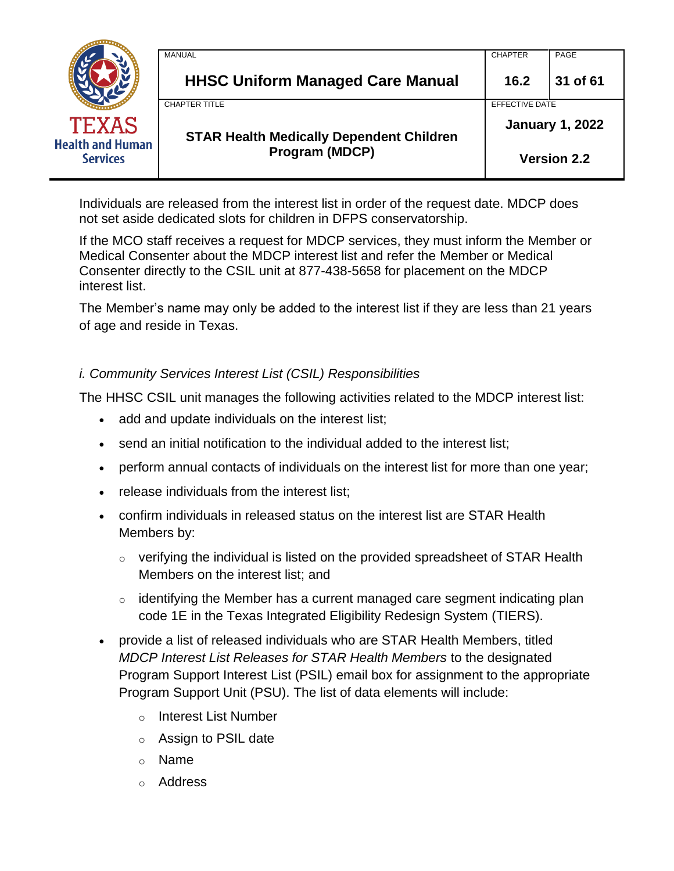|                                            | MANUAL                                          | <b>CHAPTER</b>         | PAGE     |
|--------------------------------------------|-------------------------------------------------|------------------------|----------|
|                                            | <b>HHSC Uniform Managed Care Manual</b>         | 16.2                   | 31 of 61 |
|                                            | <b>CHAPTER TITLE</b>                            | <b>EFFECTIVE DATE</b>  |          |
| TEXAS                                      | <b>STAR Health Medically Dependent Children</b> | <b>January 1, 2022</b> |          |
| <b>Health and Human</b><br><b>Services</b> | Program (MDCP)                                  | <b>Version 2.2</b>     |          |

Individuals are released from the interest list in order of the request date. MDCP does not set aside dedicated slots for children in DFPS conservatorship.

If the MCO staff receives a request for MDCP services, they must inform the Member or Medical Consenter about the MDCP interest list and refer the Member or Medical Consenter directly to the CSIL unit at 877-438-5658 for placement on the MDCP interest list.

The Member's name may only be added to the interest list if they are less than 21 years of age and reside in Texas.

## *i. Community Services Interest List (CSIL) Responsibilities*

The HHSC CSIL unit manages the following activities related to the MDCP interest list:

- add and update individuals on the interest list;
- send an initial notification to the individual added to the interest list;
- perform annual contacts of individuals on the interest list for more than one year;
- release individuals from the interest list;
- confirm individuals in released status on the interest list are STAR Health Members by:
	- $\circ$  verifying the individual is listed on the provided spreadsheet of STAR Health Members on the interest list; and
	- $\circ$  identifying the Member has a current managed care segment indicating plan code 1E in the Texas Integrated Eligibility Redesign System (TIERS).
- provide a list of released individuals who are STAR Health Members, titled *MDCP Interest List Releases for STAR Health Members* to the designated Program Support Interest List (PSIL) email box for assignment to the appropriate Program Support Unit (PSU). The list of data elements will include:
	- o Interest List Number
	- o Assign to PSIL date
	- o Name
	- o Address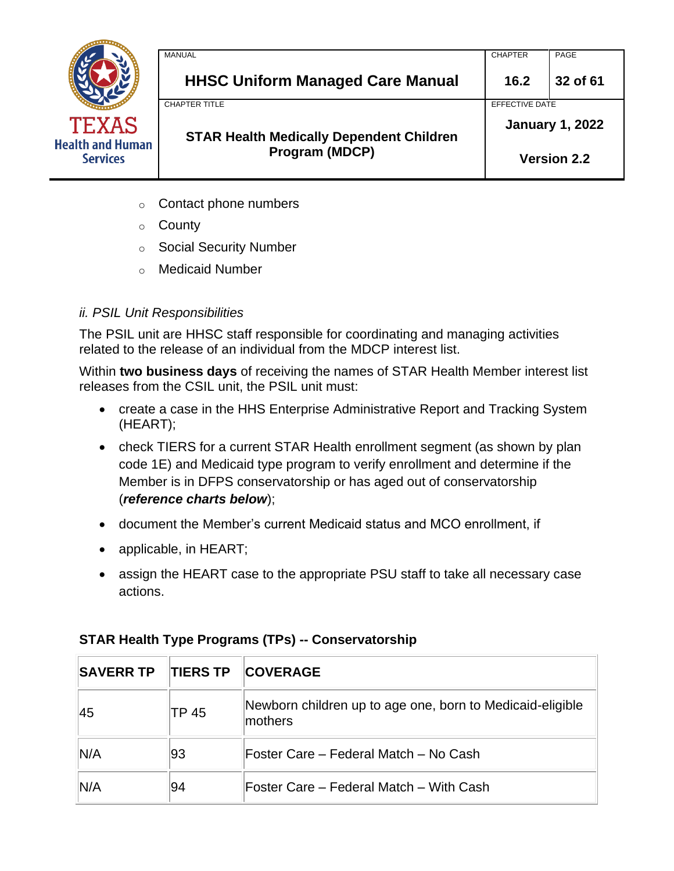

| <b>MANUAL</b>                                   | <b>CHAPTER</b>         | PAGE               |
|-------------------------------------------------|------------------------|--------------------|
| <b>HHSC Uniform Managed Care Manual</b>         | 16.2                   | 32 of 61           |
| <b>CHAPTER TITLE</b>                            | EFFECTIVE DATE         |                    |
| <b>STAR Health Medically Dependent Children</b> | <b>January 1, 2022</b> |                    |
| Program (MDCP)                                  |                        | <b>Version 2.2</b> |

- $\circ$  Contact phone numbers
- o County
- o Social Security Number
- o Medicaid Number

# *ii. PSIL Unit Responsibilities*

The PSIL unit are HHSC staff responsible for coordinating and managing activities related to the release of an individual from the MDCP interest list.

Within **two business days** of receiving the names of STAR Health Member interest list releases from the CSIL unit, the PSIL unit must:

- create a case in the HHS Enterprise Administrative Report and Tracking System (HEART);
- check TIERS for a current STAR Health enrollment segment (as shown by plan code 1E) and Medicaid type program to verify enrollment and determine if the Member is in DFPS conservatorship or has aged out of conservatorship (*reference charts below*);
- document the Member's current Medicaid status and MCO enrollment, if
- applicable, in HEART;
- assign the HEART case to the appropriate PSU staff to take all necessary case actions.

| <b>SAVERR TP</b> | <b>TIERS TP</b> | <b>COVERAGE</b>                                                      |
|------------------|-----------------|----------------------------------------------------------------------|
| 45               | TP 45           | Newborn children up to age one, born to Medicaid-eligible<br>mothers |
| IN/A             | 93              | Foster Care – Federal Match – No Cash                                |
| IN/A             | 94              | Foster Care – Federal Match – With Cash                              |

# **STAR Health Type Programs (TPs) -- Conservatorship**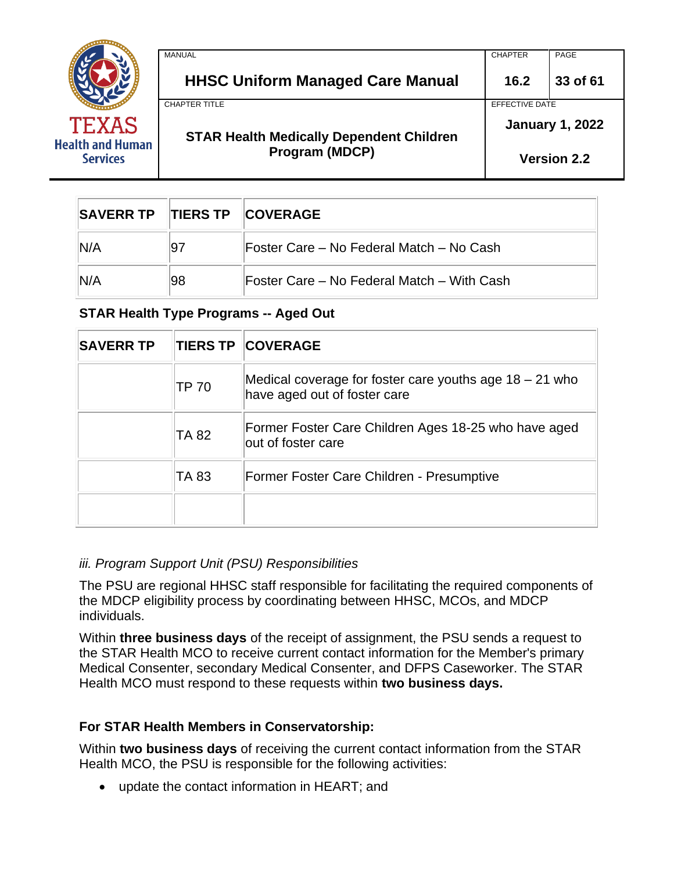

| 'n | <b>Program (MDCP)</b>                           |                        | <b>Version 2.2</b> |
|----|-------------------------------------------------|------------------------|--------------------|
|    | <b>STAR Health Medically Dependent Children</b> | <b>January 1, 2022</b> |                    |
|    | <b>CHAPTER TITLE</b>                            | EFFECTIVE DATE         |                    |
|    | <b>HHSC Uniform Managed Care Manual</b>         | 16.2                   | 33 of 61           |
|    | <b>MANUAL</b>                                   | <b>CHAPTER</b>         | PAGE               |
|    |                                                 |                        |                    |

| SAVERR TP TIERS TP COVERAGE |    |                                            |  |
|-----------------------------|----|--------------------------------------------|--|
| N/A                         | 97 | IFoster Care – No Federal Match – No Cash  |  |
| N/A                         | 98 | Foster Care – No Federal Match – With Cash |  |

### **STAR Health Type Programs -- Aged Out**

| <b>SAVERR TP</b> |              | <b>TIERS TP COVERAGE</b>                                                                  |
|------------------|--------------|-------------------------------------------------------------------------------------------|
|                  | <b>TP 70</b> | Medical coverage for foster care youths age $18 - 21$ who<br>have aged out of foster care |
|                  | <b>TA 82</b> | Former Foster Care Children Ages 18-25 who have aged<br>out of foster care                |
|                  | TA 83        | Former Foster Care Children - Presumptive                                                 |
|                  |              |                                                                                           |

### *iii. Program Support Unit (PSU) Responsibilities*

The PSU are regional HHSC staff responsible for facilitating the required components of the MDCP eligibility process by coordinating between HHSC, MCOs, and MDCP individuals.

Within **three business days** of the receipt of assignment, the PSU sends a request to the STAR Health MCO to receive current contact information for the Member's primary Medical Consenter, secondary Medical Consenter, and DFPS Caseworker. The STAR Health MCO must respond to these requests within **two business days.**

### **For STAR Health Members in Conservatorship:**

Within **two business days** of receiving the current contact information from the STAR Health MCO, the PSU is responsible for the following activities:

• update the contact information in HEART; and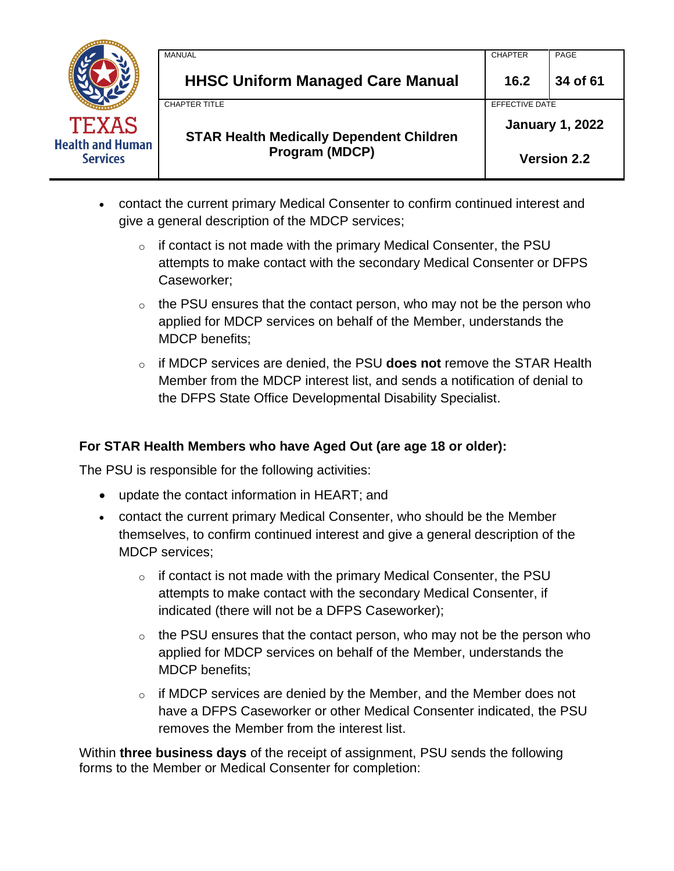|                                            | <b>MANUAL</b>                                   | <b>CHAPTER</b> | PAGE                   |
|--------------------------------------------|-------------------------------------------------|----------------|------------------------|
|                                            | <b>HHSC Uniform Managed Care Manual</b>         | 16.2           | 34 of 61               |
|                                            | <b>CHAPTER TITLE</b>                            | EFFECTIVE DATE |                        |
| <b>TEXAS</b>                               | <b>STAR Health Medically Dependent Children</b> |                | <b>January 1, 2022</b> |
| <b>Health and Human</b><br><b>Services</b> | <b>Program (MDCP)</b>                           |                | <b>Version 2.2</b>     |

- contact the current primary Medical Consenter to confirm continued interest and give a general description of the MDCP services;
	- $\circ$  if contact is not made with the primary Medical Consenter, the PSU attempts to make contact with the secondary Medical Consenter or DFPS Caseworker;
	- $\circ$  the PSU ensures that the contact person, who may not be the person who applied for MDCP services on behalf of the Member, understands the MDCP benefits;
	- o if MDCP services are denied, the PSU **does not** remove the STAR Health Member from the MDCP interest list, and sends a notification of denial to the DFPS State Office Developmental Disability Specialist.

### **For STAR Health Members who have Aged Out (are age 18 or older):**

The PSU is responsible for the following activities:

- update the contact information in HEART; and
- contact the current primary Medical Consenter, who should be the Member themselves, to confirm continued interest and give a general description of the MDCP services;
	- $\circ$  if contact is not made with the primary Medical Consenter, the PSU attempts to make contact with the secondary Medical Consenter, if indicated (there will not be a DFPS Caseworker);
	- $\circ$  the PSU ensures that the contact person, who may not be the person who applied for MDCP services on behalf of the Member, understands the MDCP benefits;
	- $\circ$  if MDCP services are denied by the Member, and the Member does not have a DFPS Caseworker or other Medical Consenter indicated, the PSU removes the Member from the interest list.

Within **three business days** of the receipt of assignment, PSU sends the following forms to the Member or Medical Consenter for completion: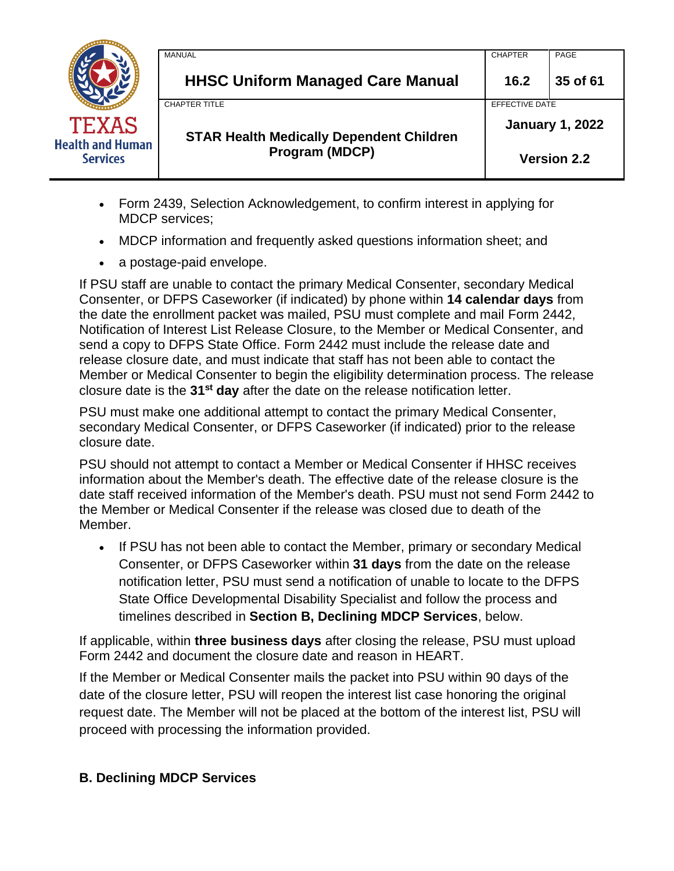|                                                            | MANUAL                                          | <b>CHAPTER</b>         | PAGE               |
|------------------------------------------------------------|-------------------------------------------------|------------------------|--------------------|
|                                                            | <b>HHSC Uniform Managed Care Manual</b>         | 16.2                   | 35 of 61           |
|                                                            | <b>CHAPTER TITLE</b>                            | EFFECTIVE DATE         |                    |
| <b>TEXAS</b><br><b>Health and Human</b><br><b>Services</b> | <b>STAR Health Medically Dependent Children</b> | <b>January 1, 2022</b> |                    |
|                                                            | <b>Program (MDCP)</b>                           |                        | <b>Version 2.2</b> |

- Form 2439, Selection Acknowledgement, to confirm interest in applying for MDCP services;
- MDCP information and frequently asked questions information sheet; and
- a postage-paid envelope.

If PSU staff are unable to contact the primary Medical Consenter, secondary Medical Consenter, or DFPS Caseworker (if indicated) by phone within **14 calendar days** from the date the enrollment packet was mailed, PSU must complete and mail Form 2442, Notification of Interest List Release Closure, to the Member or Medical Consenter, and send a copy to DFPS State Office. Form 2442 must include the release date and release closure date, and must indicate that staff has not been able to contact the Member or Medical Consenter to begin the eligibility determination process. The release closure date is the **31st day** after the date on the release notification letter.

PSU must make one additional attempt to contact the primary Medical Consenter, secondary Medical Consenter, or DFPS Caseworker (if indicated) prior to the release closure date.

PSU should not attempt to contact a Member or Medical Consenter if HHSC receives information about the Member's death. The effective date of the release closure is the date staff received information of the Member's death. PSU must not send Form 2442 to the Member or Medical Consenter if the release was closed due to death of the Member.

• If PSU has not been able to contact the Member, primary or secondary Medical Consenter, or DFPS Caseworker within **31 days** from the date on the release notification letter, PSU must send a notification of unable to locate to the DFPS State Office Developmental Disability Specialist and follow the process and timelines described in **Section B, Declining MDCP Services**, below.

If applicable, within **three business days** after closing the release, PSU must upload Form 2442 and document the closure date and reason in HEART.

If the Member or Medical Consenter mails the packet into PSU within 90 days of the date of the closure letter, PSU will reopen the interest list case honoring the original request date. The Member will not be placed at the bottom of the interest list, PSU will proceed with processing the information provided.

### **B. Declining MDCP Services**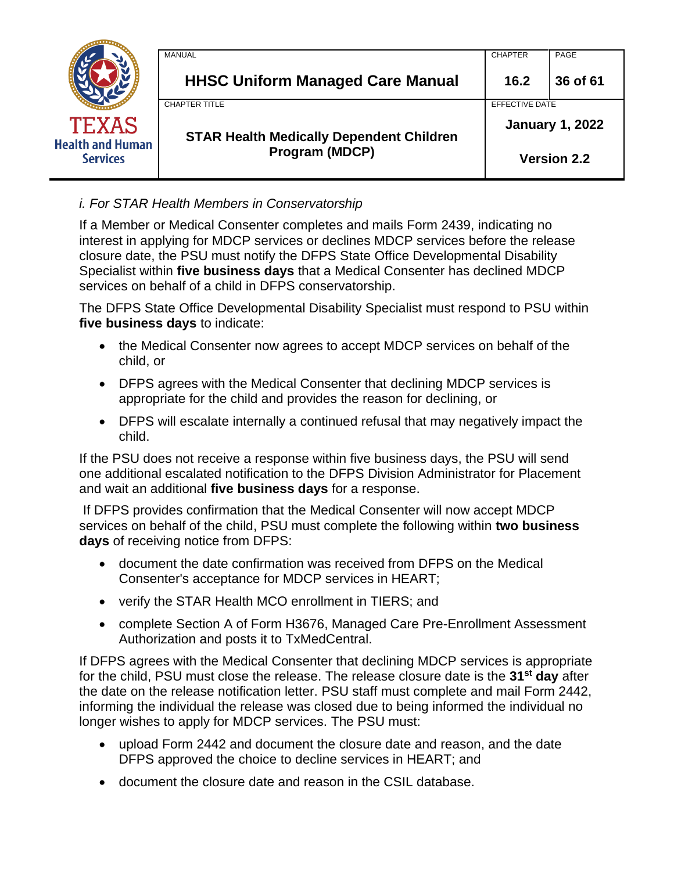|                                            | MANUAL                                          | <b>CHAPTER</b>         | PAGE               |
|--------------------------------------------|-------------------------------------------------|------------------------|--------------------|
|                                            | <b>HHSC Uniform Managed Care Manual</b>         | 16.2                   | 36 of 61           |
|                                            | <b>CHAPTER TITLE</b>                            | EFFECTIVE DATE         |                    |
| <b>TEXAS</b>                               | <b>STAR Health Medically Dependent Children</b> | <b>January 1, 2022</b> |                    |
| <b>Health and Human</b><br><b>Services</b> | Program (MDCP)                                  |                        | <b>Version 2.2</b> |

## *i. For STAR Health Members in Conservatorship*

If a Member or Medical Consenter completes and mails Form 2439, indicating no interest in applying for MDCP services or declines MDCP services before the release closure date, the PSU must notify the DFPS State Office Developmental Disability Specialist within **five business days** that a Medical Consenter has declined MDCP services on behalf of a child in DFPS conservatorship.

The DFPS State Office Developmental Disability Specialist must respond to PSU within **five business days** to indicate:

- the Medical Consenter now agrees to accept MDCP services on behalf of the child, or
- DFPS agrees with the Medical Consenter that declining MDCP services is appropriate for the child and provides the reason for declining, or
- DFPS will escalate internally a continued refusal that may negatively impact the child.

If the PSU does not receive a response within five business days, the PSU will send one additional escalated notification to the DFPS Division Administrator for Placement and wait an additional **five business days** for a response.

If DFPS provides confirmation that the Medical Consenter will now accept MDCP services on behalf of the child, PSU must complete the following within **two business days** of receiving notice from DFPS:

- document the date confirmation was received from DFPS on the Medical Consenter's acceptance for MDCP services in HEART;
- verify the STAR Health MCO enrollment in TIERS; and
- complete Section A of Form H3676, Managed Care Pre-Enrollment Assessment Authorization and posts it to TxMedCentral.

If DFPS agrees with the Medical Consenter that declining MDCP services is appropriate for the child, PSU must close the release. The release closure date is the **31st day** after the date on the release notification letter. PSU staff must complete and mail Form 2442, informing the individual the release was closed due to being informed the individual no longer wishes to apply for MDCP services. The PSU must:

- upload Form 2442 and document the closure date and reason, and the date DFPS approved the choice to decline services in HEART; and
- document the closure date and reason in the CSIL database.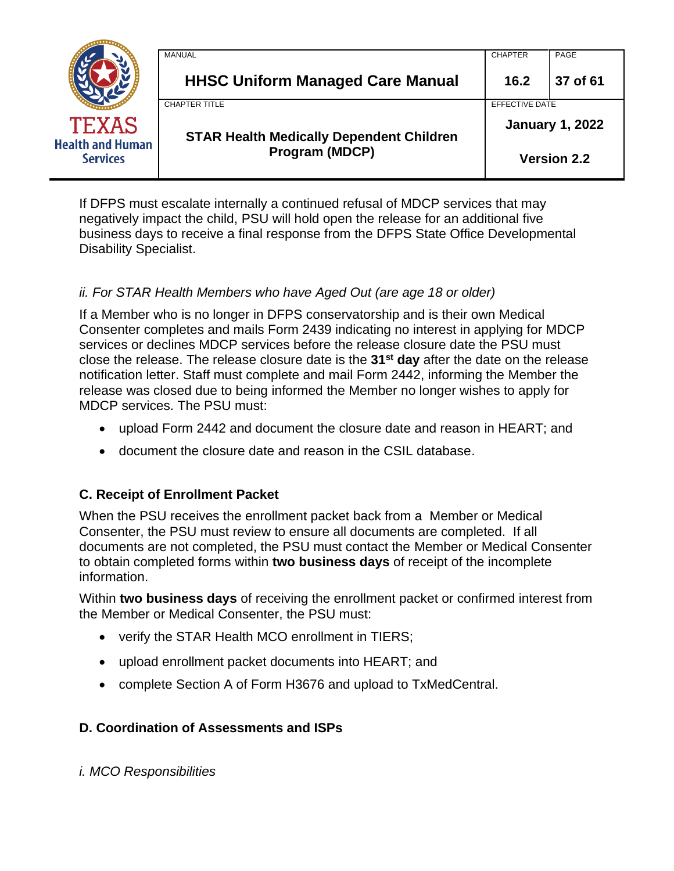|                                                            | MANUAL                                          | <b>CHAPTER</b>         | PAGE               |
|------------------------------------------------------------|-------------------------------------------------|------------------------|--------------------|
|                                                            | <b>HHSC Uniform Managed Care Manual</b>         | 16.2                   | 37 of 61           |
|                                                            | <b>CHAPTER TITLE</b>                            | EFFECTIVE DATE         |                    |
| <b>TEXAS</b><br><b>Health and Human</b><br><b>Services</b> | <b>STAR Health Medically Dependent Children</b> | <b>January 1, 2022</b> |                    |
|                                                            | Program (MDCP)                                  |                        | <b>Version 2.2</b> |

If DFPS must escalate internally a continued refusal of MDCP services that may negatively impact the child, PSU will hold open the release for an additional five business days to receive a final response from the DFPS State Office Developmental Disability Specialist.

### *ii. For STAR Health Members who have Aged Out (are age 18 or older)*

If a Member who is no longer in DFPS conservatorship and is their own Medical Consenter completes and mails Form 2439 indicating no interest in applying for MDCP services or declines MDCP services before the release closure date the PSU must close the release. The release closure date is the **31st day** after the date on the release notification letter. Staff must complete and mail Form 2442, informing the Member the release was closed due to being informed the Member no longer wishes to apply for MDCP services. The PSU must:

- upload Form 2442 and document the closure date and reason in HEART; and
- document the closure date and reason in the CSIL database.

### **C. Receipt of Enrollment Packet**

When the PSU receives the enrollment packet back from a Member or Medical Consenter, the PSU must review to ensure all documents are completed. If all documents are not completed, the PSU must contact the Member or Medical Consenter to obtain completed forms within **two business days** of receipt of the incomplete information.

Within **two business days** of receiving the enrollment packet or confirmed interest from the Member or Medical Consenter, the PSU must:

- verify the STAR Health MCO enrollment in TIERS;
- upload enrollment packet documents into HEART; and
- complete Section A of Form H3676 and upload to TxMedCentral.

### **D. Coordination of Assessments and ISPs**

*i. MCO Responsibilities*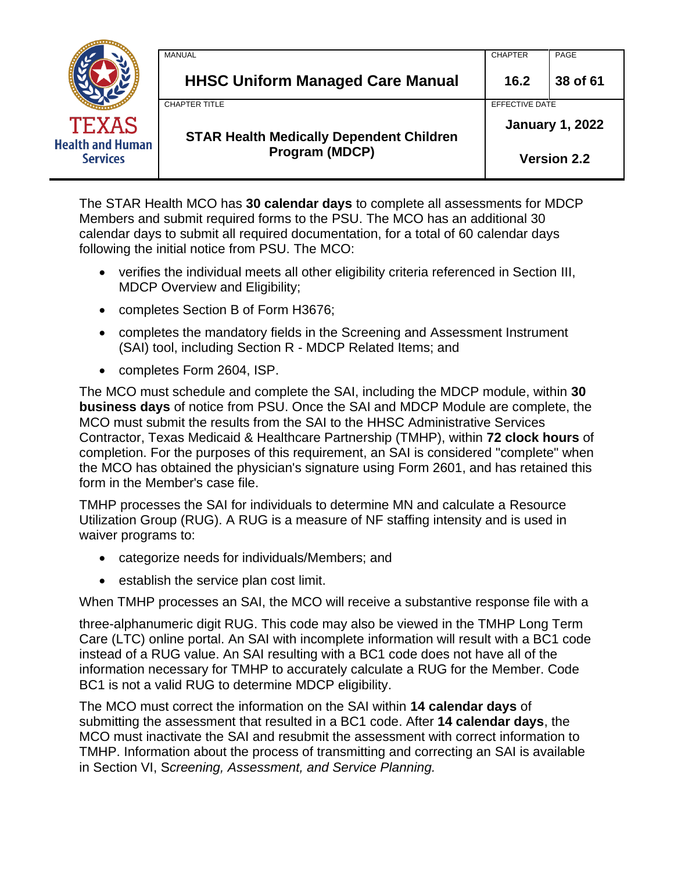|                                                            | MANUAL                                          | <b>CHAPTER</b>         | PAGE     |
|------------------------------------------------------------|-------------------------------------------------|------------------------|----------|
|                                                            | <b>HHSC Uniform Managed Care Manual</b>         | 16.2                   | 38 of 61 |
|                                                            | <b>CHAPTER TITLE</b>                            | EFFECTIVE DATE         |          |
| <b>TEXAS</b><br><b>Health and Human</b><br><b>Services</b> | <b>STAR Health Medically Dependent Children</b> | <b>January 1, 2022</b> |          |
|                                                            | Program (MDCP)                                  | <b>Version 2.2</b>     |          |

The STAR Health MCO has **30 calendar days** to complete all assessments for MDCP Members and submit required forms to the PSU. The MCO has an additional 30 calendar days to submit all required documentation, for a total of 60 calendar days following the initial notice from PSU. The MCO:

- verifies the individual meets all other eligibility criteria referenced in Section III, MDCP Overview and Eligibility;
- completes Section B of Form H3676;
- completes the mandatory fields in the Screening and Assessment Instrument (SAI) tool, including Section R - MDCP Related Items; and
- completes Form 2604, ISP.

The MCO must schedule and complete the SAI, including the MDCP module, within **30 business days** of notice from PSU. Once the SAI and MDCP Module are complete, the MCO must submit the results from the SAI to the HHSC Administrative Services Contractor, Texas Medicaid & Healthcare Partnership (TMHP), within **72 clock hours** of completion. For the purposes of this requirement, an SAI is considered "complete" when the MCO has obtained the physician's signature using Form 2601, and has retained this form in the Member's case file.

TMHP processes the SAI for individuals to determine MN and calculate a Resource Utilization Group (RUG). A RUG is a measure of NF staffing intensity and is used in waiver programs to:

- categorize needs for individuals/Members; and
- establish the service plan cost limit.

When TMHP processes an SAI, the MCO will receive a substantive response file with a

three-alphanumeric digit RUG. This code may also be viewed in the TMHP Long Term Care (LTC) online portal. An SAI with incomplete information will result with a BC1 code instead of a RUG value. An SAI resulting with a BC1 code does not have all of the information necessary for TMHP to accurately calculate a RUG for the Member. Code BC1 is not a valid RUG to determine MDCP eligibility.

The MCO must correct the information on the SAI within **14 calendar days** of submitting the assessment that resulted in a BC1 code. After **14 calendar days**, the MCO must inactivate the SAI and resubmit the assessment with correct information to TMHP. Information about the process of transmitting and correcting an SAI is available in Section VI, S*creening, Assessment, and Service Planning.*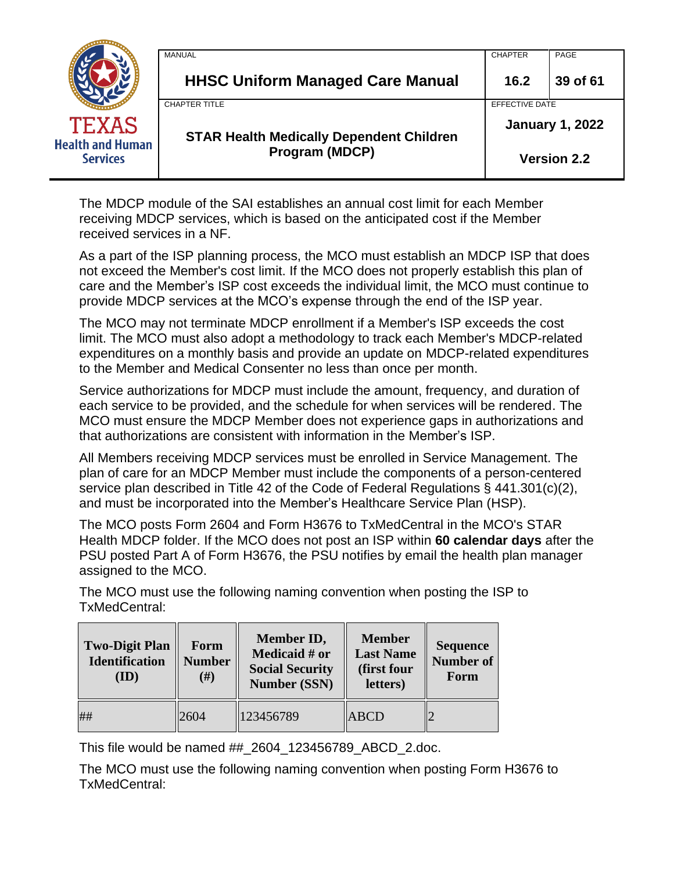|                                                            | MANUAL                                          | <b>CHAPTER</b>         | PAGE               |
|------------------------------------------------------------|-------------------------------------------------|------------------------|--------------------|
|                                                            | <b>HHSC Uniform Managed Care Manual</b>         | 16.2                   | 39 of 61           |
|                                                            | <b>CHAPTER TITLE</b>                            | <b>EFFECTIVE DATE</b>  |                    |
| <b>TEXAS</b><br><b>Health and Human</b><br><b>Services</b> | <b>STAR Health Medically Dependent Children</b> | <b>January 1, 2022</b> |                    |
|                                                            | <b>Program (MDCP)</b>                           |                        | <b>Version 2.2</b> |

The MDCP module of the SAI establishes an annual cost limit for each Member receiving MDCP services, which is based on the anticipated cost if the Member received services in a NF.

As a part of the ISP planning process, the MCO must establish an MDCP ISP that does not exceed the Member's cost limit. If the MCO does not properly establish this plan of care and the Member's ISP cost exceeds the individual limit, the MCO must continue to provide MDCP services at the MCO's expense through the end of the ISP year.

The MCO may not terminate MDCP enrollment if a Member's ISP exceeds the cost limit. The MCO must also adopt a methodology to track each Member's MDCP-related expenditures on a monthly basis and provide an update on MDCP-related expenditures to the Member and Medical Consenter no less than once per month.

Service authorizations for MDCP must include the amount, frequency, and duration of each service to be provided, and the schedule for when services will be rendered. The MCO must ensure the MDCP Member does not experience gaps in authorizations and that authorizations are consistent with information in the Member's ISP.

All Members receiving MDCP services must be enrolled in Service Management. The plan of care for an MDCP Member must include the components of a person-centered service plan described in Title 42 of the Code of Federal Regulations § 441.301(c)(2), and must be incorporated into the Member's Healthcare Service Plan (HSP).

The MCO posts Form 2604 and Form H3676 to TxMedCentral in the MCO's STAR Health MDCP folder. If the MCO does not post an ISP within **60 calendar days** after the PSU posted Part A of Form H3676, the PSU notifies by email the health plan manager assigned to the MCO.

The MCO must use the following naming convention when posting the ISP to TxMedCentral:

| <b>Two-Digit Plan</b><br><b>Identification</b><br>(ID) | Form<br><b>Number</b><br>(# ) | Member ID,<br>Medicaid # or<br><b>Social Security</b><br><b>Number (SSN)</b> | <b>Member</b><br><b>Last Name</b><br>(first four<br>letters) | <b>Sequence</b><br><b>Number of</b><br>Form |
|--------------------------------------------------------|-------------------------------|------------------------------------------------------------------------------|--------------------------------------------------------------|---------------------------------------------|
| ##                                                     | 2604                          | 123456789                                                                    | <b>ABCD</b>                                                  |                                             |

This file would be named ##\_2604\_123456789\_ABCD\_2.doc.

The MCO must use the following naming convention when posting Form H3676 to TxMedCentral: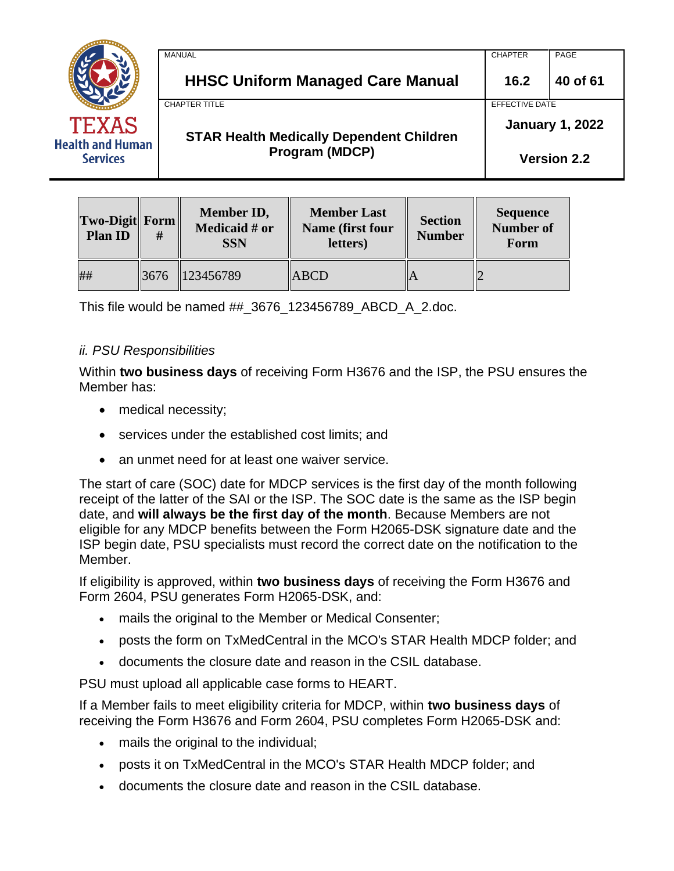|                                                            | MANUAL                                          | <b>CHAPTER</b>         | PAGE     |
|------------------------------------------------------------|-------------------------------------------------|------------------------|----------|
|                                                            | <b>HHSC Uniform Managed Care Manual</b>         | 16.2                   | 40 of 61 |
|                                                            | <b>CHAPTER TITLE</b>                            | EFFECTIVE DATE         |          |
| <b>TEXAS</b><br><b>Health and Human</b><br><b>Services</b> | <b>STAR Health Medically Dependent Children</b> | <b>January 1, 2022</b> |          |
|                                                            | Program (MDCP)                                  | <b>Version 2.2</b>     |          |

| <b>Two-Digit Form</b><br><b>Plan ID</b> | # | <b>Member ID,</b><br>Medicaid # or<br><b>SSN</b> | <b>Member Last</b><br>Name (first four<br>letters) | <b>Section</b><br><b>Number</b> | Sequence<br><b>Number of</b><br>Form |
|-----------------------------------------|---|--------------------------------------------------|----------------------------------------------------|---------------------------------|--------------------------------------|
| ##                                      |   | $\parallel$ 3676 $\parallel$ 123456789           | <b>ABCD</b>                                        |                                 |                                      |

This file would be named ##\_3676\_123456789\_ABCD\_A\_2.doc.

### *ii. PSU Responsibilities*

Within **two business days** of receiving Form H3676 and the ISP, the PSU ensures the Member has:

- medical necessity;
- services under the established cost limits; and
- an unmet need for at least one waiver service.

The start of care (SOC) date for MDCP services is the first day of the month following receipt of the latter of the SAI or the ISP. The SOC date is the same as the ISP begin date, and **will always be the first day of the month**. Because Members are not eligible for any MDCP benefits between the Form H2065-DSK signature date and the ISP begin date, PSU specialists must record the correct date on the notification to the Member.

If eligibility is approved, within **two business days** of receiving the Form H3676 and Form 2604, PSU generates Form H2065-DSK, and:

- mails the original to the Member or Medical Consenter;
- posts the form on TxMedCentral in the MCO's STAR Health MDCP folder; and
- documents the closure date and reason in the CSIL database.

PSU must upload all applicable case forms to HEART.

If a Member fails to meet eligibility criteria for MDCP, within **two business days** of receiving the Form H3676 and Form 2604, PSU completes Form H2065-DSK and:

- mails the original to the individual;
- posts it on TxMedCentral in the MCO's STAR Health MDCP folder; and
- documents the closure date and reason in the CSIL database.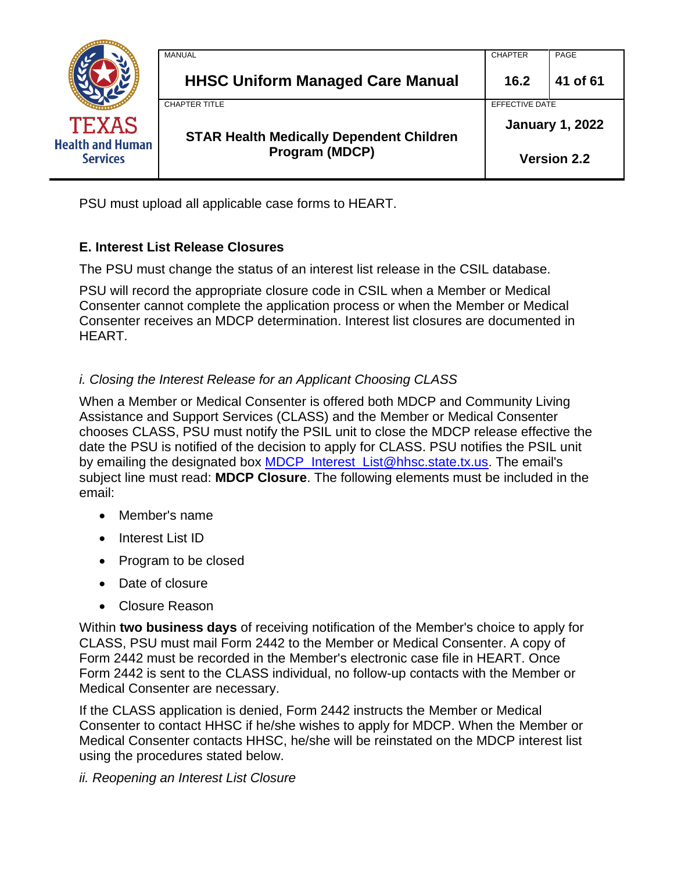

PSU must upload all applicable case forms to HEART.

# **E. Interest List Release Closures**

The PSU must change the status of an interest list release in the CSIL database.

PSU will record the appropriate closure code in CSIL when a Member or Medical Consenter cannot complete the application process or when the Member or Medical Consenter receives an MDCP determination. Interest list closures are documented in HEART.

# *i. Closing the Interest Release for an Applicant Choosing CLASS*

When a Member or Medical Consenter is offered both MDCP and Community Living Assistance and Support Services (CLASS) and the Member or Medical Consenter chooses CLASS, PSU must notify the PSIL unit to close the MDCP release effective the date the PSU is notified of the decision to apply for CLASS. PSU notifies the PSIL unit by emailing the designated box [MDCP\\_Interest\\_List@hhsc.state.tx.us.](mailto:MDCP_Interest_List@hhsc.state.tx.us) The email's subject line must read: **MDCP Closure**. The following elements must be included in the email:

- Member's name
- Interest List ID
- Program to be closed
- Date of closure
- Closure Reason

Within **two business days** of receiving notification of the Member's choice to apply for CLASS, PSU must mail Form 2442 to the Member or Medical Consenter. A copy of Form 2442 must be recorded in the Member's electronic case file in HEART. Once Form 2442 is sent to the CLASS individual, no follow-up contacts with the Member or Medical Consenter are necessary.

If the CLASS application is denied, Form 2442 instructs the Member or Medical Consenter to contact HHSC if he/she wishes to apply for MDCP. When the Member or Medical Consenter contacts HHSC, he/she will be reinstated on the MDCP interest list using the procedures stated below.

# *ii. Reopening an Interest List Closure*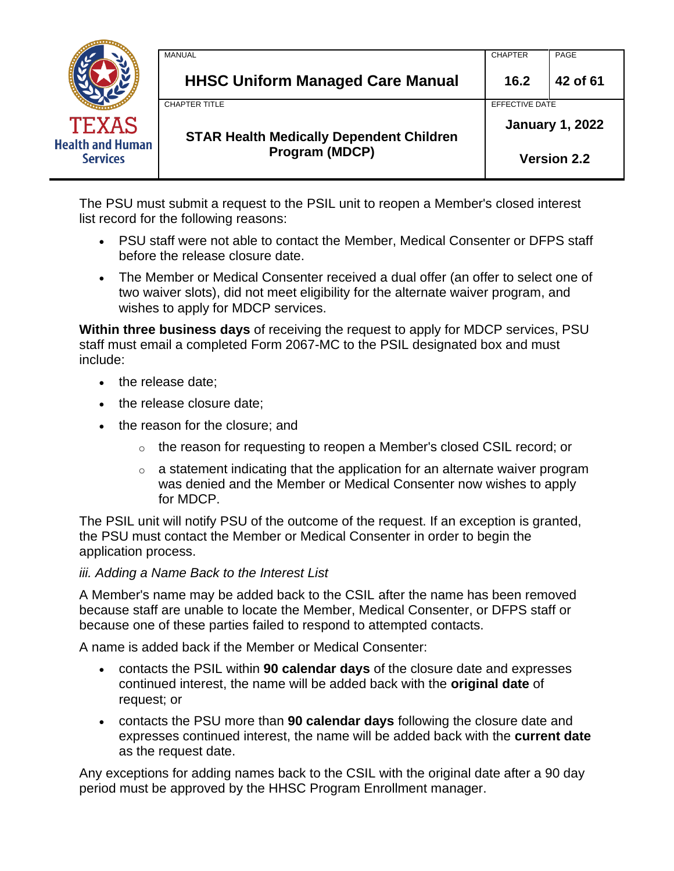|                                                            | MANUAL                                          | <b>CHAPTER</b>         | PAGE               |
|------------------------------------------------------------|-------------------------------------------------|------------------------|--------------------|
|                                                            | <b>HHSC Uniform Managed Care Manual</b>         | 16.2                   | 42 of 61           |
|                                                            | <b>CHAPTER TITLE</b>                            | EFFECTIVE DATE         |                    |
| <b>TEXAS</b><br><b>Health and Human</b><br><b>Services</b> | <b>STAR Health Medically Dependent Children</b> | <b>January 1, 2022</b> |                    |
|                                                            | Program (MDCP)                                  |                        | <b>Version 2.2</b> |

The PSU must submit a request to the PSIL unit to reopen a Member's closed interest list record for the following reasons:

- PSU staff were not able to contact the Member, Medical Consenter or DFPS staff before the release closure date.
- The Member or Medical Consenter received a dual offer (an offer to select one of two waiver slots), did not meet eligibility for the alternate waiver program, and wishes to apply for MDCP services.

**Within three business days** of receiving the request to apply for MDCP services, PSU staff must email a completed Form 2067-MC to the PSIL designated box and must include:

- the release date;
- the release closure date:
- the reason for the closure; and
	- $\circ$  the reason for requesting to reopen a Member's closed CSIL record; or
	- $\circ$  a statement indicating that the application for an alternate waiver program was denied and the Member or Medical Consenter now wishes to apply for MDCP.

The PSIL unit will notify PSU of the outcome of the request. If an exception is granted, the PSU must contact the Member or Medical Consenter in order to begin the application process.

### *iii. Adding a Name Back to the Interest List*

A Member's name may be added back to the CSIL after the name has been removed because staff are unable to locate the Member, Medical Consenter, or DFPS staff or because one of these parties failed to respond to attempted contacts.

A name is added back if the Member or Medical Consenter:

- contacts the PSIL within **90 calendar days** of the closure date and expresses continued interest, the name will be added back with the **original date** of request; or
- contacts the PSU more than **90 calendar days** following the closure date and expresses continued interest, the name will be added back with the **current date** as the request date.

Any exceptions for adding names back to the CSIL with the original date after a 90 day period must be approved by the HHSC Program Enrollment manager.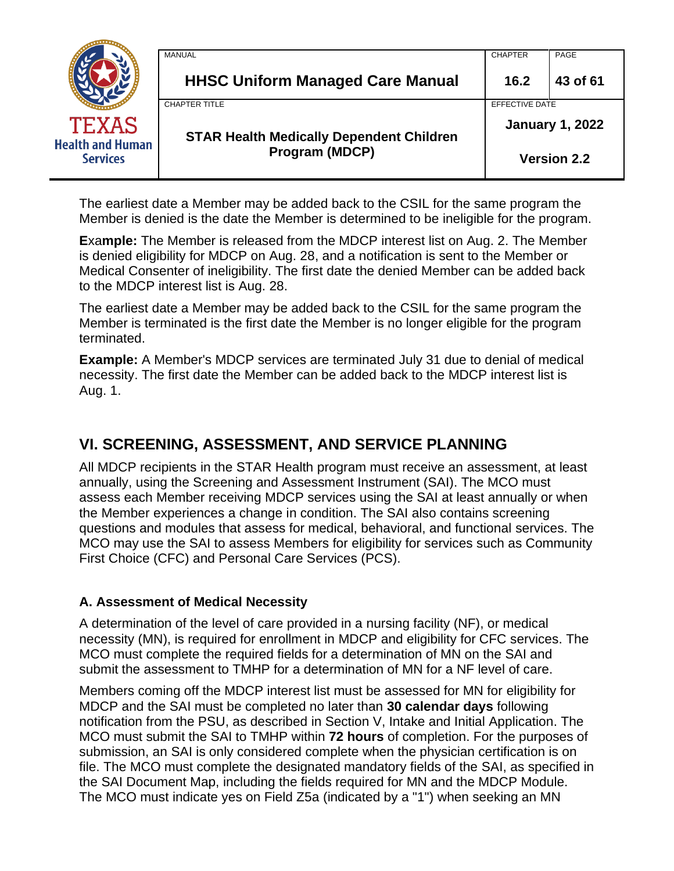|                                            | MANUAL                                          | <b>CHAPTER</b>         | PAGE               |
|--------------------------------------------|-------------------------------------------------|------------------------|--------------------|
|                                            | <b>HHSC Uniform Managed Care Manual</b>         | 16.2                   | 43 of 61           |
|                                            | <b>CHAPTER TITLE</b>                            | EFFECTIVE DATE         |                    |
| <b>TEXAS</b>                               | <b>STAR Health Medically Dependent Children</b> | <b>January 1, 2022</b> |                    |
| <b>Health and Human</b><br><b>Services</b> | <b>Program (MDCP)</b>                           |                        | <b>Version 2.2</b> |

The earliest date a Member may be added back to the CSIL for the same program the Member is denied is the date the Member is determined to be ineligible for the program.

**E**xa**mple:** The Member is released from the MDCP interest list on Aug. 2. The Member is denied eligibility for MDCP on Aug. 28, and a notification is sent to the Member or Medical Consenter of ineligibility. The first date the denied Member can be added back to the MDCP interest list is Aug. 28.

The earliest date a Member may be added back to the CSIL for the same program the Member is terminated is the first date the Member is no longer eligible for the program terminated.

**Example:** A Member's MDCP services are terminated July 31 due to denial of medical necessity. The first date the Member can be added back to the MDCP interest list is Aug. 1.

# <span id="page-42-0"></span>**VI. SCREENING, ASSESSMENT, AND SERVICE PLANNING**

All MDCP recipients in the STAR Health program must receive an assessment, at least annually, using the Screening and Assessment Instrument (SAI). The MCO must assess each Member receiving MDCP services using the SAI at least annually or when the Member experiences a change in condition. The SAI also contains screening questions and modules that assess for medical, behavioral, and functional services. The MCO may use the SAI to assess Members for eligibility for services such as Community First Choice (CFC) and Personal Care Services (PCS).

### **A. Assessment of Medical Necessity**

A determination of the level of care provided in a nursing facility (NF), or medical necessity (MN), is required for enrollment in MDCP and eligibility for CFC services. The MCO must complete the required fields for a determination of MN on the SAI and submit the assessment to TMHP for a determination of MN for a NF level of care.

Members coming off the MDCP interest list must be assessed for MN for eligibility for MDCP and the SAI must be completed no later than **30 calendar days** following notification from the PSU, as described in Section V, Intake and Initial Application. The MCO must submit the SAI to TMHP within **72 hours** of completion. For the purposes of submission, an SAI is only considered complete when the physician certification is on file. The MCO must complete the designated mandatory fields of the SAI, as specified in the SAI Document Map, including the fields required for MN and the MDCP Module. The MCO must indicate yes on Field Z5a (indicated by a "1") when seeking an MN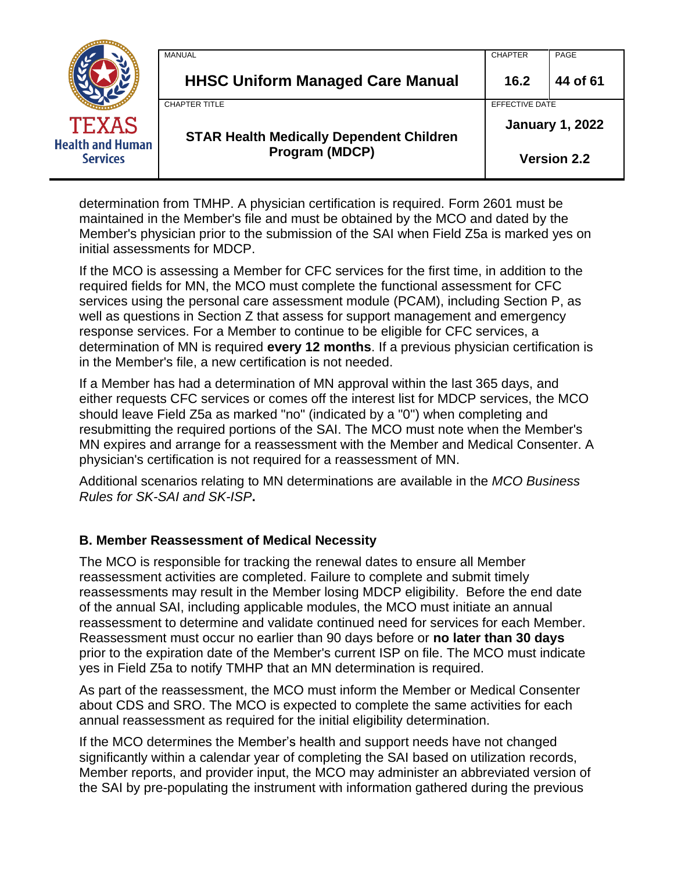|                                            | MANUAL                                          | <b>CHAPTER</b>         | PAGE               |
|--------------------------------------------|-------------------------------------------------|------------------------|--------------------|
|                                            | <b>HHSC Uniform Managed Care Manual</b>         | 16.2                   | 44 of 61           |
|                                            | <b>CHAPTER TITLE</b>                            | EFFECTIVE DATE         |                    |
| <b>TEXAS</b>                               | <b>STAR Health Medically Dependent Children</b> | <b>January 1, 2022</b> |                    |
| <b>Health and Human</b><br><b>Services</b> | <b>Program (MDCP)</b>                           |                        | <b>Version 2.2</b> |

determination from TMHP. A physician certification is required. Form 2601 must be maintained in the Member's file and must be obtained by the MCO and dated by the Member's physician prior to the submission of the SAI when Field Z5a is marked yes on initial assessments for MDCP.

If the MCO is assessing a Member for CFC services for the first time, in addition to the required fields for MN, the MCO must complete the functional assessment for CFC services using the personal care assessment module (PCAM), including Section P, as well as questions in Section Z that assess for support management and emergency response services. For a Member to continue to be eligible for CFC services, a determination of MN is required **every 12 months**. If a previous physician certification is in the Member's file, a new certification is not needed.

If a Member has had a determination of MN approval within the last 365 days, and either requests CFC services or comes off the interest list for MDCP services, the MCO should leave Field Z5a as marked "no" (indicated by a "0") when completing and resubmitting the required portions of the SAI. The MCO must note when the Member's MN expires and arrange for a reassessment with the Member and Medical Consenter. A physician's certification is not required for a reassessment of MN.

Additional scenarios relating to MN determinations are available in the *MCO Business Rules for SK-SAI and SK-ISP***.**

# **B. Member Reassessment of Medical Necessity**

The MCO is responsible for tracking the renewal dates to ensure all Member reassessment activities are completed. Failure to complete and submit timely reassessments may result in the Member losing MDCP eligibility. Before the end date of the annual SAI, including applicable modules, the MCO must initiate an annual reassessment to determine and validate continued need for services for each Member. Reassessment must occur no earlier than 90 days before or **no later than 30 days** prior to the expiration date of the Member's current ISP on file. The MCO must indicate yes in Field Z5a to notify TMHP that an MN determination is required.

As part of the reassessment, the MCO must inform the Member or Medical Consenter about CDS and SRO. The MCO is expected to complete the same activities for each annual reassessment as required for the initial eligibility determination.

If the MCO determines the Member's health and support needs have not changed significantly within a calendar year of completing the SAI based on utilization records, Member reports, and provider input, the MCO may administer an abbreviated version of the SAI by pre-populating the instrument with information gathered during the previous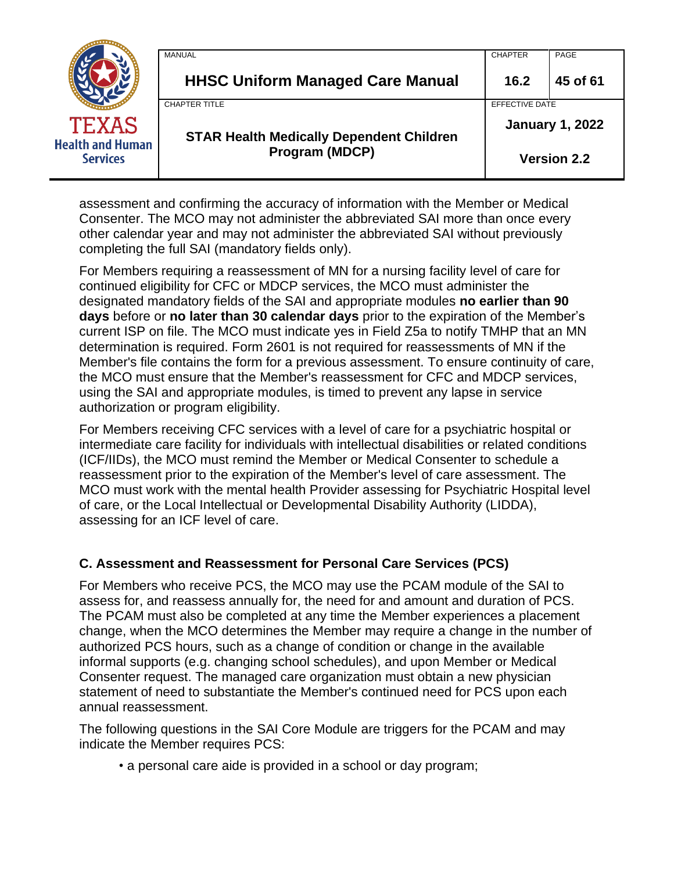|                                            | MANUAL                                          | <b>CHAPTER</b>         | PAGE               |
|--------------------------------------------|-------------------------------------------------|------------------------|--------------------|
|                                            | <b>HHSC Uniform Managed Care Manual</b>         | 16.2                   | 45 of 61           |
|                                            | <b>CHAPTER TITLE</b>                            | EFFECTIVE DATE         |                    |
| <b>TEXAS</b>                               | <b>STAR Health Medically Dependent Children</b> | <b>January 1, 2022</b> |                    |
| <b>Health and Human</b><br><b>Services</b> | Program (MDCP)                                  |                        | <b>Version 2.2</b> |

assessment and confirming the accuracy of information with the Member or Medical Consenter. The MCO may not administer the abbreviated SAI more than once every other calendar year and may not administer the abbreviated SAI without previously completing the full SAI (mandatory fields only).

For Members requiring a reassessment of MN for a nursing facility level of care for continued eligibility for CFC or MDCP services, the MCO must administer the designated mandatory fields of the SAI and appropriate modules **no earlier than 90 days** before or **no later than 30 calendar days** prior to the expiration of the Member's current ISP on file. The MCO must indicate yes in Field Z5a to notify TMHP that an MN determination is required. Form 2601 is not required for reassessments of MN if the Member's file contains the form for a previous assessment. To ensure continuity of care, the MCO must ensure that the Member's reassessment for CFC and MDCP services, using the SAI and appropriate modules, is timed to prevent any lapse in service authorization or program eligibility.

For Members receiving CFC services with a level of care for a psychiatric hospital or intermediate care facility for individuals with intellectual disabilities or related conditions (ICF/IIDs), the MCO must remind the Member or Medical Consenter to schedule a reassessment prior to the expiration of the Member's level of care assessment. The MCO must work with the mental health Provider assessing for Psychiatric Hospital level of care, or the Local Intellectual or Developmental Disability Authority (LIDDA), assessing for an ICF level of care.

### **C. Assessment and Reassessment for Personal Care Services (PCS)**

For Members who receive PCS, the MCO may use the PCAM module of the SAI to assess for, and reassess annually for, the need for and amount and duration of PCS. The PCAM must also be completed at any time the Member experiences a placement change, when the MCO determines the Member may require a change in the number of authorized PCS hours, such as a change of condition or change in the available informal supports (e.g. changing school schedules), and upon Member or Medical Consenter request. The managed care organization must obtain a new physician statement of need to substantiate the Member's continued need for PCS upon each annual reassessment.

The following questions in the SAI Core Module are triggers for the PCAM and may indicate the Member requires PCS:

• a personal care aide is provided in a school or day program;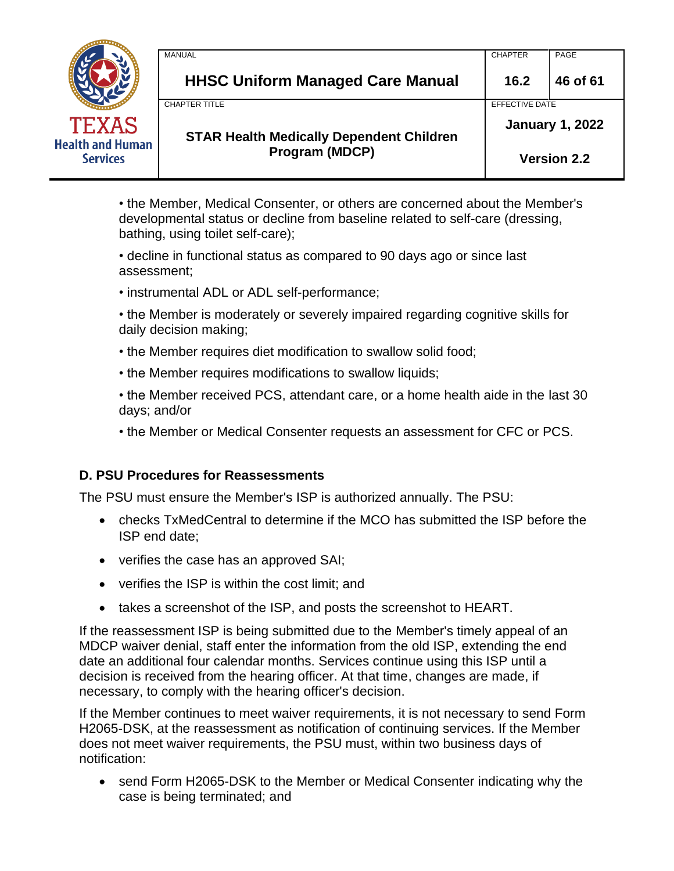|                                            | MANUAL                                          | <b>CHAPTER</b>         | PAGE               |
|--------------------------------------------|-------------------------------------------------|------------------------|--------------------|
|                                            | <b>HHSC Uniform Managed Care Manual</b>         | 16.2                   | 46 of 61           |
|                                            | CHAPTER TITLE                                   | EFFECTIVE DATE         |                    |
| <b>TEXAS</b>                               | <b>STAR Health Medically Dependent Children</b> | <b>January 1, 2022</b> |                    |
| <b>Health and Human</b><br><b>Services</b> | Program (MDCP)                                  |                        | <b>Version 2.2</b> |

• the Member, Medical Consenter, or others are concerned about the Member's developmental status or decline from baseline related to self-care (dressing, bathing, using toilet self-care);

• decline in functional status as compared to 90 days ago or since last assessment;

• instrumental ADL or ADL self-performance;

• the Member is moderately or severely impaired regarding cognitive skills for daily decision making;

- the Member requires diet modification to swallow solid food;
- the Member requires modifications to swallow liquids;
- the Member received PCS, attendant care, or a home health aide in the last 30 days; and/or
- the Member or Medical Consenter requests an assessment for CFC or PCS.

### **D. PSU Procedures for Reassessments**

The PSU must ensure the Member's ISP is authorized annually. The PSU:

- checks TxMedCentral to determine if the MCO has submitted the ISP before the ISP end date;
- verifies the case has an approved SAI;
- verifies the ISP is within the cost limit; and
- takes a screenshot of the ISP, and posts the screenshot to HEART.

If the reassessment ISP is being submitted due to the Member's timely appeal of an MDCP waiver denial, staff enter the information from the old ISP, extending the end date an additional four calendar months. Services continue using this ISP until a decision is received from the hearing officer. At that time, changes are made, if necessary, to comply with the hearing officer's decision.

If the Member continues to meet waiver requirements, it is not necessary to send Form H2065-DSK, at the reassessment as notification of continuing services. If the Member does not meet waiver requirements, the PSU must, within two business days of notification:

• send Form H2065-DSK to the Member or Medical Consenter indicating why the case is being terminated; and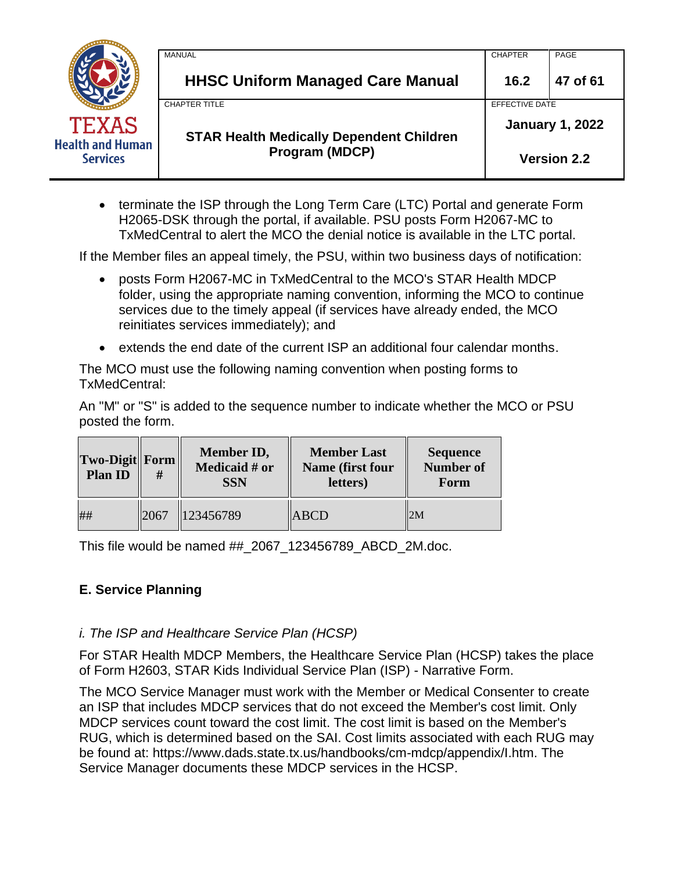|                                            | <b>MANUAL</b>                                   | <b>CHAPTER</b> | PAGE                   |
|--------------------------------------------|-------------------------------------------------|----------------|------------------------|
|                                            | <b>HHSC Uniform Managed Care Manual</b>         | 16.2           | 47 of 61               |
|                                            | <b>CHAPTER TITLE</b>                            | EFFECTIVE DATE |                        |
| <b>TEXAS</b>                               | <b>STAR Health Medically Dependent Children</b> |                | <b>January 1, 2022</b> |
| <b>Health and Human</b><br><b>Services</b> | <b>Program (MDCP)</b>                           |                | <b>Version 2.2</b>     |

• terminate the ISP through the Long Term Care (LTC) Portal and generate Form H2065-DSK through the portal, if available. PSU posts Form H2067-MC to TxMedCentral to alert the MCO the denial notice is available in the LTC portal.

If the Member files an appeal timely, the PSU, within two business days of notification:

- posts Form H2067-MC in TxMedCentral to the MCO's STAR Health MDCP folder, using the appropriate naming convention, informing the MCO to continue services due to the timely appeal (if services have already ended, the MCO reinitiates services immediately); and
- extends the end date of the current ISP an additional four calendar months.

The MCO must use the following naming convention when posting forms to TxMedCentral:

An "M" or "S" is added to the sequence number to indicate whether the MCO or PSU posted the form.

| Two-Digit Form<br><b>Plan ID</b> | #    | <b>Member ID,</b><br><b>Medicaid # or</b><br><b>SSN</b> | <b>Member Last</b><br>Name (first four<br>letters) | <b>Sequence</b><br><b>Number of</b><br>Form |
|----------------------------------|------|---------------------------------------------------------|----------------------------------------------------|---------------------------------------------|
| ##                               | 2067 | 123456789                                               | <b>ABCD</b>                                        | 2M                                          |

This file would be named ##\_2067\_123456789\_ABCD\_2M.doc.

### **E. Service Planning**

### *i. The ISP and Healthcare Service Plan (HCSP)*

For STAR Health MDCP Members, the Healthcare Service Plan (HCSP) takes the place of Form H2603, STAR Kids Individual Service Plan (ISP) - Narrative Form.

The MCO Service Manager must work with the Member or Medical Consenter to create an ISP that includes MDCP services that do not exceed the Member's cost limit. Only MDCP services count toward the cost limit. The cost limit is based on the Member's RUG, which is determined based on the SAI. Cost limits associated with each RUG may be found at: https://www.dads.state.tx.us/handbooks/cm-mdcp/appendix/I.htm. The Service Manager documents these MDCP services in the HCSP.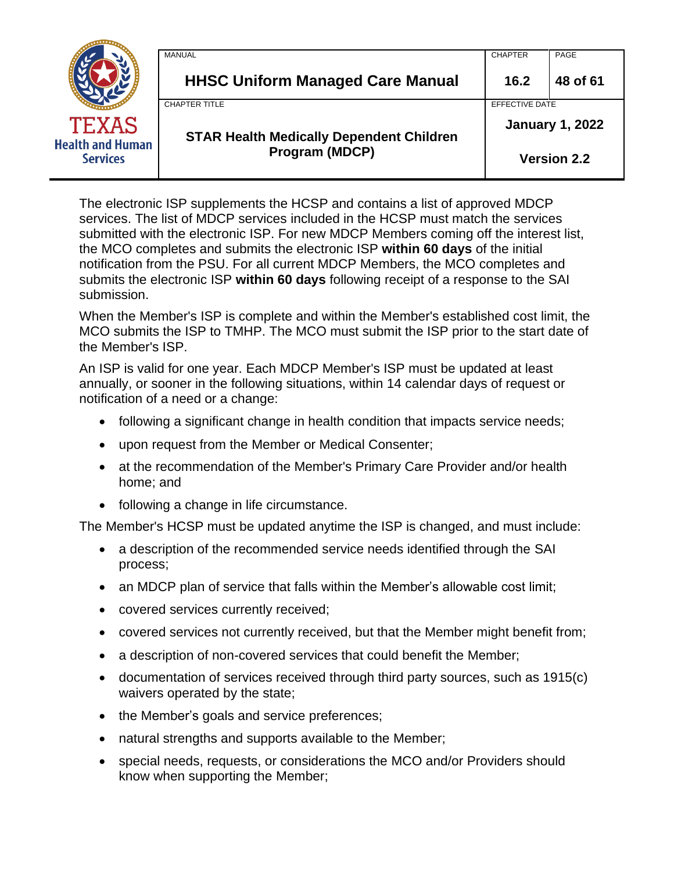|                                            | MANUAL                                          | <b>CHAPTER</b>         | PAGE               |
|--------------------------------------------|-------------------------------------------------|------------------------|--------------------|
|                                            | <b>HHSC Uniform Managed Care Manual</b>         | 16.2                   | 48 of 61           |
|                                            | <b>CHAPTER TITLE</b>                            | EFFECTIVE DATE         |                    |
| <b>TEXAS</b>                               | <b>STAR Health Medically Dependent Children</b> | <b>January 1, 2022</b> |                    |
| <b>Health and Human</b><br><b>Services</b> | <b>Program (MDCP)</b>                           |                        | <b>Version 2.2</b> |

The electronic ISP supplements the HCSP and contains a list of approved MDCP services. The list of MDCP services included in the HCSP must match the services submitted with the electronic ISP. For new MDCP Members coming off the interest list, the MCO completes and submits the electronic ISP **within 60 days** of the initial notification from the PSU. For all current MDCP Members, the MCO completes and submits the electronic ISP **within 60 days** following receipt of a response to the SAI submission.

When the Member's ISP is complete and within the Member's established cost limit, the MCO submits the ISP to TMHP. The MCO must submit the ISP prior to the start date of the Member's ISP.

An ISP is valid for one year. Each MDCP Member's ISP must be updated at least annually, or sooner in the following situations, within 14 calendar days of request or notification of a need or a change:

- following a significant change in health condition that impacts service needs;
- upon request from the Member or Medical Consenter;
- at the recommendation of the Member's Primary Care Provider and/or health home; and
- following a change in life circumstance.

The Member's HCSP must be updated anytime the ISP is changed, and must include:

- a description of the recommended service needs identified through the SAI process;
- an MDCP plan of service that falls within the Member's allowable cost limit;
- covered services currently received;
- covered services not currently received, but that the Member might benefit from;
- a description of non-covered services that could benefit the Member;
- documentation of services received through third party sources, such as 1915(c) waivers operated by the state;
- the Member's goals and service preferences;
- natural strengths and supports available to the Member;
- special needs, requests, or considerations the MCO and/or Providers should know when supporting the Member;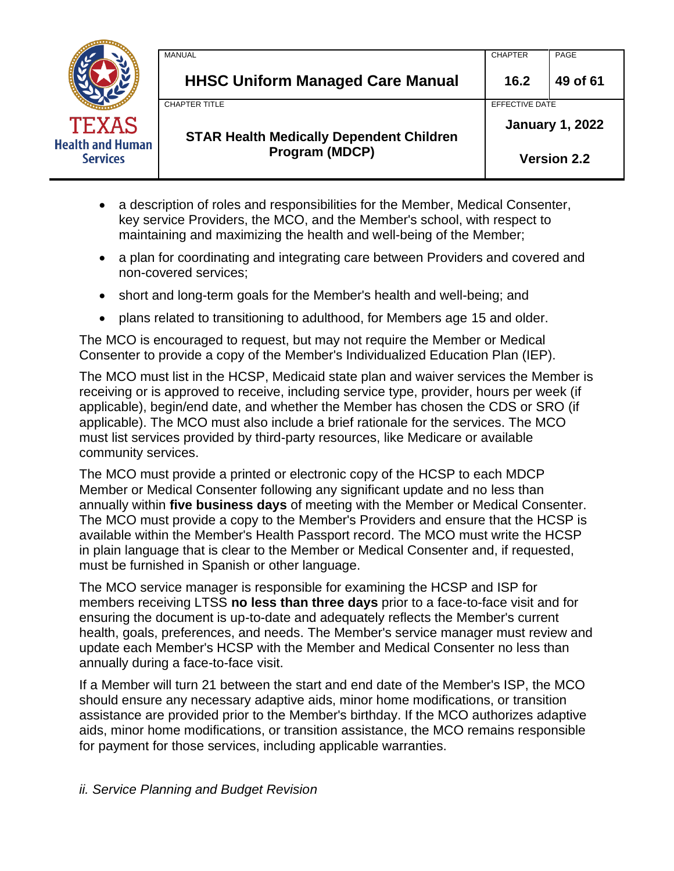|                                            | MANUAL                                          | <b>CHAPTER</b> | PAGE                   |
|--------------------------------------------|-------------------------------------------------|----------------|------------------------|
|                                            | <b>HHSC Uniform Managed Care Manual</b>         | 16.2           | 49 of 61               |
|                                            | <b>CHAPTER TITLE</b>                            | EFFECTIVE DATE |                        |
| <b>TEXAS</b>                               | <b>STAR Health Medically Dependent Children</b> |                | <b>January 1, 2022</b> |
| <b>Health and Human</b><br><b>Services</b> | Program (MDCP)                                  |                | <b>Version 2.2</b>     |

- a description of roles and responsibilities for the Member, Medical Consenter, key service Providers, the MCO, and the Member's school, with respect to maintaining and maximizing the health and well-being of the Member;
- a plan for coordinating and integrating care between Providers and covered and non-covered services;
- short and long-term goals for the Member's health and well-being; and
- plans related to transitioning to adulthood, for Members age 15 and older.

The MCO is encouraged to request, but may not require the Member or Medical Consenter to provide a copy of the Member's Individualized Education Plan (IEP).

The MCO must list in the HCSP, Medicaid state plan and waiver services the Member is receiving or is approved to receive, including service type, provider, hours per week (if applicable), begin/end date, and whether the Member has chosen the CDS or SRO (if applicable). The MCO must also include a brief rationale for the services. The MCO must list services provided by third-party resources, like Medicare or available community services.

The MCO must provide a printed or electronic copy of the HCSP to each MDCP Member or Medical Consenter following any significant update and no less than annually within **five business days** of meeting with the Member or Medical Consenter. The MCO must provide a copy to the Member's Providers and ensure that the HCSP is available within the Member's Health Passport record. The MCO must write the HCSP in plain language that is clear to the Member or Medical Consenter and, if requested, must be furnished in Spanish or other language.

The MCO service manager is responsible for examining the HCSP and ISP for members receiving LTSS **no less than three days** prior to a face-to-face visit and for ensuring the document is up-to-date and adequately reflects the Member's current health, goals, preferences, and needs. The Member's service manager must review and update each Member's HCSP with the Member and Medical Consenter no less than annually during a face-to-face visit.

If a Member will turn 21 between the start and end date of the Member's ISP, the MCO should ensure any necessary adaptive aids, minor home modifications, or transition assistance are provided prior to the Member's birthday. If the MCO authorizes adaptive aids, minor home modifications, or transition assistance, the MCO remains responsible for payment for those services, including applicable warranties.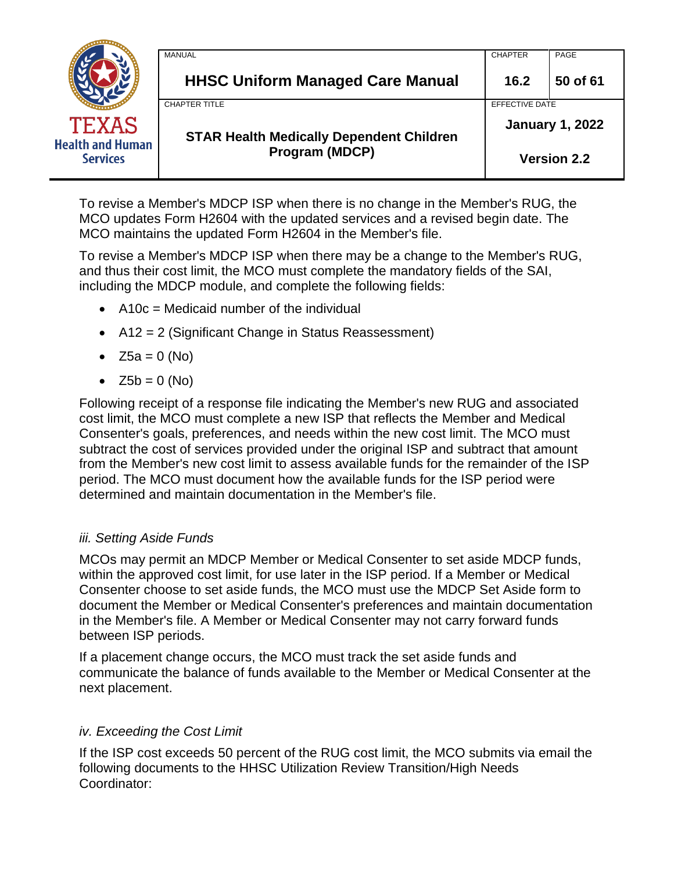|                                            | MANUAL                                          | <b>CHAPTER</b>         | PAGE               |
|--------------------------------------------|-------------------------------------------------|------------------------|--------------------|
|                                            | <b>HHSC Uniform Managed Care Manual</b>         | 16.2                   | 50 of 61           |
|                                            | <b>CHAPTER TITLE</b>                            | <b>EFFECTIVE DATE</b>  |                    |
| <b>TEXAS</b>                               | <b>STAR Health Medically Dependent Children</b> | <b>January 1, 2022</b> |                    |
| <b>Health and Human</b><br><b>Services</b> | Program (MDCP)                                  |                        | <b>Version 2.2</b> |

To revise a Member's MDCP ISP when there is no change in the Member's RUG, the MCO updates Form H2604 with the updated services and a revised begin date. The MCO maintains the updated Form H2604 in the Member's file.

To revise a Member's MDCP ISP when there may be a change to the Member's RUG, and thus their cost limit, the MCO must complete the mandatory fields of the SAI, including the MDCP module, and complete the following fields:

- $\bullet$  A10c = Medicaid number of the individual
- A12 = 2 (Significant Change in Status Reassessment)
- $Z5a = 0$  (No)
- $Z5b = 0$  (No)

Following receipt of a response file indicating the Member's new RUG and associated cost limit, the MCO must complete a new ISP that reflects the Member and Medical Consenter's goals, preferences, and needs within the new cost limit. The MCO must subtract the cost of services provided under the original ISP and subtract that amount from the Member's new cost limit to assess available funds for the remainder of the ISP period. The MCO must document how the available funds for the ISP period were determined and maintain documentation in the Member's file.

### *iii. Setting Aside Funds*

MCOs may permit an MDCP Member or Medical Consenter to set aside MDCP funds, within the approved cost limit, for use later in the ISP period. If a Member or Medical Consenter choose to set aside funds, the MCO must use the MDCP Set Aside form to document the Member or Medical Consenter's preferences and maintain documentation in the Member's file. A Member or Medical Consenter may not carry forward funds between ISP periods.

If a placement change occurs, the MCO must track the set aside funds and communicate the balance of funds available to the Member or Medical Consenter at the next placement.

# *iv. Exceeding the Cost Limit*

If the ISP cost exceeds 50 percent of the RUG cost limit, the MCO submits via email the following documents to the HHSC Utilization Review Transition/High Needs Coordinator: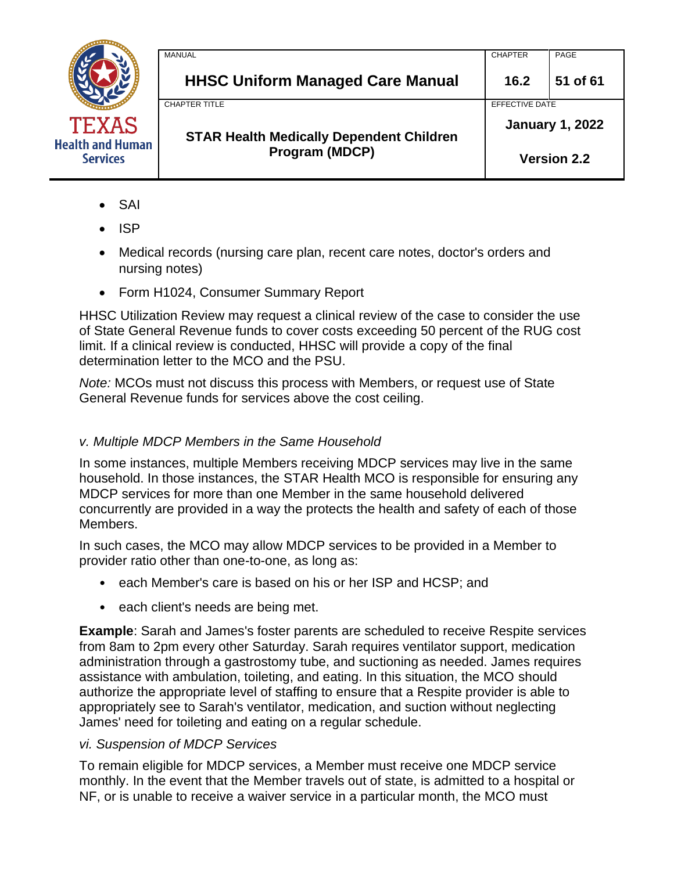

| <b>MANUAL</b>                                   | <b>CHAPTER</b>         | PAGE               |
|-------------------------------------------------|------------------------|--------------------|
| <b>HHSC Uniform Managed Care Manual</b>         | 16.2                   | 51 of 61           |
| <b>CHAPTER TITLE</b>                            | EFFECTIVE DATE         |                    |
| <b>STAR Health Medically Dependent Children</b> | <b>January 1, 2022</b> |                    |
| Program (MDCP)                                  |                        | <b>Version 2.2</b> |

- SAI
- ISP
- Medical records (nursing care plan, recent care notes, doctor's orders and nursing notes)
- Form H1024, Consumer Summary Report

HHSC Utilization Review may request a clinical review of the case to consider the use of State General Revenue funds to cover costs exceeding 50 percent of the RUG cost limit. If a clinical review is conducted, HHSC will provide a copy of the final determination letter to the MCO and the PSU.

*Note:* MCOs must not discuss this process with Members, or request use of State General Revenue funds for services above the cost ceiling.

### *v. Multiple MDCP Members in the Same Household*

In some instances, multiple Members receiving MDCP services may live in the same household. In those instances, the STAR Health MCO is responsible for ensuring any MDCP services for more than one Member in the same household delivered concurrently are provided in a way the protects the health and safety of each of those Members.

In such cases, the MCO may allow MDCP services to be provided in a Member to provider ratio other than one-to-one, as long as:

- each Member's care is based on his or her ISP and HCSP; and
- each client's needs are being met.

**Example**: Sarah and James's foster parents are scheduled to receive Respite services from 8am to 2pm every other Saturday. Sarah requires ventilator support, medication administration through a gastrostomy tube, and suctioning as needed. James requires assistance with ambulation, toileting, and eating. In this situation, the MCO should authorize the appropriate level of staffing to ensure that a Respite provider is able to appropriately see to Sarah's ventilator, medication, and suction without neglecting James' need for toileting and eating on a regular schedule.

### *vi. Suspension of MDCP Services*

To remain eligible for MDCP services, a Member must receive one MDCP service monthly. In the event that the Member travels out of state, is admitted to a hospital or NF, or is unable to receive a waiver service in a particular month, the MCO must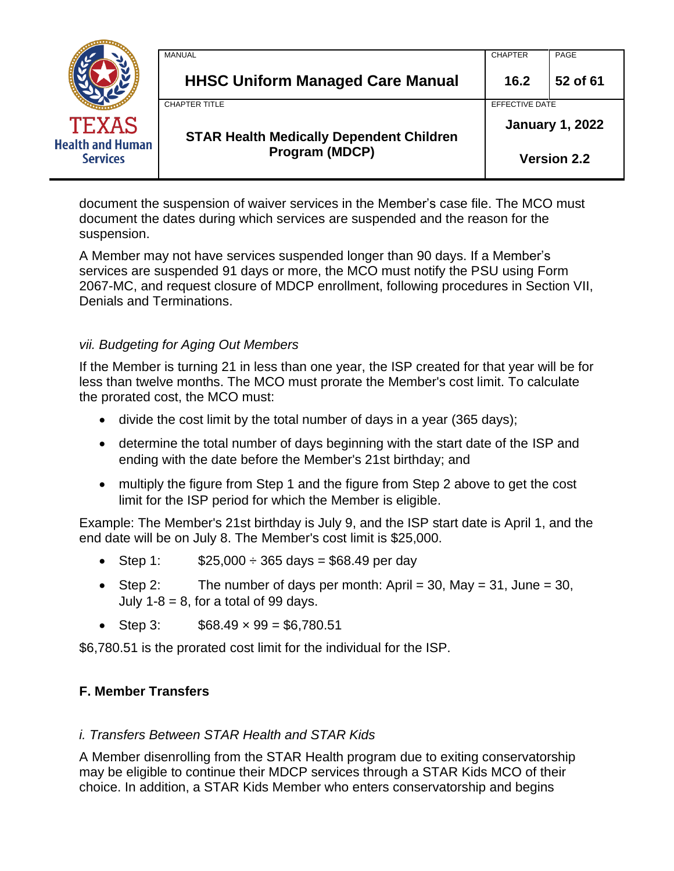|                                            | MANUAL                                          | <b>CHAPTER</b>         | PAGE               |
|--------------------------------------------|-------------------------------------------------|------------------------|--------------------|
|                                            | <b>HHSC Uniform Managed Care Manual</b>         | 16.2                   | 52 of 61           |
|                                            | <b>CHAPTER TITLE</b>                            | EFFECTIVE DATE         |                    |
| <b>TEXAS</b>                               | <b>STAR Health Medically Dependent Children</b> | <b>January 1, 2022</b> |                    |
| <b>Health and Human</b><br><b>Services</b> | <b>Program (MDCP)</b>                           |                        | <b>Version 2.2</b> |

document the suspension of waiver services in the Member's case file. The MCO must document the dates during which services are suspended and the reason for the suspension.

A Member may not have services suspended longer than 90 days. If a Member's services are suspended 91 days or more, the MCO must notify the PSU using Form 2067-MC, and request closure of MDCP enrollment, following procedures in Section VII, Denials and Terminations.

## *vii. Budgeting for Aging Out Members*

If the Member is turning 21 in less than one year, the ISP created for that year will be for less than twelve months. The MCO must prorate the Member's cost limit. To calculate the prorated cost, the MCO must:

- divide the cost limit by the total number of days in a year (365 days);
- determine the total number of days beginning with the start date of the ISP and ending with the date before the Member's 21st birthday; and
- multiply the figure from Step 1 and the figure from Step 2 above to get the cost limit for the ISP period for which the Member is eligible.

Example: The Member's 21st birthday is July 9, and the ISP start date is April 1, and the end date will be on July 8. The Member's cost limit is \$25,000.

- Step 1:  $$25,000 \div 365 \text{ days} = $68.49 \text{ per day}$
- Step 2: The number of days per month: April = 30, May = 31, June = 30, July  $1-8 = 8$ , for a total of 99 days.
- Step 3:  $$68.49 \times 99 = $6,780.51$

\$6,780.51 is the prorated cost limit for the individual for the ISP.

### **F. Member Transfers**

### *i. Transfers Between STAR Health and STAR Kids*

A Member disenrolling from the STAR Health program due to exiting conservatorship may be eligible to continue their MDCP services through a STAR Kids MCO of their choice. In addition, a STAR Kids Member who enters conservatorship and begins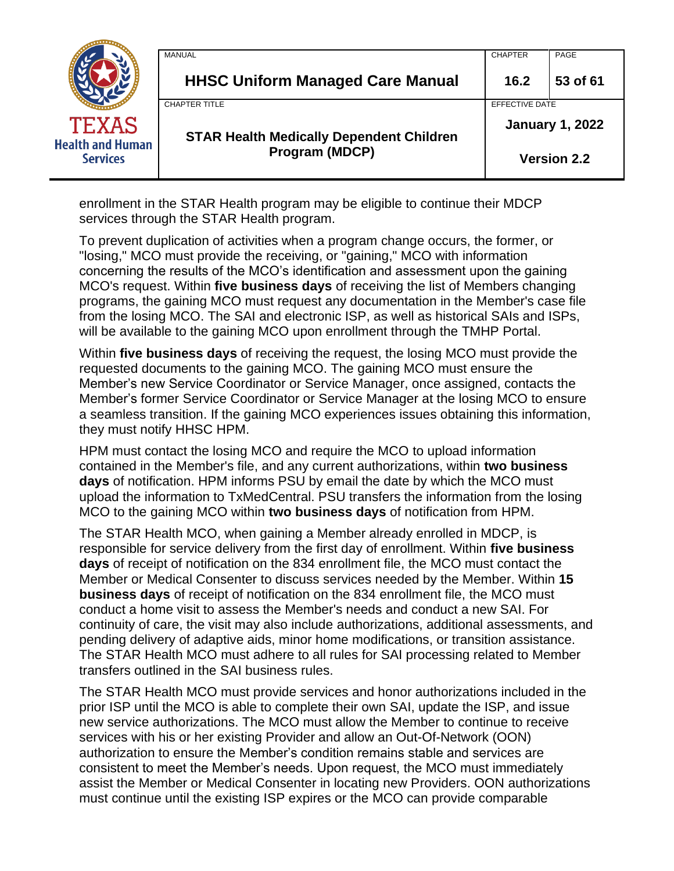|                                            | <b>MANUAL</b>                                   | <b>CHAPTER</b>         | PAGE               |
|--------------------------------------------|-------------------------------------------------|------------------------|--------------------|
|                                            | <b>HHSC Uniform Managed Care Manual</b>         | 16.2                   | 53 of 61           |
|                                            | <b>CHAPTER TITLE</b>                            | EFFECTIVE DATE         |                    |
| TEXAS                                      | <b>STAR Health Medically Dependent Children</b> | <b>January 1, 2022</b> |                    |
| <b>Health and Human</b><br><b>Services</b> | Program (MDCP)                                  |                        | <b>Version 2.2</b> |

enrollment in the STAR Health program may be eligible to continue their MDCP services through the STAR Health program.

To prevent duplication of activities when a program change occurs, the former, or "losing," MCO must provide the receiving, or "gaining," MCO with information concerning the results of the MCO's identification and assessment upon the gaining MCO's request. Within **five business days** of receiving the list of Members changing programs, the gaining MCO must request any documentation in the Member's case file from the losing MCO. The SAI and electronic ISP, as well as historical SAIs and ISPs, will be available to the gaining MCO upon enrollment through the TMHP Portal.

Within **five business days** of receiving the request, the losing MCO must provide the requested documents to the gaining MCO. The gaining MCO must ensure the Member's new Service Coordinator or Service Manager, once assigned, contacts the Member's former Service Coordinator or Service Manager at the losing MCO to ensure a seamless transition. If the gaining MCO experiences issues obtaining this information, they must notify HHSC HPM.

HPM must contact the losing MCO and require the MCO to upload information contained in the Member's file, and any current authorizations, within **two business days** of notification. HPM informs PSU by email the date by which the MCO must upload the information to TxMedCentral. PSU transfers the information from the losing MCO to the gaining MCO within **two business days** of notification from HPM.

The STAR Health MCO, when gaining a Member already enrolled in MDCP, is responsible for service delivery from the first day of enrollment. Within **five business days** of receipt of notification on the 834 enrollment file, the MCO must contact the Member or Medical Consenter to discuss services needed by the Member. Within **15 business days** of receipt of notification on the 834 enrollment file, the MCO must conduct a home visit to assess the Member's needs and conduct a new SAI. For continuity of care, the visit may also include authorizations, additional assessments, and pending delivery of adaptive aids, minor home modifications, or transition assistance. The STAR Health MCO must adhere to all rules for SAI processing related to Member transfers outlined in the SAI business rules.

The STAR Health MCO must provide services and honor authorizations included in the prior ISP until the MCO is able to complete their own SAI, update the ISP, and issue new service authorizations. The MCO must allow the Member to continue to receive services with his or her existing Provider and allow an Out-Of-Network (OON) authorization to ensure the Member's condition remains stable and services are consistent to meet the Member's needs. Upon request, the MCO must immediately assist the Member or Medical Consenter in locating new Providers. OON authorizations must continue until the existing ISP expires or the MCO can provide comparable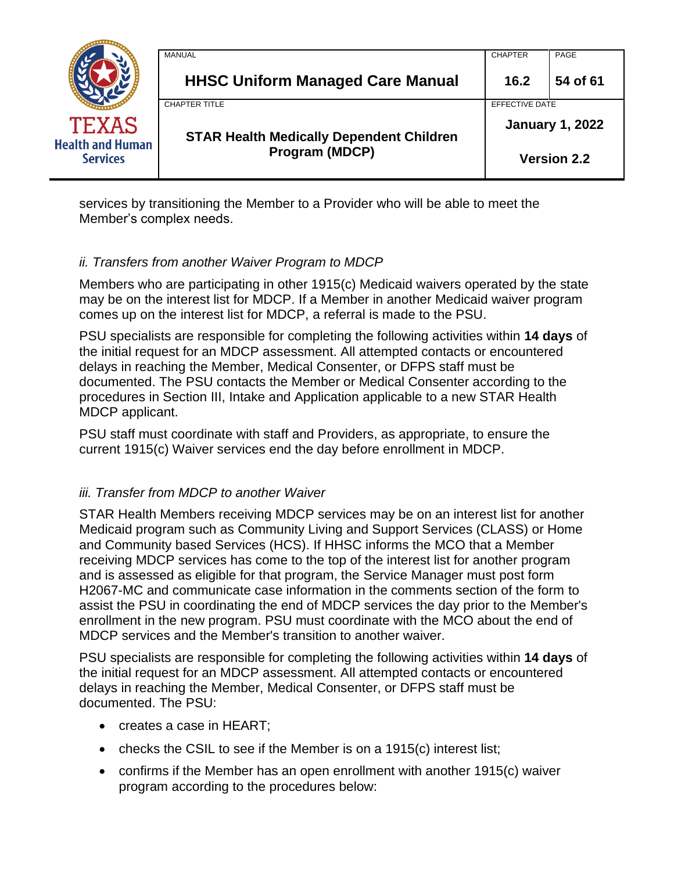|                                            | MANUAL                                          | <b>CHAPTER</b>         | PAGE               |
|--------------------------------------------|-------------------------------------------------|------------------------|--------------------|
|                                            | <b>HHSC Uniform Managed Care Manual</b>         | 16.2                   | 54 of 61           |
|                                            | <b>CHAPTER TITLE</b>                            | <b>EFFECTIVE DATE</b>  |                    |
| <b>TEXAS</b>                               | <b>STAR Health Medically Dependent Children</b> | <b>January 1, 2022</b> |                    |
| <b>Health and Human</b><br><b>Services</b> | <b>Program (MDCP)</b>                           |                        | <b>Version 2.2</b> |

services by transitioning the Member to a Provider who will be able to meet the Member's complex needs.

## *ii. Transfers from another Waiver Program to MDCP*

Members who are participating in other 1915(c) Medicaid waivers operated by the state may be on the interest list for MDCP. If a Member in another Medicaid waiver program comes up on the interest list for MDCP, a referral is made to the PSU.

PSU specialists are responsible for completing the following activities within **14 days** of the initial request for an MDCP assessment. All attempted contacts or encountered delays in reaching the Member, Medical Consenter, or DFPS staff must be documented. The PSU contacts the Member or Medical Consenter according to the procedures in Section III, Intake and Application applicable to a new STAR Health MDCP applicant.

PSU staff must coordinate with staff and Providers, as appropriate, to ensure the current 1915(c) Waiver services end the day before enrollment in MDCP.

# *iii. Transfer from MDCP to another Waiver*

STAR Health Members receiving MDCP services may be on an interest list for another Medicaid program such as Community Living and Support Services (CLASS) or Home and Community based Services (HCS). If HHSC informs the MCO that a Member receiving MDCP services has come to the top of the interest list for another program and is assessed as eligible for that program, the Service Manager must post form H2067-MC and communicate case information in the comments section of the form to assist the PSU in coordinating the end of MDCP services the day prior to the Member's enrollment in the new program. PSU must coordinate with the MCO about the end of MDCP services and the Member's transition to another waiver.

PSU specialists are responsible for completing the following activities within **14 days** of the initial request for an MDCP assessment. All attempted contacts or encountered delays in reaching the Member, Medical Consenter, or DFPS staff must be documented. The PSU:

- creates a case in HEART;
- checks the CSIL to see if the Member is on a 1915(c) interest list;
- confirms if the Member has an open enrollment with another 1915(c) waiver program according to the procedures below: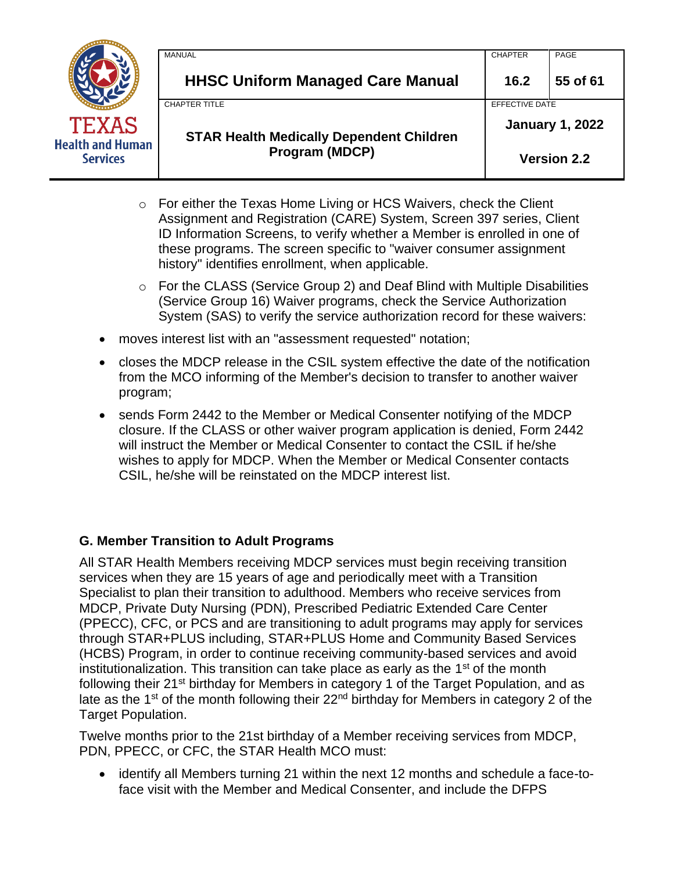| TEXAS<br><b>Health and Human</b><br><b>Services</b> |
|-----------------------------------------------------|

| Program (MDCP)                                                          | <b>Version 2.2</b>                       |          |  |
|-------------------------------------------------------------------------|------------------------------------------|----------|--|
| <b>CHAPTER TITLE</b><br><b>STAR Health Medically Dependent Children</b> | EFFECTIVE DATE<br><b>January 1, 2022</b> |          |  |
| <b>HHSC Uniform Managed Care Manual</b>                                 | 16.2                                     | 55 of 61 |  |
| <b>MANUAL</b>                                                           | <b>CHAPTER</b>                           | PAGE     |  |

- o For either the Texas Home Living or HCS Waivers, check the Client Assignment and Registration (CARE) System, Screen 397 series, Client ID Information Screens, to verify whether a Member is enrolled in one of these programs. The screen specific to "waiver consumer assignment history" identifies enrollment, when applicable.
- o For the CLASS (Service Group 2) and Deaf Blind with Multiple Disabilities (Service Group 16) Waiver programs, check the Service Authorization System (SAS) to verify the service authorization record for these waivers:
- moves interest list with an "assessment requested" notation;
- closes the MDCP release in the CSIL system effective the date of the notification from the MCO informing of the Member's decision to transfer to another waiver program;
- sends Form 2442 to the Member or Medical Consenter notifying of the MDCP closure. If the CLASS or other waiver program application is denied, Form 2442 will instruct the Member or Medical Consenter to contact the CSIL if he/she wishes to apply for MDCP. When the Member or Medical Consenter contacts CSIL, he/she will be reinstated on the MDCP interest list.

# **G. Member Transition to Adult Programs**

All STAR Health Members receiving MDCP services must begin receiving transition services when they are 15 years of age and periodically meet with a Transition Specialist to plan their transition to adulthood. Members who receive services from MDCP, Private Duty Nursing (PDN), Prescribed Pediatric Extended Care Center (PPECC), CFC, or PCS and are transitioning to adult programs may apply for services through STAR+PLUS including, STAR+PLUS Home and Community Based Services (HCBS) Program, in order to continue receiving community-based services and avoid institutionalization. This transition can take place as early as the  $1<sup>st</sup>$  of the month following their 21<sup>st</sup> birthday for Members in category 1 of the Target Population, and as late as the  $1<sup>st</sup>$  of the month following their 22<sup>nd</sup> birthday for Members in category 2 of the Target Population.

Twelve months prior to the 21st birthday of a Member receiving services from MDCP, PDN, PPECC, or CFC, the STAR Health MCO must:

• identify all Members turning 21 within the next 12 months and schedule a face-toface visit with the Member and Medical Consenter, and include the DFPS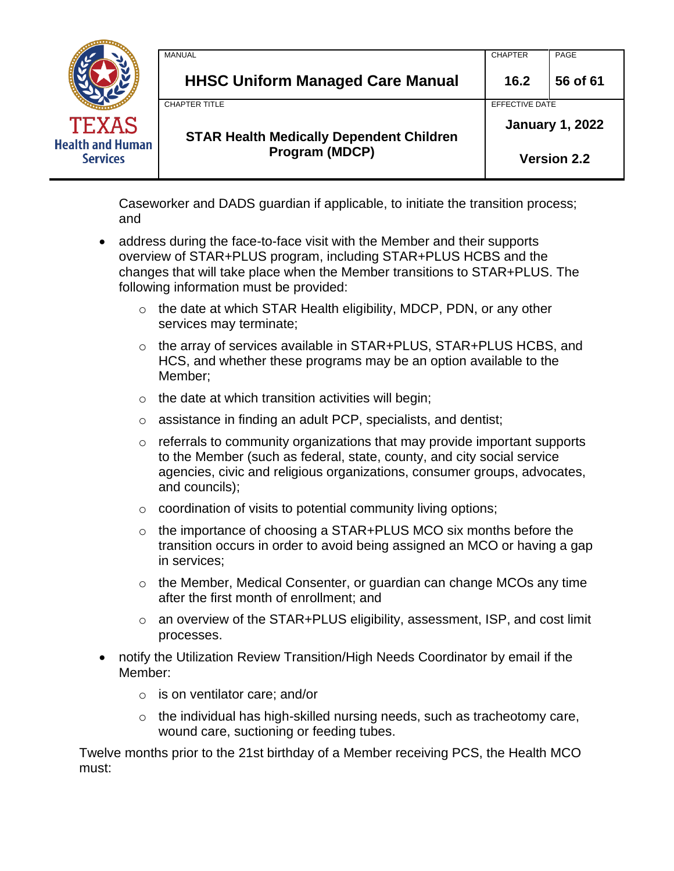|                                            | <b>MANUAL</b>                                   | <b>CHAPTER</b>         | PAGE     |
|--------------------------------------------|-------------------------------------------------|------------------------|----------|
|                                            | <b>HHSC Uniform Managed Care Manual</b>         | 16.2                   | 56 of 61 |
|                                            | <b>CHAPTER TITLE</b>                            | <b>EFFECTIVE DATE</b>  |          |
| <b>TEXAS</b>                               | <b>STAR Health Medically Dependent Children</b> | <b>January 1, 2022</b> |          |
| <b>Health and Human</b><br><b>Services</b> | Program (MDCP)                                  | <b>Version 2.2</b>     |          |

Caseworker and DADS guardian if applicable, to initiate the transition process; and

- address during the face-to-face visit with the Member and their supports overview of STAR+PLUS program, including STAR+PLUS HCBS and the changes that will take place when the Member transitions to STAR+PLUS. The following information must be provided:
	- $\circ$  the date at which STAR Health eligibility, MDCP, PDN, or any other services may terminate;
	- o the array of services available in STAR+PLUS, STAR+PLUS HCBS, and HCS, and whether these programs may be an option available to the Member;
	- $\circ$  the date at which transition activities will begin;
	- o assistance in finding an adult PCP, specialists, and dentist;
	- $\circ$  referrals to community organizations that may provide important supports to the Member (such as federal, state, county, and city social service agencies, civic and religious organizations, consumer groups, advocates, and councils);
	- $\circ$  coordination of visits to potential community living options;
	- $\circ$  the importance of choosing a STAR+PLUS MCO six months before the transition occurs in order to avoid being assigned an MCO or having a gap in services;
	- o the Member, Medical Consenter, or guardian can change MCOs any time after the first month of enrollment; and
	- o an overview of the STAR+PLUS eligibility, assessment, ISP, and cost limit processes.
- notify the Utilization Review Transition/High Needs Coordinator by email if the Member:
	- o is on ventilator care; and/or
	- $\circ$  the individual has high-skilled nursing needs, such as tracheotomy care, wound care, suctioning or feeding tubes.

Twelve months prior to the 21st birthday of a Member receiving PCS, the Health MCO must: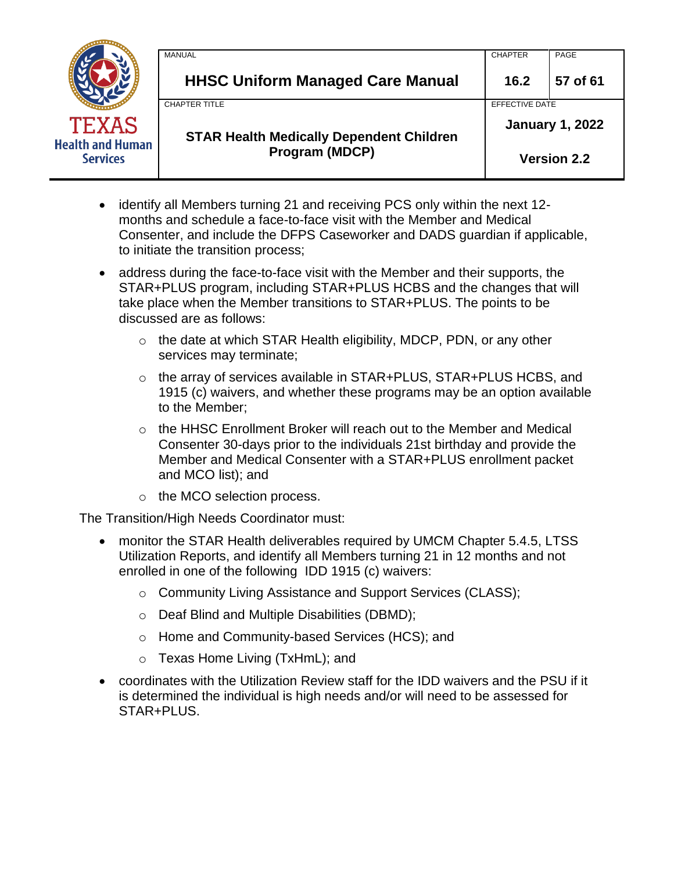|                                            | MANUAL                                          | <b>CHAPTER</b>         | PAGE     |
|--------------------------------------------|-------------------------------------------------|------------------------|----------|
|                                            | <b>HHSC Uniform Managed Care Manual</b>         | 16.2                   | 57 of 61 |
|                                            | <b>CHAPTER TITLE</b>                            | EFFECTIVE DATE         |          |
| <b>TEXAS</b>                               | <b>STAR Health Medically Dependent Children</b> | <b>January 1, 2022</b> |          |
| <b>Health and Human</b><br><b>Services</b> | Program (MDCP)                                  | <b>Version 2.2</b>     |          |

- identify all Members turning 21 and receiving PCS only within the next 12 months and schedule a face-to-face visit with the Member and Medical Consenter, and include the DFPS Caseworker and DADS guardian if applicable, to initiate the transition process;
- address during the face-to-face visit with the Member and their supports, the STAR+PLUS program, including STAR+PLUS HCBS and the changes that will take place when the Member transitions to STAR+PLUS. The points to be discussed are as follows:
	- $\circ$  the date at which STAR Health eligibility, MDCP, PDN, or any other services may terminate;
	- o the array of services available in STAR+PLUS, STAR+PLUS HCBS, and 1915 (c) waivers, and whether these programs may be an option available to the Member;
	- $\circ$  the HHSC Enrollment Broker will reach out to the Member and Medical Consenter 30-days prior to the individuals 21st birthday and provide the Member and Medical Consenter with a STAR+PLUS enrollment packet and MCO list); and
	- o the MCO selection process.

The Transition/High Needs Coordinator must:

- monitor the STAR Health deliverables required by UMCM Chapter 5.4.5, LTSS Utilization Reports, and identify all Members turning 21 in 12 months and not enrolled in one of the following IDD 1915 (c) waivers:
	- o Community Living Assistance and Support Services (CLASS);
	- o Deaf Blind and Multiple Disabilities (DBMD);
	- o Home and Community-based Services (HCS); and
	- o Texas Home Living (TxHmL); and
- coordinates with the Utilization Review staff for the IDD waivers and the PSU if it is determined the individual is high needs and/or will need to be assessed for STAR+PLUS.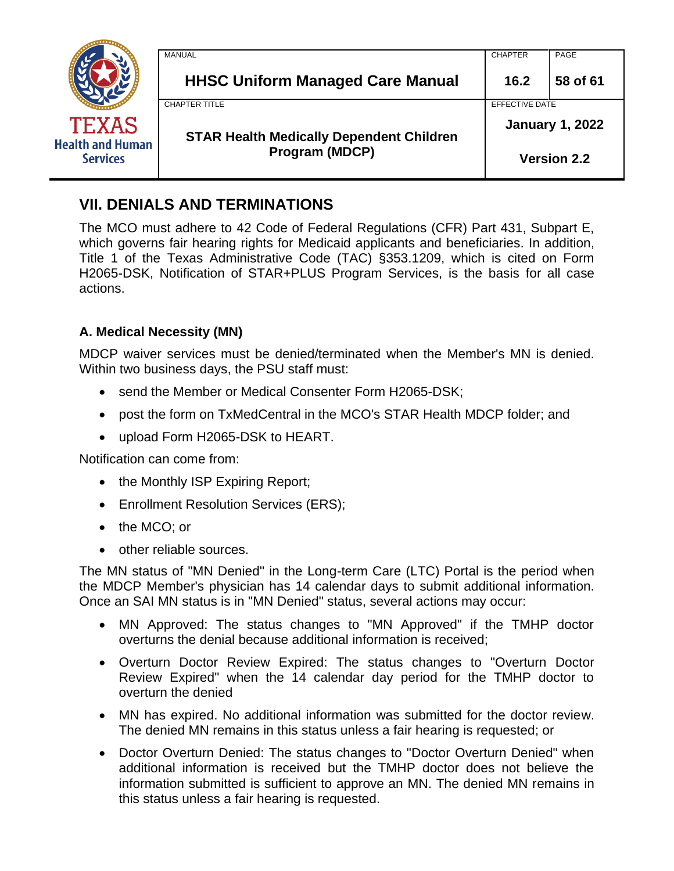|                                                            | MANUAL                                          | <b>CHAPTER</b>         | PAGE     |
|------------------------------------------------------------|-------------------------------------------------|------------------------|----------|
|                                                            | <b>HHSC Uniform Managed Care Manual</b>         | 16.2                   | 58 of 61 |
|                                                            | <b>CHAPTER TITLE</b>                            | EFFECTIVE DATE         |          |
| <b>TEXAS</b><br><b>Health and Human</b><br><b>Services</b> | <b>STAR Health Medically Dependent Children</b> | <b>January 1, 2022</b> |          |
|                                                            | Program (MDCP)                                  | <b>Version 2.2</b>     |          |

# <span id="page-57-0"></span>**VII. DENIALS AND TERMINATIONS**

The MCO must adhere to 42 Code of Federal Regulations (CFR) Part 431, Subpart E, which governs fair hearing rights for Medicaid applicants and beneficiaries. In addition, Title 1 of the Texas Administrative Code (TAC) §353.1209, which is cited on Form H2065-DSK, Notification of STAR+PLUS Program Services, is the basis for all case actions.

## **A. Medical Necessity (MN)**

MDCP waiver services must be denied/terminated when the Member's MN is denied. Within two business days, the PSU staff must:

- send the Member or Medical Consenter Form H2065-DSK;
- post the form on TxMedCentral in the MCO's STAR Health MDCP folder; and
- upload Form H2065-DSK to HEART.

Notification can come from:

- the Monthly ISP Expiring Report;
- Enrollment Resolution Services (ERS);
- the MCO; or
- other reliable sources.

The MN status of "MN Denied" in the Long-term Care (LTC) Portal is the period when the MDCP Member's physician has 14 calendar days to submit additional information. Once an SAI MN status is in "MN Denied" status, several actions may occur:

- MN Approved: The status changes to "MN Approved" if the TMHP doctor overturns the denial because additional information is received;
- Overturn Doctor Review Expired: The status changes to "Overturn Doctor Review Expired" when the 14 calendar day period for the TMHP doctor to overturn the denied
- MN has expired. No additional information was submitted for the doctor review. The denied MN remains in this status unless a fair hearing is requested; or
- Doctor Overturn Denied: The status changes to "Doctor Overturn Denied" when additional information is received but the TMHP doctor does not believe the information submitted is sufficient to approve an MN. The denied MN remains in this status unless a fair hearing is requested.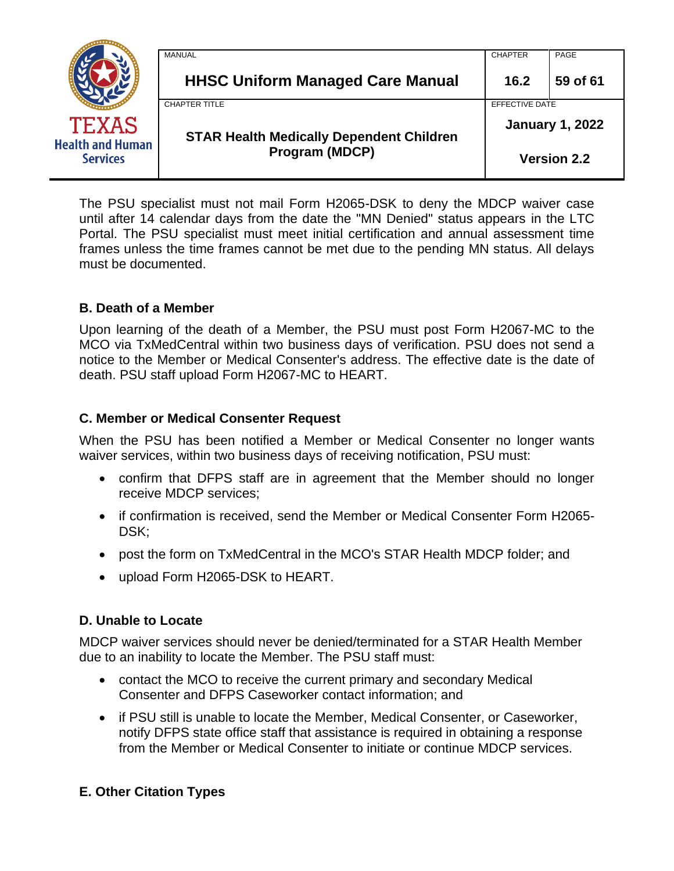|                                            | MANUAL                                          | <b>CHAPTER</b>         | PAGE     |
|--------------------------------------------|-------------------------------------------------|------------------------|----------|
|                                            | <b>HHSC Uniform Managed Care Manual</b>         | 16.2                   | 59 of 61 |
|                                            | <b>CHAPTER TITLE</b>                            | EFFECTIVE DATE         |          |
| <b>TEXAS</b>                               | <b>STAR Health Medically Dependent Children</b> | <b>January 1, 2022</b> |          |
| <b>Health and Human</b><br><b>Services</b> | <b>Program (MDCP)</b>                           | <b>Version 2.2</b>     |          |

The PSU specialist must not mail Form H2065-DSK to deny the MDCP waiver case until after 14 calendar days from the date the "MN Denied" status appears in the LTC Portal. The PSU specialist must meet initial certification and annual assessment time frames unless the time frames cannot be met due to the pending MN status. All delays must be documented.

### **B. Death of a Member**

Upon learning of the death of a Member, the PSU must post Form H2067-MC to the MCO via TxMedCentral within two business days of verification. PSU does not send a notice to the Member or Medical Consenter's address. The effective date is the date of death. PSU staff upload Form H2067-MC to HEART.

### **C. Member or Medical Consenter Request**

When the PSU has been notified a Member or Medical Consenter no longer wants waiver services, within two business days of receiving notification, PSU must:

- confirm that DFPS staff are in agreement that the Member should no longer receive MDCP services;
- if confirmation is received, send the Member or Medical Consenter Form H2065- DSK;
- post the form on TxMedCentral in the MCO's STAR Health MDCP folder; and
- upload Form H2065-DSK to HEART.

# **D. Unable to Locate**

MDCP waiver services should never be denied/terminated for a STAR Health Member due to an inability to locate the Member. The PSU staff must:

- contact the MCO to receive the current primary and secondary Medical Consenter and DFPS Caseworker contact information; and
- if PSU still is unable to locate the Member, Medical Consenter, or Caseworker, notify DFPS state office staff that assistance is required in obtaining a response from the Member or Medical Consenter to initiate or continue MDCP services.

# **E. Other Citation Types**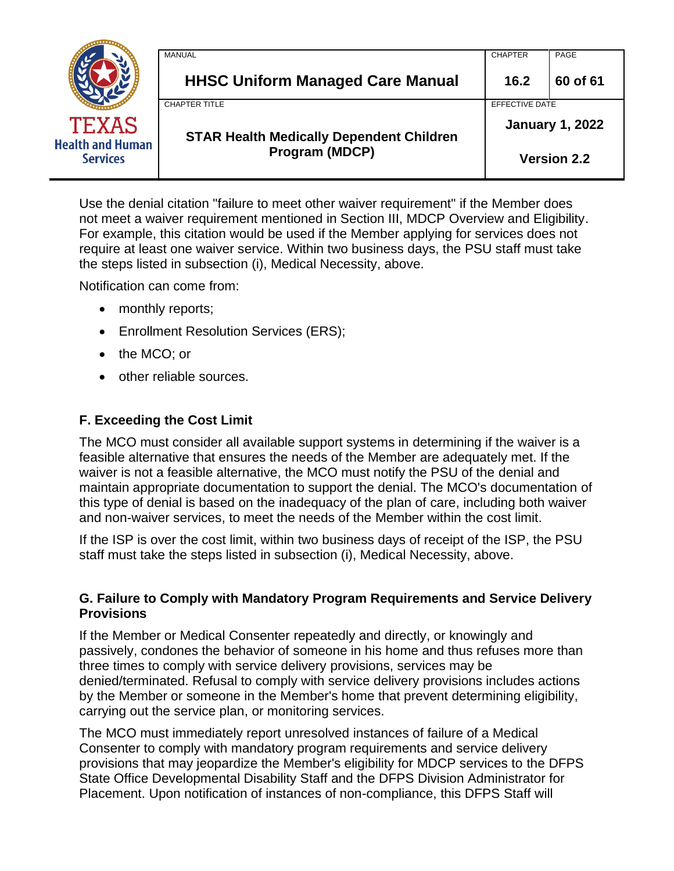|                                            | MANUAL                                          | <b>CHAPTER</b>         | PAGE     |
|--------------------------------------------|-------------------------------------------------|------------------------|----------|
|                                            | <b>HHSC Uniform Managed Care Manual</b>         | 16.2                   | 60 of 61 |
|                                            | <b>CHAPTER TITLE</b>                            | EFFECTIVE DATE         |          |
| <b>TEXAS</b>                               | <b>STAR Health Medically Dependent Children</b> | <b>January 1, 2022</b> |          |
| <b>Health and Human</b><br><b>Services</b> | <b>Program (MDCP)</b>                           | <b>Version 2.2</b>     |          |

Use the denial citation "failure to meet other waiver requirement" if the Member does not meet a waiver requirement mentioned in Section III, MDCP Overview and Eligibility. For example, this citation would be used if the Member applying for services does not require at least one waiver service. Within two business days, the PSU staff must take the steps listed in subsection (i), Medical Necessity, above.

Notification can come from:

- monthly reports;
- Enrollment Resolution Services (ERS);
- the MCO; or
- other reliable sources.

### **F. Exceeding the Cost Limit**

The MCO must consider all available support systems in determining if the waiver is a feasible alternative that ensures the needs of the Member are adequately met. If the waiver is not a feasible alternative, the MCO must notify the PSU of the denial and maintain appropriate documentation to support the denial. The MCO's documentation of this type of denial is based on the inadequacy of the plan of care, including both waiver and non-waiver services, to meet the needs of the Member within the cost limit.

If the ISP is over the cost limit, within two business days of receipt of the ISP, the PSU staff must take the steps listed in subsection (i), Medical Necessity, above.

### **G. Failure to Comply with Mandatory Program Requirements and Service Delivery Provisions**

If the Member or Medical Consenter repeatedly and directly, or knowingly and passively, condones the behavior of someone in his home and thus refuses more than three times to comply with service delivery provisions, services may be denied/terminated. Refusal to comply with service delivery provisions includes actions by the Member or someone in the Member's home that prevent determining eligibility, carrying out the service plan, or monitoring services.

The MCO must immediately report unresolved instances of failure of a Medical Consenter to comply with mandatory program requirements and service delivery provisions that may jeopardize the Member's eligibility for MDCP services to the DFPS State Office Developmental Disability Staff and the DFPS Division Administrator for Placement. Upon notification of instances of non-compliance, this DFPS Staff will